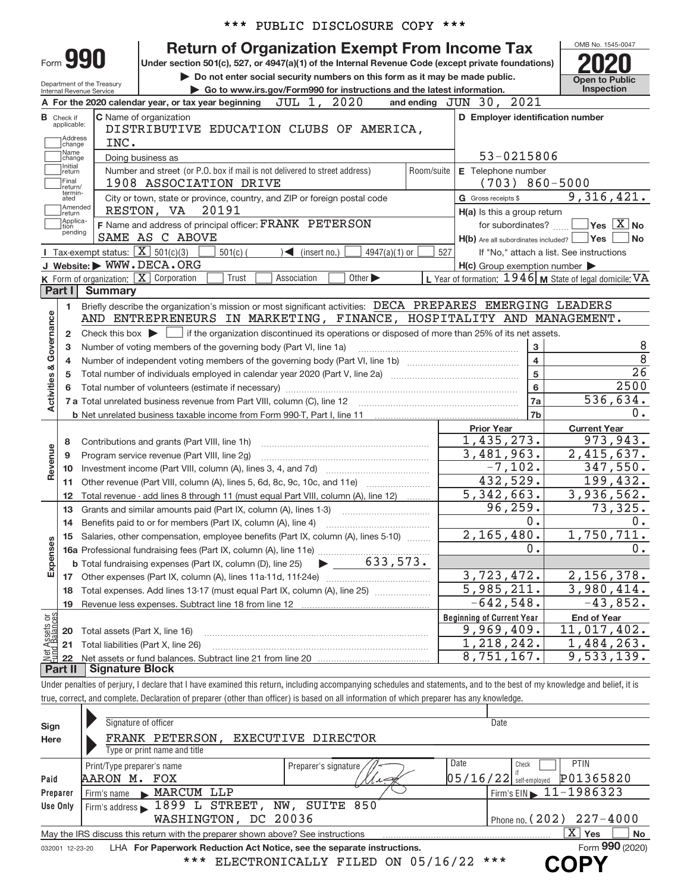|                           |                                                       |                                                            |                                                                                                                                            |            | *** PUBLIC DISCLOSURE COPY ***                                                                                                                                                                                |                             |                      |                     |                                                                   |                                                                                                                                                                            |  |  |  |
|---------------------------|-------------------------------------------------------|------------------------------------------------------------|--------------------------------------------------------------------------------------------------------------------------------------------|------------|---------------------------------------------------------------------------------------------------------------------------------------------------------------------------------------------------------------|-----------------------------|----------------------|---------------------|-------------------------------------------------------------------|----------------------------------------------------------------------------------------------------------------------------------------------------------------------------|--|--|--|
|                           | Form 990                                              | Department of the Treasury<br>Internal Revenue Service     | Under section 501(c), 527, or 4947(a)(1) of the Internal Revenue Code (except private foundations)                                         |            | <b>Return of Organization Exempt From Income Tax</b><br>Do not enter social security numbers on this form as it may be made public.<br>Go to www.irs.gov/Form990 for instructions and the latest information. |                             |                      |                     |                                                                   | OMB No. 1545-0047<br><b>Open to Public</b><br><b>Inspection</b>                                                                                                            |  |  |  |
|                           |                                                       |                                                            | A For the 2020 calendar year, or tax year beginning                                                                                        |            | JUL 1, 2020                                                                                                                                                                                                   |                             | and ending $JUN$ 30, |                     | 2021                                                              |                                                                                                                                                                            |  |  |  |
|                           | <b>B</b> Check if<br>applicable:<br>Address<br>change | INC.                                                       | C Name of organization<br>DISTRIBUTIVE EDUCATION CLUBS OF AMERICA,                                                                         |            |                                                                                                                                                                                                               |                             |                      |                     |                                                                   | D Employer identification number                                                                                                                                           |  |  |  |
|                           | Name<br>change<br>Initial                             |                                                            | Doing business as                                                                                                                          |            |                                                                                                                                                                                                               |                             |                      |                     | 53-0215806                                                        |                                                                                                                                                                            |  |  |  |
|                           | return<br>Final<br>return/<br>termin-                 |                                                            | Number and street (or P.O. box if mail is not delivered to street address)<br>1908 ASSOCIATION DRIVE                                       |            |                                                                                                                                                                                                               |                             | Room/suite           |                     | E Telephone number<br>$(703) 860 - 5000$                          |                                                                                                                                                                            |  |  |  |
|                           | ated<br>Amended<br>return<br>Applica-                 |                                                            | City or town, state or province, country, and ZIP or foreign postal code<br>RESTON, VA                                                     | 20191      |                                                                                                                                                                                                               |                             |                      | G Gross receipts \$ | H(a) Is this a group return                                       | 9,316,421.                                                                                                                                                                 |  |  |  |
|                           | tion<br>pending                                       |                                                            | F Name and address of principal officer: FRANK PETERSON<br>SAME AS C ABOVE                                                                 |            |                                                                                                                                                                                                               |                             |                      |                     | for subordinates?<br>$H(b)$ Are all subordinates included? $\Box$ | $\sqrt{}$ Yes $\sqrt{X}$ No<br><b>Yes</b><br><b>No</b>                                                                                                                     |  |  |  |
|                           |                                                       | <b>I</b> Tax-exempt status: $\boxed{\mathbf{X}}$ 501(c)(3) |                                                                                                                                            | $501(c)$ ( | $\sum$ (insert no.)                                                                                                                                                                                           | $4947(a)(1)$ or             | 527                  |                     |                                                                   | If "No," attach a list. See instructions                                                                                                                                   |  |  |  |
|                           |                                                       |                                                            | J Website: WWW.DECA.ORG                                                                                                                    |            |                                                                                                                                                                                                               |                             |                      |                     | $H(c)$ Group exemption number $\blacktriangleright$               |                                                                                                                                                                            |  |  |  |
|                           |                                                       |                                                            | K Form of organization: X Corporation                                                                                                      | Trust      | Association                                                                                                                                                                                                   | Other $\blacktriangleright$ |                      |                     |                                                                   | L Year of formation: $1946$ M State of legal domicile: VA                                                                                                                  |  |  |  |
|                           | Part I                                                | <b>Summary</b>                                             |                                                                                                                                            |            |                                                                                                                                                                                                               |                             |                      |                     |                                                                   |                                                                                                                                                                            |  |  |  |
|                           | 1.                                                    |                                                            | Briefly describe the organization's mission or most significant activities: DECA PREPARES EMERGING LEADERS                                 |            |                                                                                                                                                                                                               |                             |                      |                     |                                                                   |                                                                                                                                                                            |  |  |  |
| Governance                |                                                       |                                                            | AND ENTREPRENEURS IN MARKETING, FINANCE, HOSPITALITY AND MANAGEMENT.                                                                       |            |                                                                                                                                                                                                               |                             |                      |                     |                                                                   |                                                                                                                                                                            |  |  |  |
|                           | $\mathbf{2}$                                          | Check this box $\blacktriangleright$                       |                                                                                                                                            |            | if the organization discontinued its operations or disposed of more than 25% of its net assets.                                                                                                               |                             |                      |                     |                                                                   |                                                                                                                                                                            |  |  |  |
|                           | 3                                                     |                                                            | Number of voting members of the governing body (Part VI, line 1a)                                                                          |            |                                                                                                                                                                                                               |                             |                      |                     | 3                                                                 | 8<br>$\overline{8}$                                                                                                                                                        |  |  |  |
|                           | 4                                                     |                                                            |                                                                                                                                            |            |                                                                                                                                                                                                               |                             |                      |                     | 4                                                                 | $\overline{26}$                                                                                                                                                            |  |  |  |
|                           | 5                                                     |                                                            |                                                                                                                                            |            |                                                                                                                                                                                                               |                             |                      |                     | 5                                                                 |                                                                                                                                                                            |  |  |  |
| <b>Activities &amp;</b>   | 6                                                     |                                                            |                                                                                                                                            |            |                                                                                                                                                                                                               |                             |                      |                     | 6                                                                 | 2500                                                                                                                                                                       |  |  |  |
|                           |                                                       |                                                            | 7 a Total unrelated business revenue from Part VIII, column (C), line 12                                                                   |            |                                                                                                                                                                                                               |                             |                      |                     | 7a                                                                | 536,634.                                                                                                                                                                   |  |  |  |
|                           |                                                       |                                                            |                                                                                                                                            |            |                                                                                                                                                                                                               |                             |                      |                     | 7b                                                                | 0.                                                                                                                                                                         |  |  |  |
|                           |                                                       |                                                            |                                                                                                                                            |            |                                                                                                                                                                                                               |                             |                      |                     | <b>Prior Year</b>                                                 | <b>Current Year</b>                                                                                                                                                        |  |  |  |
|                           | 8                                                     |                                                            | Contributions and grants (Part VIII, line 1h)                                                                                              |            |                                                                                                                                                                                                               |                             |                      |                     | 1,435,273.                                                        | 973,943.                                                                                                                                                                   |  |  |  |
| Revenue                   | 9                                                     |                                                            | Program service revenue (Part VIII, line 2q)                                                                                               |            |                                                                                                                                                                                                               |                             |                      |                     | 3,481,963.                                                        | 2,415,637.                                                                                                                                                                 |  |  |  |
|                           | 10                                                    |                                                            |                                                                                                                                            |            |                                                                                                                                                                                                               |                             |                      |                     | $-7,102.$                                                         | 347,550.                                                                                                                                                                   |  |  |  |
|                           | 11                                                    |                                                            | Other revenue (Part VIII, column (A), lines 5, 6d, 8c, 9c, 10c, and 11e)                                                                   |            |                                                                                                                                                                                                               |                             |                      |                     | 432,529.                                                          | 199,432.                                                                                                                                                                   |  |  |  |
|                           | 12                                                    |                                                            | Total revenue - add lines 8 through 11 (must equal Part VIII, column (A), line 12)                                                         |            |                                                                                                                                                                                                               |                             |                      |                     | 5,342,663.                                                        | 3,936,562.                                                                                                                                                                 |  |  |  |
|                           | 13                                                    |                                                            | Grants and similar amounts paid (Part IX, column (A), lines 1-3)                                                                           |            |                                                                                                                                                                                                               |                             |                      |                     | 96, 259.                                                          | 73,325.                                                                                                                                                                    |  |  |  |
|                           | 14                                                    |                                                            | Benefits paid to or for members (Part IX, column (A), line 4)                                                                              |            |                                                                                                                                                                                                               |                             |                      |                     | 0.                                                                | $\Omega$ .                                                                                                                                                                 |  |  |  |
|                           |                                                       |                                                            | 15 Salaries, other compensation, employee benefits (Part IX, column (A), lines 5-10)                                                       |            |                                                                                                                                                                                                               |                             |                      |                     | 2,165,480.                                                        | 1,750,711.                                                                                                                                                                 |  |  |  |
|                           |                                                       |                                                            |                                                                                                                                            |            |                                                                                                                                                                                                               |                             |                      |                     | 0.                                                                | 0.                                                                                                                                                                         |  |  |  |
| Expenses                  |                                                       |                                                            | <b>b</b> Total fundraising expenses (Part IX, column (D), line 25)                                                                         |            |                                                                                                                                                                                                               | 633,573.                    |                      |                     | 3,723,472.                                                        | 2,156,378.                                                                                                                                                                 |  |  |  |
|                           |                                                       |                                                            |                                                                                                                                            |            |                                                                                                                                                                                                               |                             |                      |                     | 5,985,211.                                                        | 3,980,414.                                                                                                                                                                 |  |  |  |
|                           | 18                                                    |                                                            | Total expenses. Add lines 13-17 (must equal Part IX, column (A), line 25)                                                                  |            |                                                                                                                                                                                                               |                             |                      |                     | $-642,548.$                                                       | $-43,852.$                                                                                                                                                                 |  |  |  |
|                           | 19                                                    |                                                            |                                                                                                                                            |            |                                                                                                                                                                                                               |                             |                      |                     | <b>Beginning of Current Year</b>                                  |                                                                                                                                                                            |  |  |  |
| t Assets or<br>d Balances |                                                       |                                                            |                                                                                                                                            |            |                                                                                                                                                                                                               |                             |                      |                     | 9,969,409.                                                        | <b>End of Year</b><br>11,017,402.                                                                                                                                          |  |  |  |
|                           | 20                                                    |                                                            | Total assets (Part X, line 16)<br>Total liabilities (Part X, line 26)                                                                      |            |                                                                                                                                                                                                               |                             |                      |                     | 1,218,242.                                                        | 1,484,263.                                                                                                                                                                 |  |  |  |
| 혊                         | 21<br>22                                              |                                                            |                                                                                                                                            |            |                                                                                                                                                                                                               |                             |                      |                     | 8,751,167.                                                        | 9,533,139.                                                                                                                                                                 |  |  |  |
|                           | Part II                                               | <b>Signature Block</b>                                     |                                                                                                                                            |            |                                                                                                                                                                                                               |                             |                      |                     |                                                                   |                                                                                                                                                                            |  |  |  |
|                           |                                                       |                                                            |                                                                                                                                            |            |                                                                                                                                                                                                               |                             |                      |                     |                                                                   | Under penalties of perjury, I declare that I have examined this return, including accompanying schedules and statements, and to the best of my knowledge and belief, it is |  |  |  |
|                           |                                                       |                                                            | true, correct, and complete. Declaration of preparer (other than officer) is based on all information of which preparer has any knowledge. |            |                                                                                                                                                                                                               |                             |                      |                     |                                                                   |                                                                                                                                                                            |  |  |  |
|                           |                                                       |                                                            |                                                                                                                                            |            |                                                                                                                                                                                                               |                             |                      |                     | May 16, 2022                                                      |                                                                                                                                                                            |  |  |  |
| Sign                      |                                                       |                                                            | Signature of officer                                                                                                                       |            |                                                                                                                                                                                                               |                             |                      |                     | Date                                                              |                                                                                                                                                                            |  |  |  |
| Here                      |                                                       |                                                            | FRANK PETERSON, EXECUTIVE DIRECTOR                                                                                                         |            |                                                                                                                                                                                                               |                             |                      |                     |                                                                   |                                                                                                                                                                            |  |  |  |
|                           |                                                       |                                                            | Type or print name and title                                                                                                               |            |                                                                                                                                                                                                               |                             |                      |                     |                                                                   |                                                                                                                                                                            |  |  |  |
|                           |                                                       | Print/Type preparer's name                                 |                                                                                                                                            |            | Preparer's signature                                                                                                                                                                                          |                             |                      | Date                | Check                                                             | <b>PTIN</b>                                                                                                                                                                |  |  |  |
| Paid                      |                                                       | AARON M. FOX                                               |                                                                                                                                            |            |                                                                                                                                                                                                               | $\Lambda\Lambda$ es         |                      |                     | $05/16/22$ self-employed                                          | P01365820                                                                                                                                                                  |  |  |  |
| Preparer                  |                                                       | Firm's name                                                | MARCUM LLP                                                                                                                                 |            |                                                                                                                                                                                                               |                             |                      |                     | Firm's EIN                                                        | 11-1986323                                                                                                                                                                 |  |  |  |
| Use Only                  |                                                       |                                                            | Firm's address 1899 L STREET, NW, SUITE 850                                                                                                |            |                                                                                                                                                                                                               |                             |                      |                     |                                                                   |                                                                                                                                                                            |  |  |  |

|          |                                                                                                              |                                  | May 16, 2022                                |  |  |  |  |  |  |  |
|----------|--------------------------------------------------------------------------------------------------------------|----------------------------------|---------------------------------------------|--|--|--|--|--|--|--|
| Sign     | Signature of officer                                                                                         |                                  | Date                                        |  |  |  |  |  |  |  |
| Here     | FRANK PETERSON,                                                                                              | EXECUTIVE DIRECTOR               |                                             |  |  |  |  |  |  |  |
|          | Type or print name and title                                                                                 |                                  |                                             |  |  |  |  |  |  |  |
|          | Print/Type preparer's name                                                                                   | Preparer's signature             | Date<br><b>PTIN</b><br>Check                |  |  |  |  |  |  |  |
| Paid     | AARON<br>м.<br>FOX                                                                                           |                                  | $05/16/22$ self-employed<br>P01365820       |  |  |  |  |  |  |  |
| Preparer | MARCUM LLP<br>Firm's name                                                                                    |                                  | Firm's EIN $\blacktriangleright$ 11-1986323 |  |  |  |  |  |  |  |
| Use Only | Firm's address 1899 L STREET, NW, SUITE 850                                                                  |                                  |                                             |  |  |  |  |  |  |  |
|          | WASHINGTON, DC 20036                                                                                         |                                  | Phone no. $(202)$ $227 - 4000$              |  |  |  |  |  |  |  |
|          | May the IRS discuss this return with the preparer shown above? See instructions                              |                                  | $\overline{X}$ Yes<br>No                    |  |  |  |  |  |  |  |
|          | Form 990 (2020)<br>LHA For Paperwork Reduction Act Notice, see the separate instructions.<br>032001 12-23-20 |                                  |                                             |  |  |  |  |  |  |  |
|          | ***                                                                                                          | ELECTRONICALLY FILED ON 05/16/22 | ***                                         |  |  |  |  |  |  |  |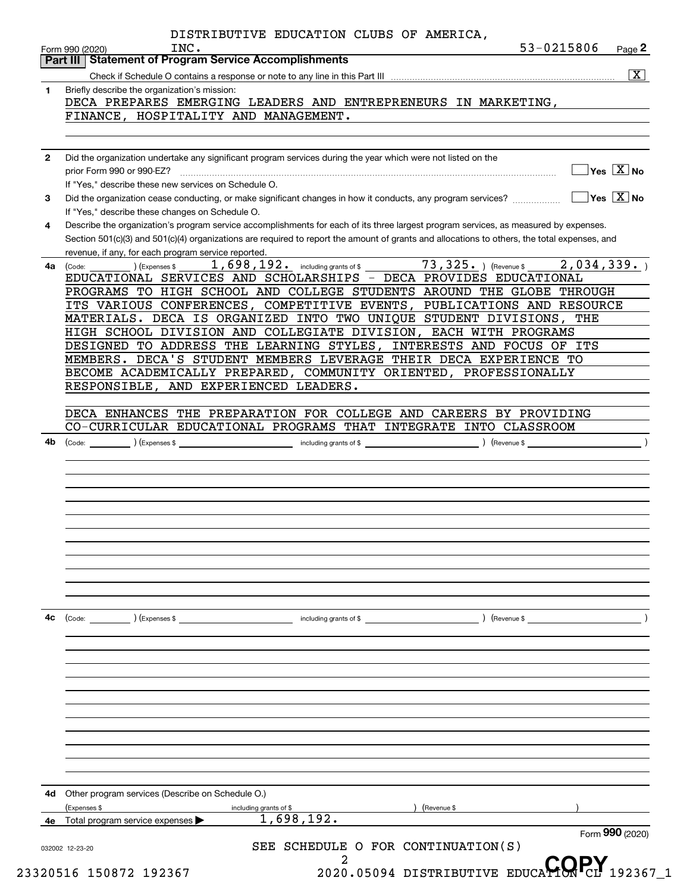|              | $\overline{\mathbf{x}}$                                                                                                                                                                             |
|--------------|-----------------------------------------------------------------------------------------------------------------------------------------------------------------------------------------------------|
| $\mathbf 1$  | Briefly describe the organization's mission:                                                                                                                                                        |
|              | DECA PREPARES EMERGING LEADERS AND ENTREPRENEURS IN MARKETING,                                                                                                                                      |
|              | FINANCE, HOSPITALITY AND MANAGEMENT.                                                                                                                                                                |
|              |                                                                                                                                                                                                     |
| $\mathbf{2}$ | Did the organization undertake any significant program services during the year which were not listed on the<br>$\sqrt{}$ Yes $\sqrt{}$ X $\sqrt{}$ No<br>prior Form 990 or 990-EZ?                 |
|              | If "Yes," describe these new services on Schedule O.                                                                                                                                                |
| 3            | $\overline{\mathsf{Yes} \mathrel{\;\;\overline{\mathbf{X}}\;}}$ No<br>Did the organization cease conducting, or make significant changes in how it conducts, any program services?                  |
| 4            | If "Yes," describe these changes on Schedule O.<br>Describe the organization's program service accomplishments for each of its three largest program services, as measured by expenses.             |
|              | Section 501(c)(3) and 501(c)(4) organizations are required to report the amount of grants and allocations to others, the total expenses, and<br>revenue, if any, for each program service reported. |
| 4a           | $73,325.$ ) (Revenue \$<br>2,034,339.<br>1,698,192. including grants of \$<br>(Code:<br>Expenses \$                                                                                                 |
|              | EDUCATIONAL SERVICES AND SCHOLARSHIPS - DECA PROVIDES EDUCATIONAL                                                                                                                                   |
|              | PROGRAMS TO HIGH SCHOOL AND COLLEGE STUDENTS AROUND THE GLOBE THROUGH                                                                                                                               |
|              | ITS VARIOUS CONFERENCES, COMPETITIVE EVENTS, PUBLICATIONS AND RESOURCE                                                                                                                              |
|              | MATERIALS. DECA IS ORGANIZED INTO TWO UNIQUE STUDENT DIVISIONS, THE                                                                                                                                 |
|              | HIGH SCHOOL DIVISION AND COLLEGIATE DIVISION, EACH WITH PROGRAMS                                                                                                                                    |
|              | DESIGNED TO ADDRESS THE LEARNING STYLES, INTERESTS AND FOCUS OF ITS                                                                                                                                 |
|              | MEMBERS. DECA'S STUDENT MEMBERS LEVERAGE THEIR DECA EXPERIENCE TO                                                                                                                                   |
|              | BECOME ACADEMICALLY PREPARED, COMMUNITY ORIENTED, PROFESSIONALLY                                                                                                                                    |
|              | RESPONSIBLE, AND EXPERIENCED LEADERS.                                                                                                                                                               |
|              | DECA ENHANCES THE PREPARATION FOR COLLEGE AND CAREERS BY PROVIDING                                                                                                                                  |
|              | CO-CURRICULAR EDUCATIONAL PROGRAMS THAT INTEGRATE INTO CLASSROOM                                                                                                                                    |
| 4b           | (Code:                                                                                                                                                                                              |
|              |                                                                                                                                                                                                     |
|              |                                                                                                                                                                                                     |
|              |                                                                                                                                                                                                     |
|              |                                                                                                                                                                                                     |
|              |                                                                                                                                                                                                     |
|              |                                                                                                                                                                                                     |
|              |                                                                                                                                                                                                     |
|              |                                                                                                                                                                                                     |
|              |                                                                                                                                                                                                     |
|              |                                                                                                                                                                                                     |
|              |                                                                                                                                                                                                     |
| 4c           | $\left(\text{Code:} \right)$ $\left(\text{Expenses $}\right)$<br>including grants of \$<br>) (Revenue \$                                                                                            |
|              |                                                                                                                                                                                                     |
|              |                                                                                                                                                                                                     |
|              |                                                                                                                                                                                                     |
|              |                                                                                                                                                                                                     |
|              |                                                                                                                                                                                                     |
|              |                                                                                                                                                                                                     |
|              |                                                                                                                                                                                                     |
|              |                                                                                                                                                                                                     |
|              | Other program services (Describe on Schedule O.)<br>(Expenses \$<br>including grants of \$<br>Revenue \$<br>1,698,192.                                                                              |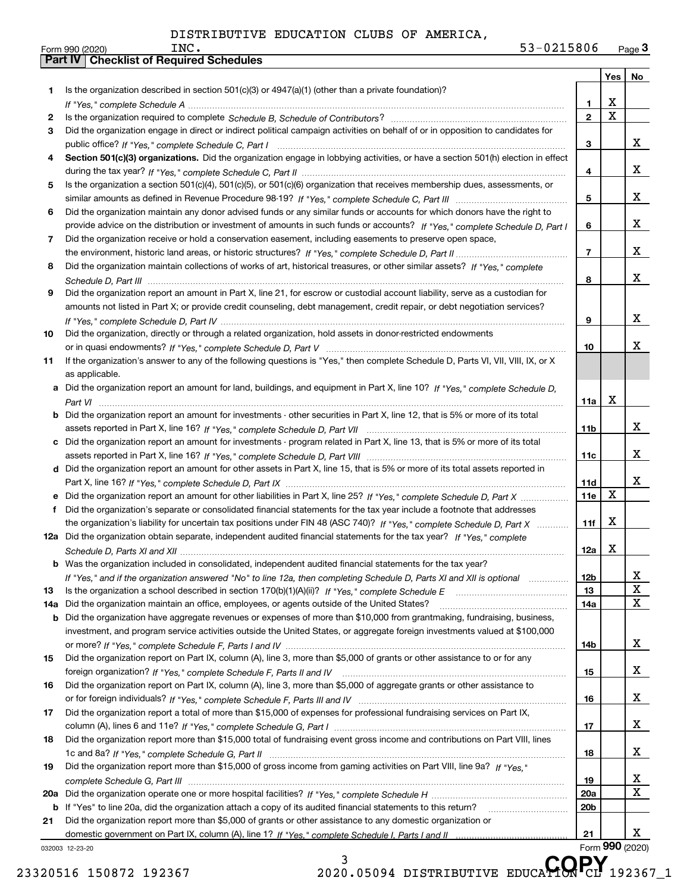Form 990 (2020)<br>**Part IV** Checklist of Required Schedules

|     |                                                                                                                                  |                 | Yes                     | No              |
|-----|----------------------------------------------------------------------------------------------------------------------------------|-----------------|-------------------------|-----------------|
| 1.  | Is the organization described in section $501(c)(3)$ or $4947(a)(1)$ (other than a private foundation)?                          |                 |                         |                 |
|     |                                                                                                                                  | 1               | X                       |                 |
| 2   |                                                                                                                                  | $\overline{2}$  | $\overline{\mathbf{x}}$ |                 |
| 3   | Did the organization engage in direct or indirect political campaign activities on behalf of or in opposition to candidates for  |                 |                         |                 |
|     |                                                                                                                                  | З               |                         | x               |
|     | Section 501(c)(3) organizations. Did the organization engage in lobbying activities, or have a section 501(h) election in effect |                 |                         |                 |
|     |                                                                                                                                  | 4               |                         | x               |
| 5   | Is the organization a section 501(c)(4), 501(c)(5), or 501(c)(6) organization that receives membership dues, assessments, or     |                 |                         |                 |
|     |                                                                                                                                  | 5               |                         | x               |
| 6   | Did the organization maintain any donor advised funds or any similar funds or accounts for which donors have the right to        |                 |                         |                 |
|     | provide advice on the distribution or investment of amounts in such funds or accounts? If "Yes," complete Schedule D, Part I     | 6               |                         | x               |
| 7   | Did the organization receive or hold a conservation easement, including easements to preserve open space,                        |                 |                         | x               |
|     |                                                                                                                                  | $\overline{7}$  |                         |                 |
| 8   | Did the organization maintain collections of works of art, historical treasures, or other similar assets? If "Yes," complete     |                 |                         | x               |
|     |                                                                                                                                  | 8               |                         |                 |
| 9   | Did the organization report an amount in Part X, line 21, for escrow or custodial account liability, serve as a custodian for    |                 |                         |                 |
|     | amounts not listed in Part X; or provide credit counseling, debt management, credit repair, or debt negotiation services?        | 9               |                         | x               |
| 10  | Did the organization, directly or through a related organization, hold assets in donor-restricted endowments                     |                 |                         |                 |
|     |                                                                                                                                  | 10              |                         | x               |
| 11  | If the organization's answer to any of the following questions is "Yes," then complete Schedule D, Parts VI, VII, VIII, IX, or X |                 |                         |                 |
|     | as applicable.                                                                                                                   |                 |                         |                 |
|     | a Did the organization report an amount for land, buildings, and equipment in Part X, line 10? If "Yes," complete Schedule D,    |                 |                         |                 |
|     |                                                                                                                                  | 11a             | Х                       |                 |
| b   | Did the organization report an amount for investments - other securities in Part X, line 12, that is 5% or more of its total     |                 |                         |                 |
|     |                                                                                                                                  | 11 <sub>b</sub> |                         | x               |
| c   | Did the organization report an amount for investments - program related in Part X, line 13, that is 5% or more of its total      |                 |                         |                 |
|     |                                                                                                                                  | 11c             |                         | X.              |
|     | d Did the organization report an amount for other assets in Part X, line 15, that is 5% or more of its total assets reported in  |                 |                         |                 |
|     |                                                                                                                                  | 11d             |                         | x               |
|     | e Did the organization report an amount for other liabilities in Part X, line 25? If "Yes," complete Schedule D, Part X          | 11e             | X                       |                 |
| f   | Did the organization's separate or consolidated financial statements for the tax year include a footnote that addresses          |                 |                         |                 |
|     | the organization's liability for uncertain tax positions under FIN 48 (ASC 740)? If "Yes," complete Schedule D, Part X           | 11f             | X                       |                 |
|     | 12a Did the organization obtain separate, independent audited financial statements for the tax year? If "Yes," complete          |                 |                         |                 |
|     |                                                                                                                                  | 12a             | X                       |                 |
|     | <b>b</b> Was the organization included in consolidated, independent audited financial statements for the tax year?               |                 |                         |                 |
|     | If "Yes," and if the organization answered "No" to line 12a, then completing Schedule D, Parts XI and XII is optional            | 12b             |                         | A               |
| 13  |                                                                                                                                  | 13              |                         | X               |
| 14a | Did the organization maintain an office, employees, or agents outside of the United States?                                      | 14a             |                         | X               |
| b   | Did the organization have aggregate revenues or expenses of more than \$10,000 from grantmaking, fundraising, business,          |                 |                         |                 |
|     | investment, and program service activities outside the United States, or aggregate foreign investments valued at \$100,000       |                 |                         |                 |
|     | Did the organization report on Part IX, column (A), line 3, more than \$5,000 of grants or other assistance to or for any        | 14b             |                         | X.              |
| 15  |                                                                                                                                  |                 |                         | x               |
|     | Did the organization report on Part IX, column (A), line 3, more than \$5,000 of aggregate grants or other assistance to         | 15              |                         |                 |
| 16  |                                                                                                                                  | 16              |                         | x               |
| 17  | Did the organization report a total of more than \$15,000 of expenses for professional fundraising services on Part IX,          |                 |                         |                 |
|     |                                                                                                                                  | 17              |                         | x               |
| 18  | Did the organization report more than \$15,000 total of fundraising event gross income and contributions on Part VIII, lines     |                 |                         |                 |
|     |                                                                                                                                  | 18              |                         | x               |
| 19  | Did the organization report more than \$15,000 of gross income from gaming activities on Part VIII, line 9a? If "Yes."           |                 |                         |                 |
|     |                                                                                                                                  | 19              |                         | X               |
|     |                                                                                                                                  | <b>20a</b>      |                         | х               |
| b   | If "Yes" to line 20a, did the organization attach a copy of its audited financial statements to this return?                     | 20 <sub>b</sub> |                         |                 |
| 21  | Did the organization report more than \$5,000 of grants or other assistance to any domestic organization or                      |                 |                         |                 |
|     |                                                                                                                                  | 21              |                         | x               |
|     | 032003 12-23-20                                                                                                                  |                 |                         | Form 990 (2020) |
|     | 3<br>CODV                                                                                                                        |                 |                         |                 |

23320516 150872 192367 2020.05094 DISTRIBUTIVE EDUCA**HON** CL 192367\_1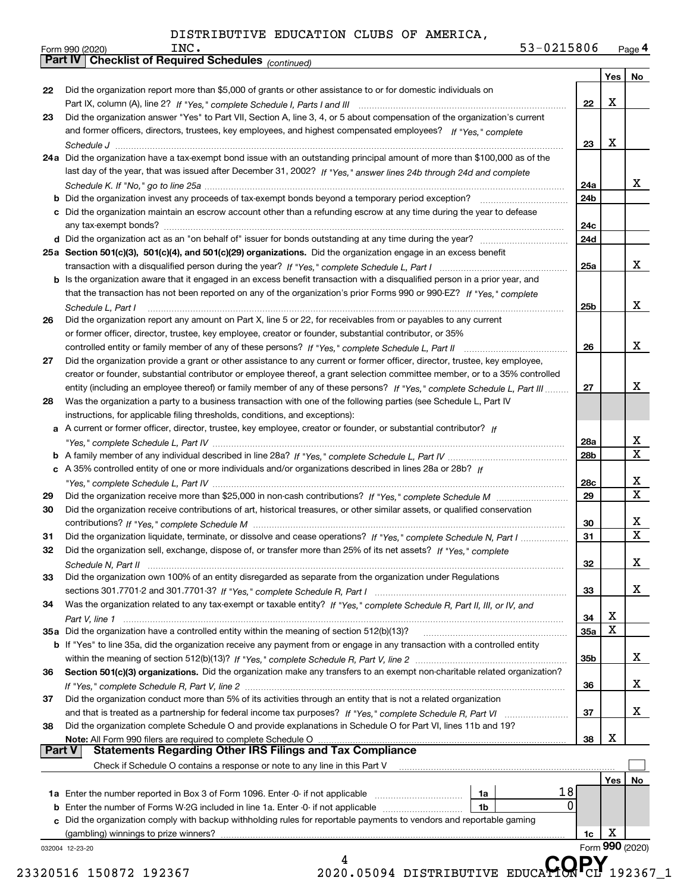|               |                                                                                                                              |     | Yes   No        |                         |
|---------------|------------------------------------------------------------------------------------------------------------------------------|-----|-----------------|-------------------------|
| 22            | Did the organization report more than \$5,000 of grants or other assistance to or for domestic individuals on                |     |                 |                         |
|               |                                                                                                                              | 22  | х               |                         |
| 23            | Did the organization answer "Yes" to Part VII, Section A, line 3, 4, or 5 about compensation of the organization's current   |     |                 |                         |
|               | and former officers, directors, trustees, key employees, and highest compensated employees? If "Yes." complete               |     |                 |                         |
|               |                                                                                                                              | 23  | x               |                         |
|               | 24a Did the organization have a tax-exempt bond issue with an outstanding principal amount of more than \$100,000 as of the  |     |                 |                         |
|               | last day of the year, that was issued after December 31, 2002? If "Yes," answer lines 24b through 24d and complete           |     |                 |                         |
|               |                                                                                                                              | 24a |                 | x                       |
|               |                                                                                                                              | 24b |                 |                         |
|               | c Did the organization maintain an escrow account other than a refunding escrow at any time during the year to defease       |     |                 |                         |
|               |                                                                                                                              | 24c |                 |                         |
|               |                                                                                                                              | 24d |                 |                         |
|               | 25a Section 501(c)(3), 501(c)(4), and 501(c)(29) organizations. Did the organization engage in an excess benefit             |     |                 |                         |
|               |                                                                                                                              | 25a |                 | x                       |
|               | b Is the organization aware that it engaged in an excess benefit transaction with a disqualified person in a prior year, and |     |                 |                         |
|               | that the transaction has not been reported on any of the organization's prior Forms 990 or 990-EZ? If "Yes," complete        |     |                 |                         |
|               |                                                                                                                              | 25b |                 | x                       |
| 26            | Did the organization report any amount on Part X, line 5 or 22, for receivables from or payables to any current              |     |                 |                         |
|               | or former officer, director, trustee, key employee, creator or founder, substantial contributor, or 35%                      |     |                 |                         |
|               |                                                                                                                              | 26  |                 | X                       |
| 27            | Did the organization provide a grant or other assistance to any current or former officer, director, trustee, key employee,  |     |                 |                         |
|               | creator or founder, substantial contributor or employee thereof, a grant selection committee member, or to a 35% controlled  |     |                 |                         |
|               | entity (including an employee thereof) or family member of any of these persons? If "Yes," complete Schedule L, Part III     | 27  |                 | х                       |
| 28            | Was the organization a party to a business transaction with one of the following parties (see Schedule L, Part IV            |     |                 |                         |
|               | instructions, for applicable filing thresholds, conditions, and exceptions):                                                 |     |                 |                         |
|               | a A current or former officer, director, trustee, key employee, creator or founder, or substantial contributor? If           |     |                 |                         |
|               |                                                                                                                              | 28a |                 | $\overline{\mathbf{x}}$ |
|               |                                                                                                                              | 28b |                 | $\overline{\mathbf{x}}$ |
|               | c A 35% controlled entity of one or more individuals and/or organizations described in lines 28a or 28b? If                  |     |                 |                         |
|               |                                                                                                                              | 28c |                 | x                       |
| 29            |                                                                                                                              | 29  |                 | $\overline{\mathbf{x}}$ |
| 30            | Did the organization receive contributions of art, historical treasures, or other similar assets, or qualified conservation  |     |                 |                         |
|               |                                                                                                                              | 30  |                 | х                       |
| 31            | Did the organization liquidate, terminate, or dissolve and cease operations? If "Yes," complete Schedule N, Part I           | 31  |                 | $\overline{\mathbf{x}}$ |
| 32            | Did the organization sell, exchange, dispose of, or transfer more than 25% of its net assets? If "Yes," complete             |     |                 |                         |
|               |                                                                                                                              | 32  |                 | X                       |
| 33            | Did the organization own 100% of an entity disregarded as separate from the organization under Regulations                   |     |                 |                         |
|               |                                                                                                                              | 33  |                 | x                       |
|               | Was the organization related to any tax-exempt or taxable entity? If "Yes," complete Schedule R, Part II, III, or IV, and    |     |                 |                         |
| 34            |                                                                                                                              | 34  | х               |                         |
|               | 35a Did the organization have a controlled entity within the meaning of section 512(b)(13)?                                  |     | X               |                         |
|               |                                                                                                                              | 35a |                 |                         |
|               | b If "Yes" to line 35a, did the organization receive any payment from or engage in any transaction with a controlled entity  |     |                 |                         |
|               |                                                                                                                              | 35b |                 | x                       |
| 36            | Section 501(c)(3) organizations. Did the organization make any transfers to an exempt non-charitable related organization?   |     |                 |                         |
|               |                                                                                                                              | 36  |                 | x                       |
| 37            | Did the organization conduct more than 5% of its activities through an entity that is not a related organization             |     |                 |                         |
|               |                                                                                                                              | 37  |                 | x                       |
| 38            | Did the organization complete Schedule O and provide explanations in Schedule O for Part VI, lines 11b and 19?               |     |                 |                         |
|               | Note: All Form 990 filers are required to complete Schedule O                                                                | 38  | x               |                         |
| <b>Part V</b> | <b>Statements Regarding Other IRS Filings and Tax Compliance</b>                                                             |     |                 |                         |
|               | Check if Schedule O contains a response or note to any line in this Part V                                                   |     |                 |                         |
|               |                                                                                                                              |     | Yes   No        |                         |
|               | 18<br>1a                                                                                                                     |     |                 |                         |
|               | 1b                                                                                                                           | 0   |                 |                         |
|               | c Did the organization comply with backup withholding rules for reportable payments to vendors and reportable gaming         |     |                 |                         |
|               |                                                                                                                              | 1c  | х               |                         |
|               |                                                                                                                              |     | Form 990 (2020) |                         |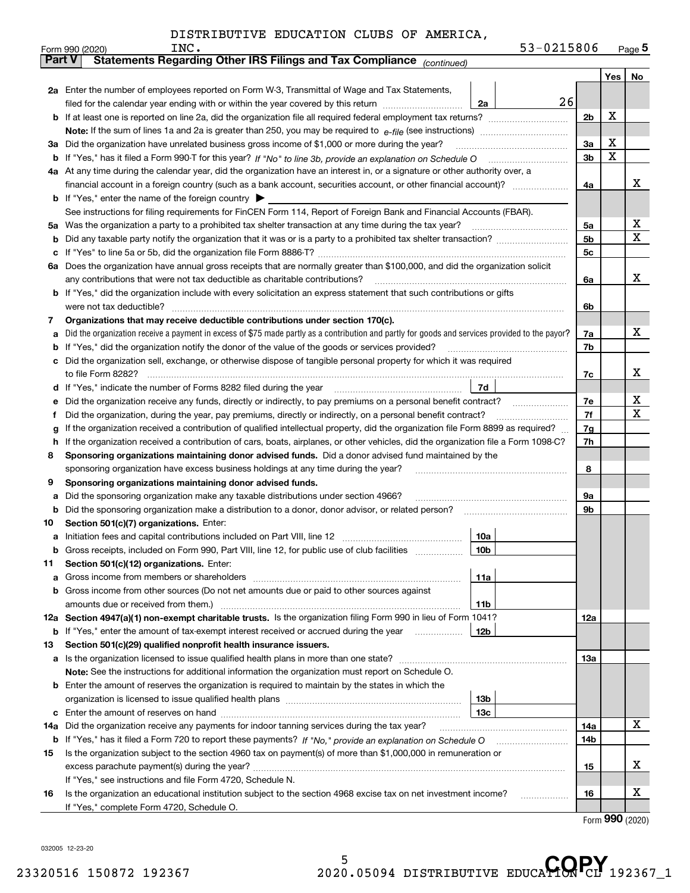|               | Form 990 (2020)                                                                                                                    | INC.                                                                                                                                            |                 | 53-0215806 |                |     | $_{\text{Page}}$ 5 |  |  |  |
|---------------|------------------------------------------------------------------------------------------------------------------------------------|-------------------------------------------------------------------------------------------------------------------------------------------------|-----------------|------------|----------------|-----|--------------------|--|--|--|
| <b>Part V</b> |                                                                                                                                    | Statements Regarding Other IRS Filings and Tax Compliance (continued)                                                                           |                 |            |                |     |                    |  |  |  |
|               |                                                                                                                                    |                                                                                                                                                 |                 |            |                | Yes | No                 |  |  |  |
|               |                                                                                                                                    | 2a Enter the number of employees reported on Form W-3, Transmittal of Wage and Tax Statements,                                                  |                 |            |                |     |                    |  |  |  |
|               |                                                                                                                                    | filed for the calendar year ending with or within the year covered by this return                                                               | 2a              | 26         |                |     |                    |  |  |  |
| b             |                                                                                                                                    |                                                                                                                                                 |                 |            | 2 <sub>b</sub> | х   |                    |  |  |  |
|               |                                                                                                                                    |                                                                                                                                                 |                 |            |                |     |                    |  |  |  |
| За            |                                                                                                                                    | Did the organization have unrelated business gross income of \$1,000 or more during the year?                                                   |                 |            | 3a             | х   |                    |  |  |  |
| b             |                                                                                                                                    |                                                                                                                                                 |                 |            | 3b             | X   |                    |  |  |  |
|               |                                                                                                                                    | 4a At any time during the calendar year, did the organization have an interest in, or a signature or other authority over, a                    |                 |            |                |     |                    |  |  |  |
|               |                                                                                                                                    | financial account in a foreign country (such as a bank account, securities account, or other financial account)?                                |                 |            | 4a             |     | х                  |  |  |  |
|               |                                                                                                                                    | <b>b</b> If "Yes," enter the name of the foreign country $\blacktriangleright$                                                                  |                 |            |                |     |                    |  |  |  |
|               | See instructions for filing requirements for FinCEN Form 114, Report of Foreign Bank and Financial Accounts (FBAR).                |                                                                                                                                                 |                 |            |                |     |                    |  |  |  |
| 5a            |                                                                                                                                    | Was the organization a party to a prohibited tax shelter transaction at any time during the tax year?                                           |                 |            | 5a             |     | х                  |  |  |  |
| b             |                                                                                                                                    |                                                                                                                                                 |                 |            | 5b             |     | X                  |  |  |  |
| с             |                                                                                                                                    |                                                                                                                                                 |                 |            | 5c             |     |                    |  |  |  |
| 6а            |                                                                                                                                    | Does the organization have annual gross receipts that are normally greater than \$100,000, and did the organization solicit                     |                 |            |                |     |                    |  |  |  |
|               |                                                                                                                                    | any contributions that were not tax deductible as charitable contributions?                                                                     |                 |            | 6a             |     | x                  |  |  |  |
| b             |                                                                                                                                    | If "Yes," did the organization include with every solicitation an express statement that such contributions or gifts                            |                 |            |                |     |                    |  |  |  |
|               |                                                                                                                                    | were not tax deductible?                                                                                                                        |                 |            | 6b             |     |                    |  |  |  |
| 7             |                                                                                                                                    | Organizations that may receive deductible contributions under section 170(c).                                                                   |                 |            |                |     |                    |  |  |  |
| а             |                                                                                                                                    | Did the organization receive a payment in excess of \$75 made partly as a contribution and partly for goods and services provided to the payor? |                 |            | 7a             |     | x                  |  |  |  |
| b             |                                                                                                                                    | If "Yes," did the organization notify the donor of the value of the goods or services provided?                                                 |                 |            | 7b             |     |                    |  |  |  |
| с             |                                                                                                                                    | Did the organization sell, exchange, or otherwise dispose of tangible personal property for which it was required                               |                 |            |                |     |                    |  |  |  |
|               |                                                                                                                                    | to file Form 8282?                                                                                                                              |                 |            | 7c             |     | x                  |  |  |  |
| d             |                                                                                                                                    | If "Yes," indicate the number of Forms 8282 filed during the year                                                                               | 7d              |            |                |     |                    |  |  |  |
| е             | Did the organization receive any funds, directly or indirectly, to pay premiums on a personal benefit contract?                    |                                                                                                                                                 |                 |            |                |     |                    |  |  |  |
| f             | Did the organization, during the year, pay premiums, directly or indirectly, on a personal benefit contract?                       |                                                                                                                                                 |                 |            |                |     |                    |  |  |  |
| g             | If the organization received a contribution of qualified intellectual property, did the organization file Form 8899 as required?   |                                                                                                                                                 |                 |            |                |     |                    |  |  |  |
| h             | If the organization received a contribution of cars, boats, airplanes, or other vehicles, did the organization file a Form 1098-C? |                                                                                                                                                 |                 |            |                |     |                    |  |  |  |
| 8             | Sponsoring organizations maintaining donor advised funds. Did a donor advised fund maintained by the                               |                                                                                                                                                 |                 |            |                |     |                    |  |  |  |
|               | sponsoring organization have excess business holdings at any time during the year?                                                 |                                                                                                                                                 |                 |            |                |     |                    |  |  |  |
| 9             |                                                                                                                                    | Sponsoring organizations maintaining donor advised funds.                                                                                       |                 |            |                |     |                    |  |  |  |
| а             |                                                                                                                                    | Did the sponsoring organization make any taxable distributions under section 4966?                                                              |                 |            | 9а             |     |                    |  |  |  |
| b             |                                                                                                                                    | Did the sponsoring organization make a distribution to a donor, donor advisor, or related person?                                               |                 |            | 9b             |     |                    |  |  |  |
| 10            |                                                                                                                                    | Section 501(c)(7) organizations. Enter:                                                                                                         |                 |            |                |     |                    |  |  |  |
| а             |                                                                                                                                    |                                                                                                                                                 | 10a             |            |                |     |                    |  |  |  |
|               |                                                                                                                                    | Gross receipts, included on Form 990, Part VIII, line 12, for public use of club facilities                                                     | 10 <sub>b</sub> |            |                |     |                    |  |  |  |
| 11            |                                                                                                                                    | Section 501(c)(12) organizations. Enter:                                                                                                        |                 |            |                |     |                    |  |  |  |
| a             |                                                                                                                                    | Gross income from members or shareholders                                                                                                       | 11a             |            |                |     |                    |  |  |  |
| b             |                                                                                                                                    | Gross income from other sources (Do not net amounts due or paid to other sources against                                                        |                 |            |                |     |                    |  |  |  |
|               |                                                                                                                                    | amounts due or received from them.)                                                                                                             | 11b             |            |                |     |                    |  |  |  |
|               |                                                                                                                                    | 12a Section 4947(a)(1) non-exempt charitable trusts. Is the organization filing Form 990 in lieu of Form 1041?                                  |                 |            | 12a            |     |                    |  |  |  |
|               |                                                                                                                                    | <b>b</b> If "Yes," enter the amount of tax-exempt interest received or accrued during the year <i>manument</i>                                  | 12b             |            |                |     |                    |  |  |  |
| 13            |                                                                                                                                    | Section 501(c)(29) qualified nonprofit health insurance issuers.                                                                                |                 |            |                |     |                    |  |  |  |
| a             |                                                                                                                                    | Is the organization licensed to issue qualified health plans in more than one state?                                                            |                 |            | 13a            |     |                    |  |  |  |
|               |                                                                                                                                    | Note: See the instructions for additional information the organization must report on Schedule O.                                               |                 |            |                |     |                    |  |  |  |
| b             |                                                                                                                                    | Enter the amount of reserves the organization is required to maintain by the states in which the                                                |                 |            |                |     |                    |  |  |  |
|               |                                                                                                                                    |                                                                                                                                                 | 13 <sub>b</sub> |            |                |     |                    |  |  |  |
| с             |                                                                                                                                    |                                                                                                                                                 | 13 <sub>c</sub> |            |                |     |                    |  |  |  |
| 14a           |                                                                                                                                    | Did the organization receive any payments for indoor tanning services during the tax year?                                                      |                 |            | 14a            |     | x                  |  |  |  |
| b             |                                                                                                                                    | If "Yes," has it filed a Form 720 to report these payments? If "No," provide an explanation on Schedule O                                       |                 |            | 14b            |     |                    |  |  |  |
| 15            |                                                                                                                                    | Is the organization subject to the section 4960 tax on payment(s) of more than \$1,000,000 in remuneration or                                   |                 |            |                |     |                    |  |  |  |
|               |                                                                                                                                    | excess parachute payment(s) during the year?                                                                                                    |                 |            | 15             |     | x                  |  |  |  |
|               |                                                                                                                                    | If "Yes," see instructions and file Form 4720, Schedule N.                                                                                      |                 |            |                |     |                    |  |  |  |
| 16            |                                                                                                                                    | Is the organization an educational institution subject to the section 4968 excise tax on net investment income?                                 |                 |            | 16             |     | х                  |  |  |  |
|               |                                                                                                                                    | If "Yes," complete Form 4720, Schedule O.                                                                                                       |                 |            |                |     |                    |  |  |  |

Form (2020) **990**

032005 12-23-20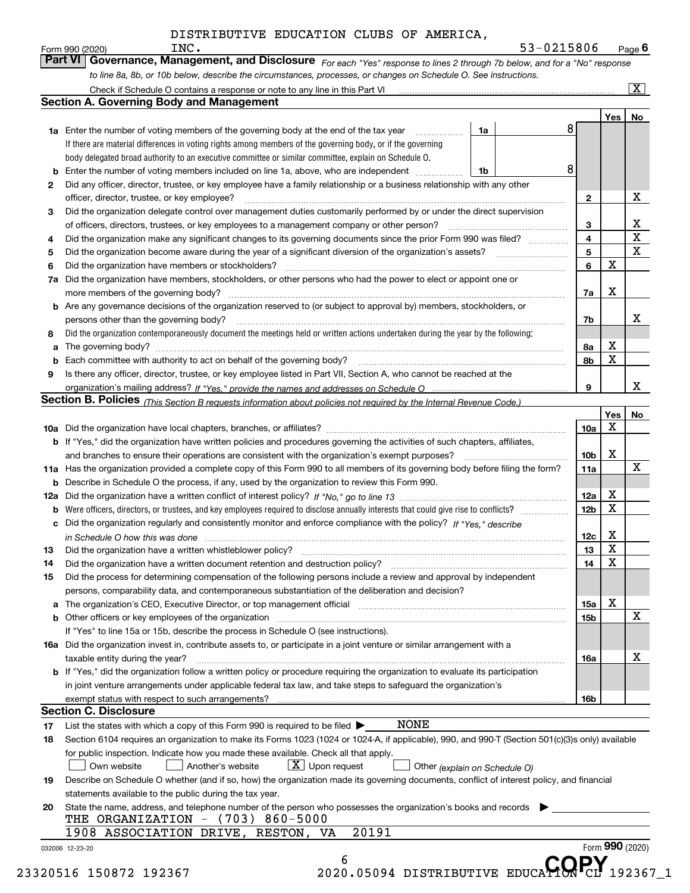|    | to line 8a, 8b, or 10b below, describe the circumstances, processes, or changes on Schedule O. See instructions.                                                                                                                |                 |                 |                         |
|----|---------------------------------------------------------------------------------------------------------------------------------------------------------------------------------------------------------------------------------|-----------------|-----------------|-------------------------|
|    |                                                                                                                                                                                                                                 |                 |                 | $\overline{\mathbf{x}}$ |
|    | <b>Section A. Governing Body and Management</b>                                                                                                                                                                                 |                 |                 |                         |
|    | 8                                                                                                                                                                                                                               |                 | Yes             | No                      |
|    | 1a Enter the number of voting members of the governing body at the end of the tax year <i>manumum</i><br>1a                                                                                                                     |                 |                 |                         |
|    | If there are material differences in voting rights among members of the governing body, or if the governing                                                                                                                     |                 |                 |                         |
|    | body delegated broad authority to an executive committee or similar committee, explain on Schedule O.                                                                                                                           |                 |                 |                         |
| b  | 8<br>Enter the number of voting members included on line 1a, above, who are independent<br>1b                                                                                                                                   |                 |                 |                         |
| 2  | Did any officer, director, trustee, or key employee have a family relationship or a business relationship with any other                                                                                                        |                 |                 |                         |
|    | officer, director, trustee, or key employee?                                                                                                                                                                                    | $\mathbf{2}$    |                 | X                       |
| з  | Did the organization delegate control over management duties customarily performed by or under the direct supervision                                                                                                           |                 |                 |                         |
|    | of officers, directors, trustees, or key employees to a management company or other person?                                                                                                                                     | 3               |                 | $\frac{X}{X}$           |
| 4  | Did the organization make any significant changes to its governing documents since the prior Form 990 was filed?                                                                                                                | 4               |                 | $\overline{\mathtt{x}}$ |
| 5  |                                                                                                                                                                                                                                 | 5               | X               |                         |
| 6  | Did the organization have members or stockholders?                                                                                                                                                                              | 6               |                 |                         |
| 7a | Did the organization have members, stockholders, or other persons who had the power to elect or appoint one or                                                                                                                  |                 |                 |                         |
|    | more members of the governing body?                                                                                                                                                                                             | 7a              | х               |                         |
|    | <b>b</b> Are any governance decisions of the organization reserved to (or subject to approval by) members, stockholders, or                                                                                                     |                 |                 |                         |
|    | persons other than the governing body?                                                                                                                                                                                          | 7b              |                 | х                       |
| 8  | Did the organization contemporaneously document the meetings held or written actions undertaken during the year by the following:                                                                                               |                 |                 |                         |
| a  |                                                                                                                                                                                                                                 | 8a              | Х<br>X          |                         |
| b  | Each committee with authority to act on behalf of the governing body?                                                                                                                                                           | 8b              |                 |                         |
| 9  | Is there any officer, director, trustee, or key employee listed in Part VII, Section A, who cannot be reached at the                                                                                                            |                 |                 | X                       |
|    |                                                                                                                                                                                                                                 | 9               |                 |                         |
|    | Section B. Policies (This Section B requests information about policies not required by the Internal Revenue Code.)                                                                                                             |                 | Yes             |                         |
|    |                                                                                                                                                                                                                                 | 10a             | x               | No                      |
|    |                                                                                                                                                                                                                                 |                 |                 |                         |
|    | b If "Yes," did the organization have written policies and procedures governing the activities of such chapters, affiliates,<br>and branches to ensure their operations are consistent with the organization's exempt purposes? | 10 <sub>b</sub> | Х               |                         |
|    | 11a Has the organization provided a complete copy of this Form 990 to all members of its governing body before filing the form?                                                                                                 | 11a             |                 | X                       |
|    | <b>b</b> Describe in Schedule O the process, if any, used by the organization to review this Form 990.                                                                                                                          |                 |                 |                         |
|    |                                                                                                                                                                                                                                 | 12a             | х               |                         |
| b  |                                                                                                                                                                                                                                 | 12 <sub>b</sub> | $\mathbf X$     |                         |
| с  | Did the organization regularly and consistently monitor and enforce compliance with the policy? If "Yes," describe                                                                                                              |                 |                 |                         |
|    | in Schedule O how this was done manufactured and continuum control of the state of the state of the state of t                                                                                                                  | 12c             | x               |                         |
| 13 | Did the organization have a written whistleblower policy?                                                                                                                                                                       | 13              | X               |                         |
| 14 | Did the organization have a written document retention and destruction policy? [11] manufaction policy?                                                                                                                         | 14              | X               |                         |
| 15 | Did the process for determining compensation of the following persons include a review and approval by independent                                                                                                              |                 |                 |                         |
|    | persons, comparability data, and contemporaneous substantiation of the deliberation and decision?                                                                                                                               |                 |                 |                         |
| a  | The organization's CEO, Executive Director, or top management official manufactured content content of the organization's CEO, Executive Director, or top management official manufactured content of the organization's        | 15a             | Х               |                         |
|    |                                                                                                                                                                                                                                 | 15 <sub>b</sub> |                 | $\mathbf x$             |
|    | If "Yes" to line 15a or 15b, describe the process in Schedule O (see instructions).                                                                                                                                             |                 |                 |                         |
|    | 16a Did the organization invest in, contribute assets to, or participate in a joint venture or similar arrangement with a                                                                                                       |                 |                 |                         |
|    | taxable entity during the year?                                                                                                                                                                                                 | 16a             |                 | х                       |
|    | <b>b</b> If "Yes," did the organization follow a written policy or procedure requiring the organization to evaluate its participation                                                                                           |                 |                 |                         |
|    | in joint venture arrangements under applicable federal tax law, and take steps to safeguard the organization's                                                                                                                  |                 |                 |                         |
|    |                                                                                                                                                                                                                                 | 16b             |                 |                         |
|    | <b>Section C. Disclosure</b>                                                                                                                                                                                                    |                 |                 |                         |
| 17 | <b>NONE</b><br>List the states with which a copy of this Form 990 is required to be filed $\blacktriangleright$                                                                                                                 |                 |                 |                         |
| 18 | Section 6104 requires an organization to make its Forms 1023 (1024 or 1024-A, if applicable), 990, and 990-T (Section 501(c)(3)s only) available                                                                                |                 |                 |                         |
|    | for public inspection. Indicate how you made these available. Check all that apply.                                                                                                                                             |                 |                 |                         |
|    | $X$ Upon request<br>Own website<br>Another's website<br>Other (explain on Schedule O)                                                                                                                                           |                 |                 |                         |
| 19 | Describe on Schedule O whether (and if so, how) the organization made its governing documents, conflict of interest policy, and financial                                                                                       |                 |                 |                         |
|    | statements available to the public during the tax year.                                                                                                                                                                         |                 |                 |                         |
| 20 | State the name, address, and telephone number of the person who possesses the organization's books and records                                                                                                                  |                 |                 |                         |
|    | THE ORGANIZATION - (703) 860-5000                                                                                                                                                                                               |                 |                 |                         |
|    | 20191<br>1908 ASSOCIATION DRIVE, RESTON, VA                                                                                                                                                                                     |                 |                 |                         |
|    |                                                                                                                                                                                                                                 |                 | Form 990 (2020) |                         |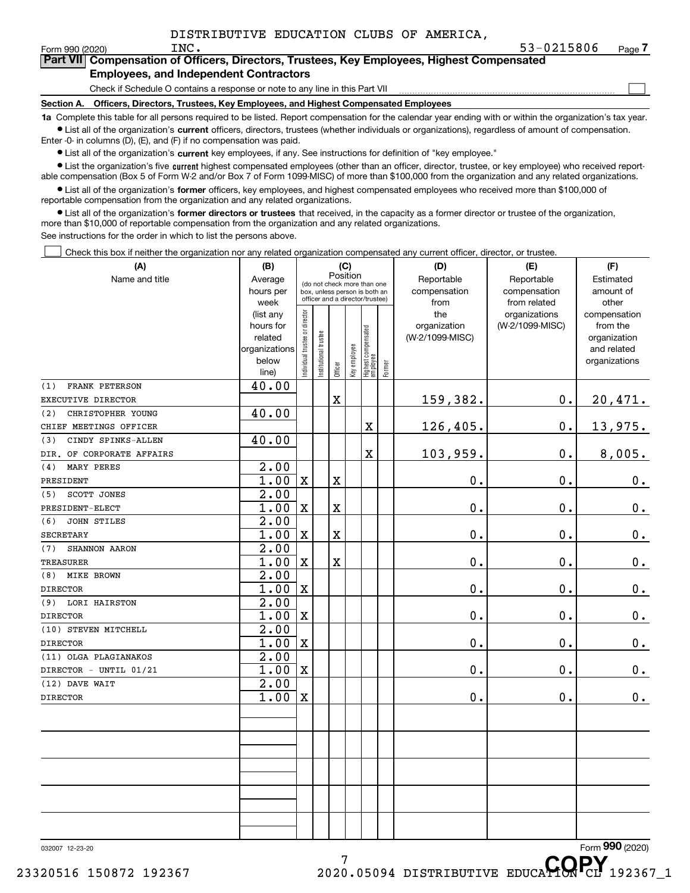$\mathcal{L}^{\text{max}}$ 

| orm 990 (2020) <sup>.</sup> | INC.                                          | 53-0215806                                                                                 | Page <i>I</i> |
|-----------------------------|-----------------------------------------------|--------------------------------------------------------------------------------------------|---------------|
|                             |                                               | Part VII Compensation of Officers, Directors, Trustees, Key Employees, Highest Compensated |               |
|                             | <b>Employees, and Independent Contractors</b> |                                                                                            |               |

Check if Schedule O contains a response or note to any line in this Part VII

**Section A. Officers, Directors, Trustees, Key Employees, and Highest Compensated Employees**

**1a**  Complete this table for all persons required to be listed. Report compensation for the calendar year ending with or within the organization's tax year. **•** List all of the organization's current officers, directors, trustees (whether individuals or organizations), regardless of amount of compensation.

Enter -0- in columns (D), (E), and (F) if no compensation was paid.

 $\bullet$  List all of the organization's  $\,$ current key employees, if any. See instructions for definition of "key employee."

• List the organization's five current highest compensated employees (other than an officer, director, trustee, or key employee) who received report-■ List the organization's five current highest compensated employees (other than an officer, director, trustee, or key employee) who received report-<br>able compensation (Box 5 of Form W-2 and/or Box 7 of Form 1099-MISC) of

**•** List all of the organization's former officers, key employees, and highest compensated employees who received more than \$100,000 of reportable compensation from the organization and any related organizations.

**former directors or trustees**  ¥ List all of the organization's that received, in the capacity as a former director or trustee of the organization, more than \$10,000 of reportable compensation from the organization and any related organizations.

See instructions for the order in which to list the persons above.

Check this box if neither the organization nor any related organization compensated any current officer, director, or trustee.  $\mathcal{L}^{\text{max}}$ 

| (A)                       | (B)               |                                |                                                              | (C)         |              |                                  |        | (D)             | (E)             | (F)             |
|---------------------------|-------------------|--------------------------------|--------------------------------------------------------------|-------------|--------------|----------------------------------|--------|-----------------|-----------------|-----------------|
| Name and title            | Average           |                                |                                                              | Position    |              |                                  |        | Reportable      | Reportable      | Estimated       |
|                           | hours per         |                                | (do not check more than one<br>box, unless person is both an |             |              |                                  |        | compensation    | compensation    | amount of       |
|                           | week              |                                | officer and a director/trustee)                              |             |              |                                  |        | from            | from related    | other           |
|                           | (list any         |                                |                                                              |             |              |                                  |        | the             | organizations   | compensation    |
|                           | hours for         |                                |                                                              |             |              |                                  |        | organization    | (W-2/1099-MISC) | from the        |
|                           | related           |                                |                                                              |             |              |                                  |        | (W-2/1099-MISC) |                 | organization    |
|                           | organizations     |                                |                                                              |             |              |                                  |        |                 |                 | and related     |
|                           | below             | Individual trustee or director | Institutional trustee                                        |             | Key employee | Highest compensated<br> employee | Former |                 |                 | organizations   |
|                           | line)             |                                |                                                              | Officer     |              |                                  |        |                 |                 |                 |
| FRANK PETERSON<br>(1)     | 40.00             |                                |                                                              |             |              |                                  |        |                 |                 |                 |
| EXECUTIVE DIRECTOR        |                   |                                |                                                              | $\mathbf X$ |              |                                  |        | 159,382.        | $\mathbf 0$ .   | 20,471.         |
| CHRISTOPHER YOUNG<br>(2)  | 40.00             |                                |                                                              |             |              |                                  |        |                 |                 |                 |
| CHIEF MEETINGS OFFICER    |                   |                                |                                                              |             |              | X                                |        | 126,405.        | $\mathbf 0$ .   | <u>13,975.</u>  |
| CINDY SPINKS-ALLEN<br>(3) | 40.00             |                                |                                                              |             |              |                                  |        |                 |                 |                 |
| DIR. OF CORPORATE AFFAIRS |                   |                                |                                                              |             |              | X                                |        | 103,959.        | $\mathbf 0$ .   | 8,005.          |
| MARY PERES<br>(4)         | $\overline{2.00}$ |                                |                                                              |             |              |                                  |        |                 |                 |                 |
| PRESIDENT                 | 1.00              | $\mathbf X$                    |                                                              | $\mathbf X$ |              |                                  |        | 0.              | $\mathbf 0$ .   | $0_{.}$         |
| <b>SCOTT JONES</b><br>(5) | $\overline{2.00}$ |                                |                                                              |             |              |                                  |        |                 |                 |                 |
| PRESIDENT-ELECT           | 1.00              | $\mathbf X$                    |                                                              | $\mathbf X$ |              |                                  |        | 0.              | $\mathbf 0$ .   | $0_{.}$         |
| <b>JOHN STILES</b><br>(6) | $\overline{2.00}$ |                                |                                                              |             |              |                                  |        |                 |                 |                 |
| <b>SECRETARY</b>          | 1.00              | $\mathbf X$                    |                                                              | $\mathbf X$ |              |                                  |        | 0.              | $\mathbf 0$ .   | 0.              |
| SHANNON AARON<br>(7)      | $\overline{2.00}$ |                                |                                                              |             |              |                                  |        |                 |                 |                 |
| <b>TREASURER</b>          | 1.00              | $\mathbf X$                    |                                                              | $\mathbf X$ |              |                                  |        | 0.              | $\mathbf 0$ .   | 0.              |
| <b>MIKE BROWN</b><br>(8)  | 2.00              |                                |                                                              |             |              |                                  |        |                 |                 |                 |
| <b>DIRECTOR</b>           | 1.00              | $\mathbf X$                    |                                                              |             |              |                                  |        | 0.              | $\mathbf 0$ .   | 0.              |
| LORI HAIRSTON<br>(9)      | 2.00              |                                |                                                              |             |              |                                  |        |                 |                 |                 |
| <b>DIRECTOR</b>           | 1.00              | $\mathbf X$                    |                                                              |             |              |                                  |        | 0.              | $0$ .           | $0_{.}$         |
| (10) STEVEN MITCHELL      | $\overline{2.00}$ |                                |                                                              |             |              |                                  |        |                 |                 |                 |
| <b>DIRECTOR</b>           | 1.00              | $\mathbf X$                    |                                                              |             |              |                                  |        | 0.              | $0$ .           | $0_{.}$         |
| (11) OLGA PLAGIANAKOS     | $\overline{2.00}$ |                                |                                                              |             |              |                                  |        |                 |                 |                 |
| DIRECTOR - UNTIL 01/21    | 1.00              | $\mathbf X$                    |                                                              |             |              |                                  |        | 0.              | $0$ .           | $0_{.}$         |
| (12) DAVE WAIT            | 2.00              |                                |                                                              |             |              |                                  |        |                 |                 |                 |
| <b>DIRECTOR</b>           | 1.00              | $\mathbf X$                    |                                                              |             |              |                                  |        | $\mathbf 0$ .   | $\mathbf 0$ .   | 0.              |
|                           |                   |                                |                                                              |             |              |                                  |        |                 |                 |                 |
|                           |                   |                                |                                                              |             |              |                                  |        |                 |                 |                 |
|                           |                   |                                |                                                              |             |              |                                  |        |                 |                 |                 |
|                           |                   |                                |                                                              |             |              |                                  |        |                 |                 |                 |
|                           |                   |                                |                                                              |             |              |                                  |        |                 |                 |                 |
|                           |                   |                                |                                                              |             |              |                                  |        |                 |                 |                 |
|                           |                   |                                |                                                              |             |              |                                  |        |                 |                 |                 |
|                           |                   |                                |                                                              |             |              |                                  |        |                 |                 |                 |
|                           |                   |                                |                                                              |             |              |                                  |        |                 |                 |                 |
|                           |                   |                                |                                                              |             |              |                                  |        |                 |                 |                 |
| 032007 12-23-20           |                   |                                |                                                              |             |              |                                  |        |                 |                 | Form 990 (2020) |
|                           |                   |                                |                                                              | 7           |              |                                  |        |                 | CODV            |                 |

<sup>7</sup><br>23320516 150872 192367 2020.05094 DISTRIBUTIVE EDUCA**HON** CL 192367\_1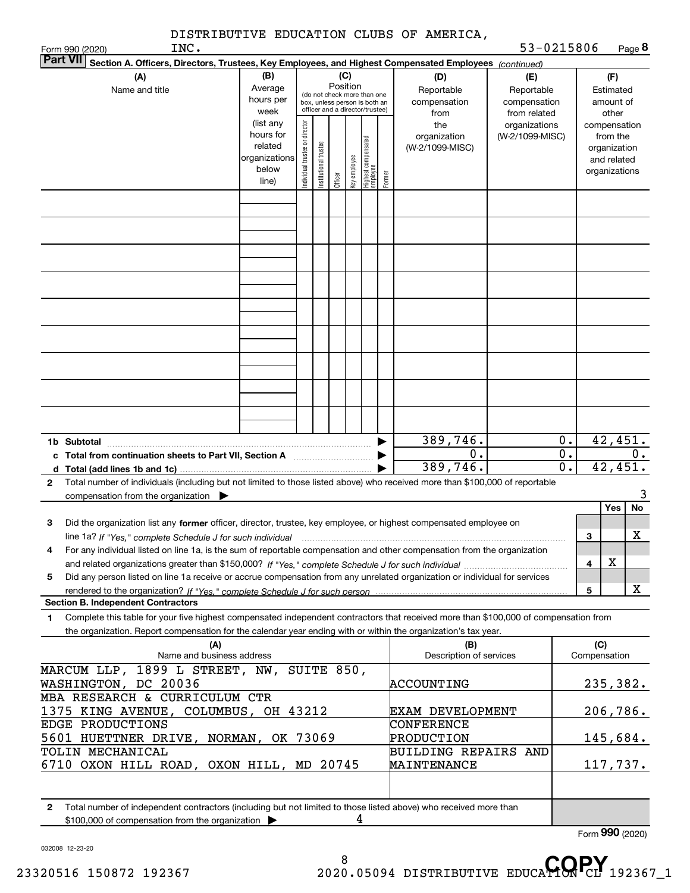|                                                                                                                                                                                                                                                             | INC.                             |                                                                      |                                |                       |                 |              |                                                                                                 |        | DISTRIBUTIVE EDUCATION CLUBS OF AMERICA,                                                               | 53-0215806                                        |                                                                          |                             |                                        | Page 8            |
|-------------------------------------------------------------------------------------------------------------------------------------------------------------------------------------------------------------------------------------------------------------|----------------------------------|----------------------------------------------------------------------|--------------------------------|-----------------------|-----------------|--------------|-------------------------------------------------------------------------------------------------|--------|--------------------------------------------------------------------------------------------------------|---------------------------------------------------|--------------------------------------------------------------------------|-----------------------------|----------------------------------------|-------------------|
| Form 990 (2020)<br><b>Part VII</b>                                                                                                                                                                                                                          |                                  |                                                                      |                                |                       |                 |              |                                                                                                 |        | Section A. Officers, Directors, Trustees, Key Employees, and Highest Compensated Employees (continued) |                                                   |                                                                          |                             |                                        |                   |
| (A)<br>Name and title                                                                                                                                                                                                                                       |                                  | (B)<br>Average<br>hours per<br>week                                  |                                |                       | (C)<br>Position |              | (do not check more than one<br>box, unless person is both an<br>officer and a director/trustee) |        | (D)<br>Reportable<br>compensation<br>from                                                              | (E)<br>Reportable<br>compensation<br>from related |                                                                          |                             | (F)<br>Estimated<br>amount of<br>other |                   |
|                                                                                                                                                                                                                                                             |                                  | (list any<br>hours for<br>related<br>organizations<br>below<br>line) | Individual trustee or director | Institutional trustee | Officer         | Key employee | Highest compensated<br>employee                                                                 | Former | the<br>organization<br>(W-2/1099-MISC)                                                                 | organizations<br>(W-2/1099-MISC)                  | compensation<br>from the<br>organization<br>and related<br>organizations |                             |                                        |                   |
|                                                                                                                                                                                                                                                             |                                  |                                                                      |                                |                       |                 |              |                                                                                                 |        |                                                                                                        |                                                   |                                                                          |                             |                                        |                   |
|                                                                                                                                                                                                                                                             |                                  |                                                                      |                                |                       |                 |              |                                                                                                 |        |                                                                                                        |                                                   |                                                                          |                             |                                        |                   |
|                                                                                                                                                                                                                                                             |                                  |                                                                      |                                |                       |                 |              |                                                                                                 |        |                                                                                                        |                                                   |                                                                          |                             |                                        |                   |
|                                                                                                                                                                                                                                                             |                                  |                                                                      |                                |                       |                 |              |                                                                                                 |        |                                                                                                        |                                                   |                                                                          |                             |                                        |                   |
|                                                                                                                                                                                                                                                             |                                  |                                                                      |                                |                       |                 |              |                                                                                                 |        |                                                                                                        |                                                   |                                                                          |                             |                                        |                   |
|                                                                                                                                                                                                                                                             |                                  |                                                                      |                                |                       |                 |              |                                                                                                 |        | 389,746.<br>0.<br>389,746.                                                                             |                                                   | 0.<br>0.<br>$\mathbf 0$ .                                                |                             | 42,451.<br>42,451.                     | $0$ .             |
| d Total (add lines 1b and 1c)<br>Total number of individuals (including but not limited to those listed above) who received more than \$100,000 of reportable<br>2<br>compensation from the organization $\qquad \qquad$                                    |                                  |                                                                      |                                |                       |                 |              |                                                                                                 |        |                                                                                                        |                                                   |                                                                          |                             |                                        | 3                 |
| Did the organization list any former officer, director, trustee, key employee, or highest compensated employee on<br>з                                                                                                                                      |                                  |                                                                      |                                |                       |                 |              |                                                                                                 |        |                                                                                                        |                                                   |                                                                          | з                           | Yes                                    | No<br>$\mathbf X$ |
| For any individual listed on line 1a, is the sum of reportable compensation and other compensation from the organization<br>4                                                                                                                               |                                  |                                                                      |                                |                       |                 |              |                                                                                                 |        |                                                                                                        |                                                   |                                                                          | 4                           | х                                      |                   |
| Did any person listed on line 1a receive or accrue compensation from any unrelated organization or individual for services<br>5<br><b>Section B. Independent Contractors</b>                                                                                |                                  |                                                                      |                                |                       |                 |              |                                                                                                 |        |                                                                                                        |                                                   |                                                                          | 5                           |                                        | x                 |
| Complete this table for your five highest compensated independent contractors that received more than \$100,000 of compensation from<br>1<br>the organization. Report compensation for the calendar year ending with or within the organization's tax year. |                                  |                                                                      |                                |                       |                 |              |                                                                                                 |        |                                                                                                        |                                                   |                                                                          |                             |                                        |                   |
|                                                                                                                                                                                                                                                             | (A)<br>Name and business address |                                                                      |                                |                       |                 |              |                                                                                                 |        | (B)<br>Description of services                                                                         |                                                   |                                                                          | (C)<br>Compensation         |                                        |                   |
| MARCUM LLP, 1899 L STREET, NW, SUITE 850,<br>WASHINGTON, DC 20036<br>MBA RESEARCH & CURRICULUM CTR                                                                                                                                                          |                                  |                                                                      |                                |                       |                 |              |                                                                                                 |        | ACCOUNTING                                                                                             |                                                   |                                                                          | 235,382.                    |                                        |                   |
| 1375 KING AVENUE, COLUMBUS, OH 43212<br>EDGE PRODUCTIONS                                                                                                                                                                                                    |                                  |                                                                      |                                |                       |                 |              |                                                                                                 |        | <b>EXAM DEVELOPMENT</b><br>CONFERENCE                                                                  |                                                   |                                                                          | 206,786.                    |                                        |                   |
| 5601 HUETTNER DRIVE, NORMAN, OK 73069<br>TOLIN MECHANICAL<br>6710 OXON HILL ROAD, OXON HILL, MD 20745                                                                                                                                                       |                                  |                                                                      |                                |                       |                 |              |                                                                                                 |        | PRODUCTION<br><b>BUILDING REPAIRS AND</b><br><b>MAINTENANCE</b>                                        |                                                   |                                                                          | 145,684.<br>117,737.        |                                        |                   |
| Total number of independent contractors (including but not limited to those listed above) who received more than<br>2<br>\$100,000 of compensation from the organization >                                                                                  |                                  |                                                                      |                                |                       |                 | 4            |                                                                                                 |        |                                                                                                        |                                                   |                                                                          |                             |                                        |                   |
|                                                                                                                                                                                                                                                             |                                  |                                                                      |                                |                       |                 |              |                                                                                                 |        |                                                                                                        |                                                   |                                                                          | $F_{\text{arm}}$ 990 (2020) |                                        |                   |

8 <sup>8</sup><br>23320516 150872 192367 2020.05094 DISTRIBUTIVE EDUCA**HON** CL 192367\_1

Form (2020) **990**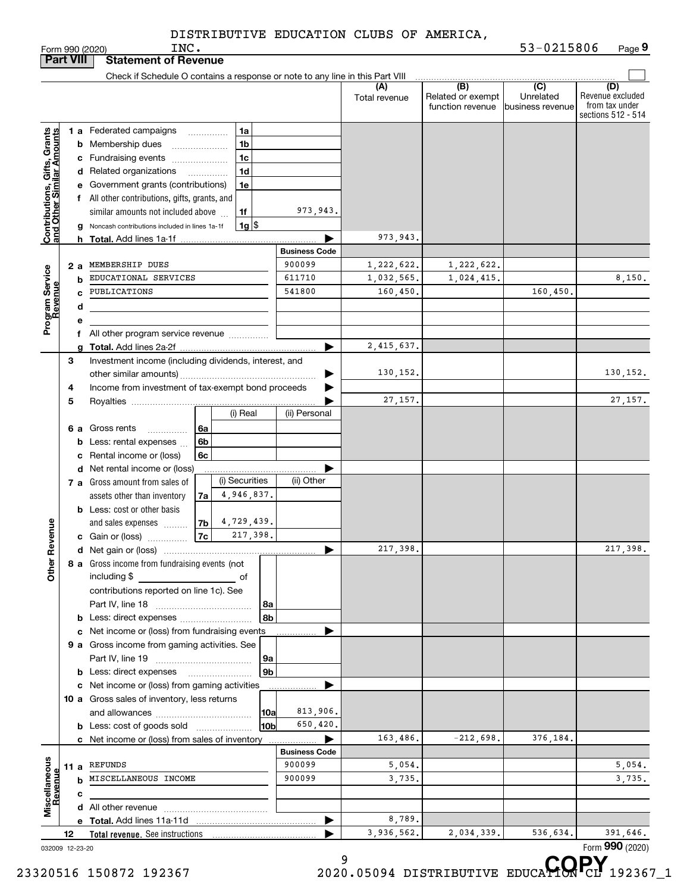INC.

| <b>Part VIII</b>                                          |    |                                                         | <b>Statement of Revenue</b>                                                   |                |                                |                      |               |                   |                  |                                      |
|-----------------------------------------------------------|----|---------------------------------------------------------|-------------------------------------------------------------------------------|----------------|--------------------------------|----------------------|---------------|-------------------|------------------|--------------------------------------|
|                                                           |    |                                                         | Check if Schedule O contains a response or note to any line in this Part VIII |                |                                |                      | (A)           | $\overline{(B)}$  | $\overline{C}$   | (D)                                  |
|                                                           |    |                                                         |                                                                               |                |                                |                      | Total revenue | Related or exempt | Unrelated        | Revenue excluded                     |
|                                                           |    |                                                         |                                                                               |                |                                |                      |               | function revenue  | business revenue | from tax under<br>sections 512 - 514 |
|                                                           |    |                                                         |                                                                               |                |                                |                      |               |                   |                  |                                      |
|                                                           |    |                                                         | 1 a Federated campaigns                                                       |                | 1a                             |                      |               |                   |                  |                                      |
|                                                           |    |                                                         | <b>b</b> Membership dues<br>$\ldots \ldots \ldots \ldots \ldots$              |                | 1 <sub>b</sub>                 |                      |               |                   |                  |                                      |
|                                                           |    |                                                         | c Fundraising events                                                          |                | 1 <sub>c</sub>                 |                      |               |                   |                  |                                      |
| Contributions, Gifts, Grants<br>and Other Similar Amounts |    |                                                         | d Related organizations                                                       |                | 1d<br>$\overline{\phantom{a}}$ |                      |               |                   |                  |                                      |
|                                                           |    |                                                         | e Government grants (contributions)                                           |                | 1e                             |                      |               |                   |                  |                                      |
|                                                           |    |                                                         | f All other contributions, gifts, grants, and                                 |                |                                |                      |               |                   |                  |                                      |
|                                                           |    |                                                         | similar amounts not included above                                            |                | 1f                             | 973,943.             |               |                   |                  |                                      |
|                                                           |    |                                                         | g Noncash contributions included in lines 1a-1f                               |                | $1g$ $\frac{1}{3}$             |                      |               |                   |                  |                                      |
|                                                           |    |                                                         |                                                                               |                |                                |                      | 973,943.      |                   |                  |                                      |
|                                                           |    |                                                         |                                                                               |                |                                | <b>Business Code</b> |               |                   |                  |                                      |
|                                                           |    | 2а                                                      | MEMBERSHIP DUES                                                               |                |                                | 900099               | 1,222,622.    | 1,222,622.        |                  |                                      |
|                                                           |    | b                                                       | EDUCATIONAL SERVICES                                                          |                |                                | 611710               | 1,032,565.    | 1,024,415.        |                  | 8,150.                               |
|                                                           |    | C                                                       | PUBLICATIONS                                                                  |                |                                | 541800               | 160,450.      |                   | 160,450.         |                                      |
|                                                           |    | d                                                       |                                                                               |                |                                |                      |               |                   |                  |                                      |
| Program Service<br>Revenue                                |    | е                                                       |                                                                               |                |                                |                      |               |                   |                  |                                      |
|                                                           |    |                                                         | f All other program service revenue                                           |                |                                |                      |               |                   |                  |                                      |
|                                                           |    | a                                                       |                                                                               |                |                                | ▶                    | 2,415,637.    |                   |                  |                                      |
|                                                           | 3  |                                                         | Investment income (including dividends, interest, and                         |                |                                |                      |               |                   |                  |                                      |
|                                                           |    |                                                         |                                                                               |                |                                |                      | 130,152.      |                   |                  | 130,152.                             |
|                                                           |    | Income from investment of tax-exempt bond proceeds<br>4 |                                                                               |                |                                |                      |               |                   |                  |                                      |
|                                                           | 5  |                                                         |                                                                               |                |                                |                      | 27,157.       |                   |                  | 27,157.                              |
|                                                           |    |                                                         |                                                                               |                | (i) Real                       | (ii) Personal        |               |                   |                  |                                      |
|                                                           |    |                                                         | 6 a Gross rents<br>.                                                          | 6a             |                                |                      |               |                   |                  |                                      |
|                                                           |    |                                                         | <b>b</b> Less: rental expenses                                                | 6b             |                                |                      |               |                   |                  |                                      |
|                                                           |    |                                                         | c Rental income or (loss)                                                     | 6c             |                                |                      |               |                   |                  |                                      |
|                                                           |    |                                                         | d Net rental income or (loss)                                                 |                |                                |                      |               |                   |                  |                                      |
|                                                           |    |                                                         | 7 a Gross amount from sales of                                                |                | (i) Securities                 | (ii) Other           |               |                   |                  |                                      |
|                                                           |    |                                                         | assets other than inventory                                                   | 7a             | 4,946,837.                     |                      |               |                   |                  |                                      |
|                                                           |    |                                                         | <b>b</b> Less: cost or other basis                                            |                |                                |                      |               |                   |                  |                                      |
|                                                           |    |                                                         | and sales expenses                                                            | 7 <sub>b</sub> | 4,729,439.<br>217,398.         |                      |               |                   |                  |                                      |
| Revenue                                                   |    |                                                         | c Gain or (loss)                                                              | 7c             |                                |                      |               |                   |                  |                                      |
|                                                           |    |                                                         |                                                                               |                |                                | ▶                    | 217,398.      |                   |                  | 217,398.                             |
| <b>Othe</b>                                               |    |                                                         | 8 a Gross income from fundraising events (not                                 |                |                                |                      |               |                   |                  |                                      |
|                                                           |    |                                                         | including \$                                                                  |                |                                |                      |               |                   |                  |                                      |
|                                                           |    |                                                         | contributions reported on line 1c). See                                       |                |                                |                      |               |                   |                  |                                      |
|                                                           |    |                                                         |                                                                               |                | 8a<br>8b                       |                      |               |                   |                  |                                      |
|                                                           |    |                                                         |                                                                               |                |                                |                      |               |                   |                  |                                      |
|                                                           |    |                                                         | c Net income or (loss) from fundraising events                                |                |                                |                      |               |                   |                  |                                      |
|                                                           |    |                                                         | 9 a Gross income from gaming activities. See                                  |                | 9а                             |                      |               |                   |                  |                                      |
|                                                           |    |                                                         | <b>b</b> Less: direct expenses                                                |                | 9 <sub>b</sub>                 |                      |               |                   |                  |                                      |
|                                                           |    |                                                         | c Net income or (loss) from gaming activities                                 |                |                                |                      |               |                   |                  |                                      |
|                                                           |    |                                                         | 10 a Gross sales of inventory, less returns                                   |                |                                |                      |               |                   |                  |                                      |
|                                                           |    |                                                         |                                                                               |                |                                | 813,906.             |               |                   |                  |                                      |
|                                                           |    |                                                         | <b>b</b> Less: cost of goods sold                                             |                | 10a <br>10b                    | 650,420.             |               |                   |                  |                                      |
|                                                           |    |                                                         |                                                                               |                |                                | ▶                    | 163,486.      | $-212,698.$       | 376,184.         |                                      |
|                                                           |    |                                                         | c Net income or (loss) from sales of inventory                                |                |                                | <b>Business Code</b> |               |                   |                  |                                      |
|                                                           |    |                                                         | 11 a REFUNDS                                                                  |                |                                | 900099               | 5,054.        |                   |                  | 5,054.                               |
|                                                           |    |                                                         | <b>b</b> MISCELLANEOUS INCOME                                                 |                |                                | 900099               | 3,735.        |                   |                  | 3,735.                               |
| Miscellaneous<br>Revenue                                  |    | с                                                       |                                                                               |                |                                |                      |               |                   |                  |                                      |
|                                                           |    |                                                         |                                                                               |                |                                |                      |               |                   |                  |                                      |
|                                                           |    |                                                         |                                                                               |                |                                | ▶                    | 8,789.        |                   |                  |                                      |
|                                                           | 12 |                                                         | Total revenue. See instructions                                               |                |                                |                      | 3,936,562.    | 2,034,339.        | 536,634.         | 391,646.                             |
| 032009 12-23-20                                           |    |                                                         |                                                                               |                |                                |                      |               |                   |                  | Form 990 (2020)                      |
|                                                           |    |                                                         |                                                                               |                |                                |                      | 9             |                   |                  | CODV                                 |

<sup>9</sup><br>23320516 150872 192367 2020.05094 DISTRIBUTIVE EDUCA**HON** CL 192367\_1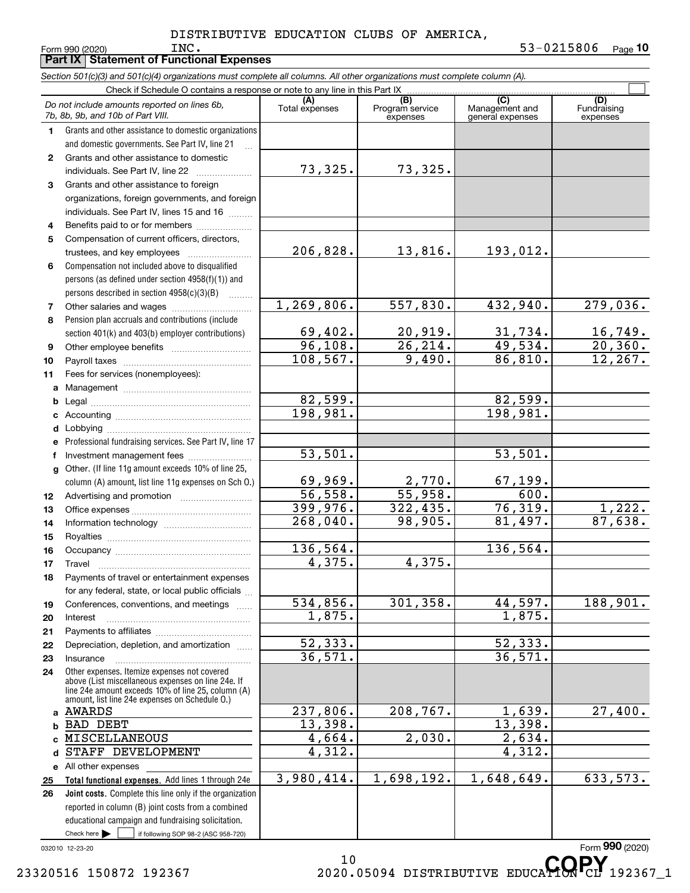**Part IX Statement of Functional Expenses**

|              | Section 501(c)(3) and 501(c)(4) organizations must complete all columns. All other organizations must complete column (A).                                                                                 |                         |                                    |                                    |                         |
|--------------|------------------------------------------------------------------------------------------------------------------------------------------------------------------------------------------------------------|-------------------------|------------------------------------|------------------------------------|-------------------------|
|              | Check if Schedule O contains a response or note to any line in this Part IX                                                                                                                                | (A)                     |                                    | (C)                                | (D)                     |
|              | Do not include amounts reported on lines 6b,<br>7b, 8b, 9b, and 10b of Part VIII.                                                                                                                          | Total expenses          | (B)<br>Program service<br>expenses | Management and<br>general expenses | Fundraising<br>expenses |
| 1            | Grants and other assistance to domestic organizations                                                                                                                                                      |                         |                                    |                                    |                         |
|              | and domestic governments. See Part IV, line 21                                                                                                                                                             |                         |                                    |                                    |                         |
| $\mathbf{2}$ | Grants and other assistance to domestic                                                                                                                                                                    |                         |                                    |                                    |                         |
|              | individuals. See Part IV, line 22                                                                                                                                                                          | 73,325.                 | 73,325.                            |                                    |                         |
| 3            | Grants and other assistance to foreign                                                                                                                                                                     |                         |                                    |                                    |                         |
|              | organizations, foreign governments, and foreign                                                                                                                                                            |                         |                                    |                                    |                         |
|              | individuals. See Part IV, lines 15 and 16                                                                                                                                                                  |                         |                                    |                                    |                         |
| 4            | Benefits paid to or for members                                                                                                                                                                            |                         |                                    |                                    |                         |
| 5            | Compensation of current officers, directors,                                                                                                                                                               |                         |                                    |                                    |                         |
|              | trustees, and key employees                                                                                                                                                                                | 206,828.                | 13,816.                            | 193,012.                           |                         |
| 6            | Compensation not included above to disqualified                                                                                                                                                            |                         |                                    |                                    |                         |
|              | persons (as defined under section 4958(f)(1)) and                                                                                                                                                          |                         |                                    |                                    |                         |
|              | persons described in section 4958(c)(3)(B)                                                                                                                                                                 |                         |                                    |                                    |                         |
| 7            |                                                                                                                                                                                                            | 1, 269, 806.            | 557,830.                           | 432,940.                           | 279,036.                |
| 8            | Pension plan accruals and contributions (include                                                                                                                                                           |                         |                                    |                                    |                         |
|              | section 401(k) and 403(b) employer contributions)                                                                                                                                                          | 69,402.<br>96,108.      | <u>20,919.</u><br>26, 214.         | $\frac{31,734}{49,534}$            | $\frac{16,749}{20,360}$ |
| 9            |                                                                                                                                                                                                            | 108, 567.               | 9,490.                             | 86, 810.                           | 12, 267.                |
| 10           |                                                                                                                                                                                                            |                         |                                    |                                    |                         |
| 11           | Fees for services (nonemployees):                                                                                                                                                                          |                         |                                    |                                    |                         |
| a            |                                                                                                                                                                                                            | 82,599.                 |                                    | 82,599.                            |                         |
| b            |                                                                                                                                                                                                            | 198,981.                |                                    | 198,981.                           |                         |
| с            |                                                                                                                                                                                                            |                         |                                    |                                    |                         |
| d<br>е       | Professional fundraising services. See Part IV, line 17                                                                                                                                                    |                         |                                    |                                    |                         |
| f            | Investment management fees                                                                                                                                                                                 | 53,501.                 |                                    | 53,501.                            |                         |
| g            | Other. (If line 11g amount exceeds 10% of line 25,                                                                                                                                                         |                         |                                    |                                    |                         |
|              | column (A) amount, list line 11g expenses on Sch O.)                                                                                                                                                       | 69,969.                 | 2,770.                             | 67,199.                            |                         |
| 12           |                                                                                                                                                                                                            | 56, 558.                | 55,958.                            | 600.                               |                         |
| 13           |                                                                                                                                                                                                            | 399,976.                | 322, 435.                          | 76, 319.                           | 1,222.                  |
| 14           |                                                                                                                                                                                                            | $\overline{268}$ , 040. | 98,905.                            | 81,497.                            | 87,638.                 |
| 15           |                                                                                                                                                                                                            |                         |                                    |                                    |                         |
| 16           |                                                                                                                                                                                                            | 136,564.                |                                    | 136,564.                           |                         |
| 17           |                                                                                                                                                                                                            | 4,375.                  | 4,375.                             |                                    |                         |
| 18           | Payments of travel or entertainment expenses                                                                                                                                                               |                         |                                    |                                    |                         |
|              | for any federal, state, or local public officials                                                                                                                                                          |                         |                                    |                                    |                         |
| 19           | Conferences, conventions, and meetings                                                                                                                                                                     | 534,856.                | 301,358.                           | 44,597.                            | 188,901.                |
| 20           | Interest                                                                                                                                                                                                   | 1,875.                  |                                    | 1,875.                             |                         |
| 21           |                                                                                                                                                                                                            |                         |                                    |                                    |                         |
| 22           | Depreciation, depletion, and amortization                                                                                                                                                                  | 52, 333.                |                                    | 52,333.                            |                         |
| 23           | Insurance                                                                                                                                                                                                  | 36,571.                 |                                    | 36,571.                            |                         |
| 24           | Other expenses. Itemize expenses not covered<br>above (List miscellaneous expenses on line 24e. If<br>line 24e amount exceeds 10% of line 25, column (A)<br>amount, list line 24e expenses on Schedule O.) |                         |                                    |                                    |                         |
| a            | AWARDS                                                                                                                                                                                                     | 237,806.                | 208, 767.                          | 1,639.                             | 27,400.                 |
| b            | <b>BAD DEBT</b>                                                                                                                                                                                            | 13,398.                 |                                    | 13,398.                            |                         |
|              | <b>MISCELLANEOUS</b>                                                                                                                                                                                       | 4,664.                  | 2,030.                             | 2,634.                             |                         |
| d            | STAFF DEVELOPMENT                                                                                                                                                                                          | 4,312.                  |                                    | 4,312.                             |                         |
|              | e All other expenses                                                                                                                                                                                       |                         |                                    |                                    |                         |
| 25           | Total functional expenses. Add lines 1 through 24e                                                                                                                                                         | 3,980,414.              | 1,698,192.                         | 1,648,649.                         | 633,573.                |
| 26           | Joint costs. Complete this line only if the organization                                                                                                                                                   |                         |                                    |                                    |                         |
|              | reported in column (B) joint costs from a combined                                                                                                                                                         |                         |                                    |                                    |                         |
|              | educational campaign and fundraising solicitation.                                                                                                                                                         |                         |                                    |                                    |                         |
|              | Check here $\blacktriangleright$<br>if following SOP 98-2 (ASC 958-720)                                                                                                                                    |                         |                                    |                                    |                         |

032010 12-23-20

10 <sup>10</sup> <sup>10</sup> 23320516 150872 192367 2020.05094 DISTRIBUTIVE EDUCA**TORPY** 192367\_1

Form **990** (2020)<br>████*█*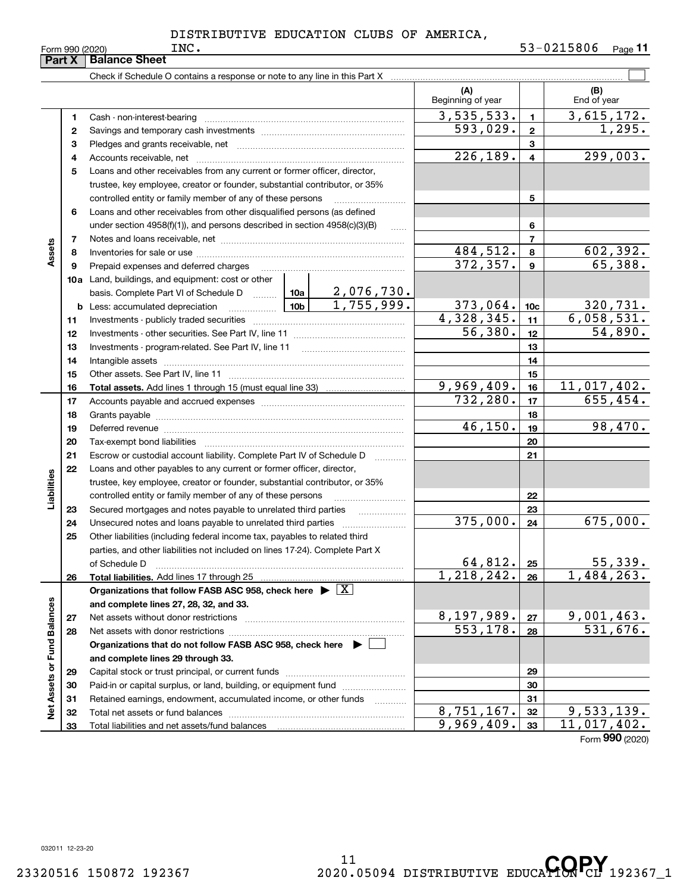|                             | Part X   | <b>Balance Sheet</b>                                                                                                                                                                                                           |  |                               |                          |                         |                       |
|-----------------------------|----------|--------------------------------------------------------------------------------------------------------------------------------------------------------------------------------------------------------------------------------|--|-------------------------------|--------------------------|-------------------------|-----------------------|
|                             |          |                                                                                                                                                                                                                                |  |                               |                          |                         |                       |
|                             |          |                                                                                                                                                                                                                                |  |                               | (A)<br>Beginning of year |                         | (B)<br>End of year    |
|                             | 1        |                                                                                                                                                                                                                                |  |                               | 3,535,533.               | $\mathbf{1}$            | 3,615,172.            |
|                             | 2        |                                                                                                                                                                                                                                |  |                               | 593,029.                 | $\overline{2}$          | 1,295.                |
|                             | з        |                                                                                                                                                                                                                                |  |                               |                          | 3                       |                       |
|                             | 4        |                                                                                                                                                                                                                                |  |                               | 226, 189.                | $\overline{\mathbf{4}}$ | 299,003.              |
|                             | 5        | Loans and other receivables from any current or former officer, director,                                                                                                                                                      |  |                               |                          |                         |                       |
|                             |          | trustee, key employee, creator or founder, substantial contributor, or 35%                                                                                                                                                     |  |                               |                          |                         |                       |
|                             |          | controlled entity or family member of any of these persons                                                                                                                                                                     |  |                               |                          | 5                       |                       |
|                             | 6        | Loans and other receivables from other disqualified persons (as defined                                                                                                                                                        |  |                               |                          |                         |                       |
|                             |          | under section 4958(f)(1)), and persons described in section 4958(c)(3)(B)                                                                                                                                                      |  |                               |                          | 6                       |                       |
|                             | 7        |                                                                                                                                                                                                                                |  |                               |                          | $\overline{7}$          |                       |
| Assets                      | 8        |                                                                                                                                                                                                                                |  |                               | 484,512.                 | 8                       | 602,392.              |
|                             | 9        | Prepaid expenses and deferred charges                                                                                                                                                                                          |  |                               | 372, 357.                | $\boldsymbol{9}$        | 65,388.               |
|                             |          | <b>10a</b> Land, buildings, and equipment: cost or other                                                                                                                                                                       |  |                               |                          |                         |                       |
|                             |          | basis. Complete Part VI of Schedule D  10a                                                                                                                                                                                     |  | $\frac{2,076,730}{1,755,999}$ |                          |                         |                       |
|                             |          | <u>  10b</u>  <br><b>b</b> Less: accumulated depreciation                                                                                                                                                                      |  |                               | 373,064.                 | 10 <sub>c</sub>         | <u>320,731.</u>       |
|                             | 11       |                                                                                                                                                                                                                                |  |                               | 4,328,345.               | 11                      | 6,058,531.            |
|                             | 12       |                                                                                                                                                                                                                                |  |                               | 56,380.                  | 12                      | 54,890.               |
|                             | 13       |                                                                                                                                                                                                                                |  |                               |                          | 13                      |                       |
|                             | 14       |                                                                                                                                                                                                                                |  |                               |                          | 14                      |                       |
|                             | 15       |                                                                                                                                                                                                                                |  |                               |                          | 15                      |                       |
|                             | 16       |                                                                                                                                                                                                                                |  |                               | 9,969,409.               | 16                      | 11,017,402.           |
|                             | 17       |                                                                                                                                                                                                                                |  |                               | 732, 280.                | 17                      | 655, 454.             |
|                             | 18       |                                                                                                                                                                                                                                |  | 18                            |                          |                         |                       |
|                             | 19       | Deferred revenue manual contracts and contracts are all the contracts and contracts are contracted and contracts are contracted and contract are contracted and contract are contracted and contract are contracted and contra |  |                               | 46,150.                  | 19                      | 98,470.               |
|                             | 20       |                                                                                                                                                                                                                                |  |                               |                          | 20                      |                       |
|                             | 21       | Escrow or custodial account liability. Complete Part IV of Schedule D                                                                                                                                                          |  | 1.1.1.1.1.1.1.1.1.1           |                          | 21                      |                       |
|                             | 22       | Loans and other payables to any current or former officer, director,                                                                                                                                                           |  |                               |                          |                         |                       |
| Liabilities                 |          | trustee, key employee, creator or founder, substantial contributor, or 35%                                                                                                                                                     |  |                               |                          |                         |                       |
|                             |          | controlled entity or family member of any of these persons                                                                                                                                                                     |  |                               |                          | 22                      |                       |
|                             | 23       | Secured mortgages and notes payable to unrelated third parties                                                                                                                                                                 |  |                               |                          | 23                      |                       |
|                             | 24       | Unsecured notes and loans payable to unrelated third parties                                                                                                                                                                   |  |                               | 375,000.                 | 24                      | 675,000.              |
|                             | 25       | Other liabilities (including federal income tax, payables to related third                                                                                                                                                     |  |                               |                          |                         |                       |
|                             |          | parties, and other liabilities not included on lines 17-24). Complete Part X                                                                                                                                                   |  |                               |                          |                         |                       |
|                             |          | of Schedule D                                                                                                                                                                                                                  |  |                               | 64,812.<br>1,218,242.    | 25                      | 55,339.<br>1,484,263. |
|                             | 26       | Total liabilities. Add lines 17 through 25                                                                                                                                                                                     |  |                               |                          | 26                      |                       |
|                             |          | Organizations that follow FASB ASC 958, check here $\blacktriangleright \boxed{X}$                                                                                                                                             |  |                               |                          |                         |                       |
|                             |          | and complete lines 27, 28, 32, and 33.                                                                                                                                                                                         |  |                               | 8,197,989.               | 27                      | 9,001,463.            |
|                             | 27<br>28 |                                                                                                                                                                                                                                |  |                               | 553, 178.                | 28                      | 531,676.              |
|                             |          | Organizations that do not follow FASB ASC 958, check here ▶ □                                                                                                                                                                  |  |                               |                          |                         |                       |
|                             |          | and complete lines 29 through 33.                                                                                                                                                                                              |  |                               |                          |                         |                       |
|                             | 29       |                                                                                                                                                                                                                                |  |                               |                          | 29                      |                       |
|                             | 30       | Paid-in or capital surplus, or land, building, or equipment fund                                                                                                                                                               |  |                               |                          | 30                      |                       |
| Net Assets or Fund Balances | 31       | Retained earnings, endowment, accumulated income, or other funds                                                                                                                                                               |  |                               |                          | 31                      |                       |
|                             | 32       | Total net assets or fund balances                                                                                                                                                                                              |  | .                             | 8,751,167.               | 32                      | 9,533,139.            |
|                             | 33       |                                                                                                                                                                                                                                |  |                               | 9,969,409.               | 33                      | 11,017,402.           |
|                             |          |                                                                                                                                                                                                                                |  |                               |                          |                         | Form 990 (2020)       |
|                             |          |                                                                                                                                                                                                                                |  |                               |                          |                         |                       |

032011 12-23-20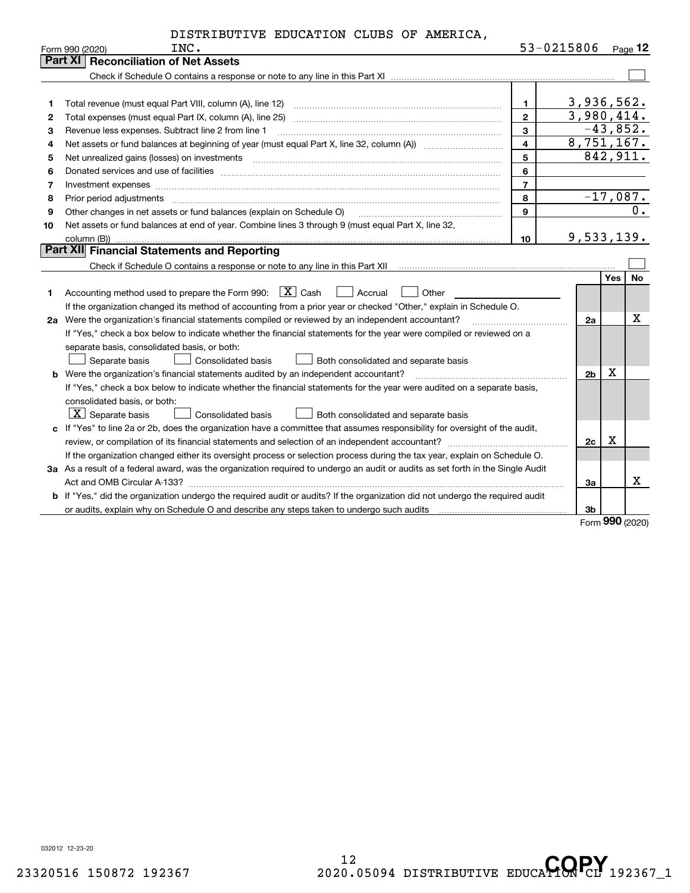| DISTRIBUTIVE EDUCATION CLUBS OF AMERICA, |  |  |                |
|------------------------------------------|--|--|----------------|
| $T$ NT $\alpha$                          |  |  | $53 - 0215806$ |

|    | Form 990 (2020)<br>INC.                                                                                                                                                                 |                         | 53-0215806     |     | <u>Page 12</u> |
|----|-----------------------------------------------------------------------------------------------------------------------------------------------------------------------------------------|-------------------------|----------------|-----|----------------|
|    | Part XI   Reconciliation of Net Assets                                                                                                                                                  |                         |                |     |                |
|    |                                                                                                                                                                                         |                         |                |     |                |
|    |                                                                                                                                                                                         |                         |                |     |                |
| 1  | Total revenue (must equal Part VIII, column (A), line 12)                                                                                                                               | $\mathbf{1}$            | 3,936,562.     |     |                |
| 2  | Total expenses (must equal Part IX, column (A), line 25)                                                                                                                                | $\mathbf{2}$            | 3,980,414.     |     |                |
| 3  | Revenue less expenses. Subtract line 2 from line 1                                                                                                                                      | $\mathbf{3}$            | $-43,852.$     |     |                |
| 4  | Net assets or fund balances at beginning of year (must equal Part X, line 32, column (A)) <i>massets</i> or fund balances at beginning of year (must equal Part X, line 32, column (A)) | $\overline{\mathbf{4}}$ | 8,751,167.     |     |                |
| 5  |                                                                                                                                                                                         | 5                       | 842,911.       |     |                |
| 6  |                                                                                                                                                                                         | 6                       |                |     |                |
| 7  |                                                                                                                                                                                         | $\overline{7}$          |                |     |                |
| 8  | Prior period adjustments                                                                                                                                                                | 8                       | $-17,087.$     |     |                |
| 9  | Other changes in net assets or fund balances (explain on Schedule O)                                                                                                                    | $\mathbf{9}$            |                |     | $0$ .          |
| 10 | Net assets or fund balances at end of year. Combine lines 3 through 9 (must equal Part X, line 32,                                                                                      |                         |                |     |                |
|    | column (B))                                                                                                                                                                             | 10                      | 9,533,139.     |     |                |
|    | <b>Part XII</b> Financial Statements and Reporting                                                                                                                                      |                         |                |     |                |
|    |                                                                                                                                                                                         |                         |                |     |                |
|    |                                                                                                                                                                                         |                         |                | Yes | No             |
| 1  | Accounting method used to prepare the Form 990: $X \subset X$ Cash<br>  Accrual<br>Other                                                                                                |                         |                |     |                |
|    | If the organization changed its method of accounting from a prior year or checked "Other," explain in Schedule O.                                                                       |                         |                |     |                |
|    | 2a Were the organization's financial statements compiled or reviewed by an independent accountant?                                                                                      |                         | 2a             |     | x              |
|    | If "Yes," check a box below to indicate whether the financial statements for the year were compiled or reviewed on a                                                                    |                         |                |     |                |
|    | separate basis, consolidated basis, or both:                                                                                                                                            |                         |                |     |                |
|    | Separate basis<br>Consolidated basis<br>Both consolidated and separate basis                                                                                                            |                         |                |     |                |
|    | <b>b</b> Were the organization's financial statements audited by an independent accountant?                                                                                             |                         | 2 <sub>b</sub> | x   |                |
|    | If "Yes," check a box below to indicate whether the financial statements for the year were audited on a separate basis,                                                                 |                         |                |     |                |
|    | consolidated basis, or both:                                                                                                                                                            |                         |                |     |                |
|    | $\boxed{\text{X}}$ Separate basis<br>Consolidated basis<br>Both consolidated and separate basis                                                                                         |                         |                |     |                |
|    | c If "Yes" to line 2a or 2b, does the organization have a committee that assumes responsibility for oversight of the audit,                                                             |                         |                |     |                |
|    | review, or compilation of its financial statements and selection of an independent accountant?                                                                                          |                         | 2c             | X   |                |
|    | If the organization changed either its oversight process or selection process during the tax year, explain on Schedule O.                                                               |                         |                |     |                |
|    | 3a As a result of a federal award, was the organization required to undergo an audit or audits as set forth in the Single Audit                                                         |                         |                |     |                |
|    |                                                                                                                                                                                         |                         | За             |     | x              |
|    | b If "Yes," did the organization undergo the required audit or audits? If the organization did not undergo the required audit                                                           |                         |                |     |                |
|    |                                                                                                                                                                                         |                         | 3b             |     |                |

Form (2020) **990**

032012 12-23-20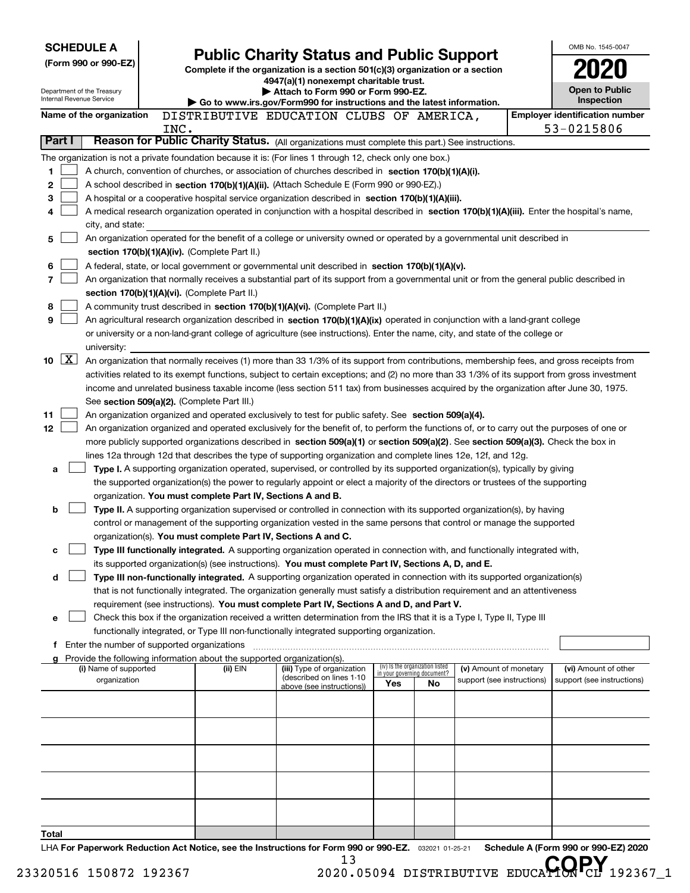|                          | <b>SCHEDULE A</b>                                                                                                                                        |      |                                               |                                                                                                                                                                                                                                                 |                                    |                                 |                            |  | OMB No. 1545-0047                                   |
|--------------------------|----------------------------------------------------------------------------------------------------------------------------------------------------------|------|-----------------------------------------------|-------------------------------------------------------------------------------------------------------------------------------------------------------------------------------------------------------------------------------------------------|------------------------------------|---------------------------------|----------------------------|--|-----------------------------------------------------|
|                          | <b>Public Charity Status and Public Support</b><br>(Form 990 or 990-EZ)<br>Complete if the organization is a section 501(c)(3) organization or a section |      |                                               |                                                                                                                                                                                                                                                 |                                    |                                 |                            |  |                                                     |
|                          |                                                                                                                                                          |      |                                               | 4947(a)(1) nonexempt charitable trust.                                                                                                                                                                                                          |                                    |                                 |                            |  |                                                     |
|                          | Department of the Treasury<br><b>Internal Revenue Service</b>                                                                                            |      |                                               | Attach to Form 990 or Form 990-EZ.                                                                                                                                                                                                              |                                    |                                 |                            |  | <b>Open to Public</b>                               |
|                          |                                                                                                                                                          |      |                                               | Go to www.irs.gov/Form990 for instructions and the latest information.                                                                                                                                                                          |                                    |                                 |                            |  | Inspection                                          |
|                          | Name of the organization                                                                                                                                 | INC. |                                               | DISTRIBUTIVE EDUCATION CLUBS OF AMERICA,                                                                                                                                                                                                        |                                    |                                 |                            |  | <b>Employer identification number</b><br>53-0215806 |
| Part I                   |                                                                                                                                                          |      |                                               | Reason for Public Charity Status. (All organizations must complete this part.) See instructions.                                                                                                                                                |                                    |                                 |                            |  |                                                     |
|                          |                                                                                                                                                          |      |                                               | The organization is not a private foundation because it is: (For lines 1 through 12, check only one box.)                                                                                                                                       |                                    |                                 |                            |  |                                                     |
| 1                        |                                                                                                                                                          |      |                                               | A church, convention of churches, or association of churches described in section 170(b)(1)(A)(i).                                                                                                                                              |                                    |                                 |                            |  |                                                     |
| 2                        |                                                                                                                                                          |      |                                               | A school described in section 170(b)(1)(A)(ii). (Attach Schedule E (Form 990 or 990-EZ).)                                                                                                                                                       |                                    |                                 |                            |  |                                                     |
| 3                        |                                                                                                                                                          |      |                                               | A hospital or a cooperative hospital service organization described in section 170(b)(1)(A)(iii).                                                                                                                                               |                                    |                                 |                            |  |                                                     |
| 4                        |                                                                                                                                                          |      |                                               | A medical research organization operated in conjunction with a hospital described in section 170(b)(1)(A)(iii). Enter the hospital's name,                                                                                                      |                                    |                                 |                            |  |                                                     |
|                          | city, and state:                                                                                                                                         |      |                                               |                                                                                                                                                                                                                                                 |                                    |                                 |                            |  |                                                     |
| 5                        |                                                                                                                                                          |      |                                               | An organization operated for the benefit of a college or university owned or operated by a governmental unit described in                                                                                                                       |                                    |                                 |                            |  |                                                     |
|                          |                                                                                                                                                          |      | section 170(b)(1)(A)(iv). (Complete Part II.) |                                                                                                                                                                                                                                                 |                                    |                                 |                            |  |                                                     |
| 6                        |                                                                                                                                                          |      |                                               | A federal, state, or local government or governmental unit described in section 170(b)(1)(A)(v).                                                                                                                                                |                                    |                                 |                            |  |                                                     |
| 7                        |                                                                                                                                                          |      |                                               | An organization that normally receives a substantial part of its support from a governmental unit or from the general public described in                                                                                                       |                                    |                                 |                            |  |                                                     |
|                          |                                                                                                                                                          |      | section 170(b)(1)(A)(vi). (Complete Part II.) |                                                                                                                                                                                                                                                 |                                    |                                 |                            |  |                                                     |
| 8                        |                                                                                                                                                          |      |                                               | A community trust described in section 170(b)(1)(A)(vi). (Complete Part II.)                                                                                                                                                                    |                                    |                                 |                            |  |                                                     |
| 9                        |                                                                                                                                                          |      |                                               | An agricultural research organization described in section 170(b)(1)(A)(ix) operated in conjunction with a land-grant college                                                                                                                   |                                    |                                 |                            |  |                                                     |
|                          |                                                                                                                                                          |      |                                               | or university or a non-land-grant college of agriculture (see instructions). Enter the name, city, and state of the college or                                                                                                                  |                                    |                                 |                            |  |                                                     |
| $\boxed{\text{X}}$<br>10 | university:                                                                                                                                              |      |                                               | An organization that normally receives (1) more than 33 1/3% of its support from contributions, membership fees, and gross receipts from                                                                                                        |                                    |                                 |                            |  |                                                     |
|                          |                                                                                                                                                          |      |                                               | activities related to its exempt functions, subject to certain exceptions; and (2) no more than 33 1/3% of its support from gross investment                                                                                                    |                                    |                                 |                            |  |                                                     |
|                          |                                                                                                                                                          |      |                                               | income and unrelated business taxable income (less section 511 tax) from businesses acquired by the organization after June 30, 1975.                                                                                                           |                                    |                                 |                            |  |                                                     |
|                          |                                                                                                                                                          |      | See section 509(a)(2). (Complete Part III.)   |                                                                                                                                                                                                                                                 |                                    |                                 |                            |  |                                                     |
| 11                       |                                                                                                                                                          |      |                                               | An organization organized and operated exclusively to test for public safety. See section 509(a)(4).                                                                                                                                            |                                    |                                 |                            |  |                                                     |
| 12                       |                                                                                                                                                          |      |                                               | An organization organized and operated exclusively for the benefit of, to perform the functions of, or to carry out the purposes of one or                                                                                                      |                                    |                                 |                            |  |                                                     |
|                          |                                                                                                                                                          |      |                                               | more publicly supported organizations described in section 509(a)(1) or section 509(a)(2). See section 509(a)(3). Check the box in                                                                                                              |                                    |                                 |                            |  |                                                     |
|                          |                                                                                                                                                          |      |                                               | lines 12a through 12d that describes the type of supporting organization and complete lines 12e, 12f, and 12g.                                                                                                                                  |                                    |                                 |                            |  |                                                     |
| a                        |                                                                                                                                                          |      |                                               | Type I. A supporting organization operated, supervised, or controlled by its supported organization(s), typically by giving                                                                                                                     |                                    |                                 |                            |  |                                                     |
|                          |                                                                                                                                                          |      |                                               | the supported organization(s) the power to regularly appoint or elect a majority of the directors or trustees of the supporting                                                                                                                 |                                    |                                 |                            |  |                                                     |
|                          |                                                                                                                                                          |      |                                               | organization. You must complete Part IV, Sections A and B.                                                                                                                                                                                      |                                    |                                 |                            |  |                                                     |
| b                        |                                                                                                                                                          |      |                                               | Type II. A supporting organization supervised or controlled in connection with its supported organization(s), by having<br>control or management of the supporting organization vested in the same persons that control or manage the supported |                                    |                                 |                            |  |                                                     |
|                          |                                                                                                                                                          |      |                                               | organization(s). You must complete Part IV, Sections A and C.                                                                                                                                                                                   |                                    |                                 |                            |  |                                                     |
| с                        |                                                                                                                                                          |      |                                               | Type III functionally integrated. A supporting organization operated in connection with, and functionally integrated with,                                                                                                                      |                                    |                                 |                            |  |                                                     |
|                          |                                                                                                                                                          |      |                                               | its supported organization(s) (see instructions). You must complete Part IV, Sections A, D, and E.                                                                                                                                              |                                    |                                 |                            |  |                                                     |
| d                        |                                                                                                                                                          |      |                                               | Type III non-functionally integrated. A supporting organization operated in connection with its supported organization(s)                                                                                                                       |                                    |                                 |                            |  |                                                     |
|                          |                                                                                                                                                          |      |                                               | that is not functionally integrated. The organization generally must satisfy a distribution requirement and an attentiveness                                                                                                                    |                                    |                                 |                            |  |                                                     |
|                          |                                                                                                                                                          |      |                                               | requirement (see instructions). You must complete Part IV, Sections A and D, and Part V.                                                                                                                                                        |                                    |                                 |                            |  |                                                     |
| e                        |                                                                                                                                                          |      |                                               | Check this box if the organization received a written determination from the IRS that it is a Type I, Type II, Type III                                                                                                                         |                                    |                                 |                            |  |                                                     |
|                          |                                                                                                                                                          |      |                                               | functionally integrated, or Type III non-functionally integrated supporting organization.                                                                                                                                                       |                                    |                                 |                            |  |                                                     |
|                          | f Enter the number of supported organizations                                                                                                            |      |                                               |                                                                                                                                                                                                                                                 |                                    |                                 |                            |  |                                                     |
|                          | (i) Name of supported                                                                                                                                    |      | (ii) EIN                                      | g Provide the following information about the supported organization(s).<br>(iii) Type of organization                                                                                                                                          |                                    | (iv) Is the organization listed | (v) Amount of monetary     |  | (vi) Amount of other                                |
|                          | organization                                                                                                                                             |      |                                               | (described on lines 1-10                                                                                                                                                                                                                        | in your governing document?<br>Yes | No.                             | support (see instructions) |  | support (see instructions)                          |
|                          |                                                                                                                                                          |      |                                               | above (see instructions))                                                                                                                                                                                                                       |                                    |                                 |                            |  |                                                     |
|                          |                                                                                                                                                          |      |                                               |                                                                                                                                                                                                                                                 |                                    |                                 |                            |  |                                                     |
|                          |                                                                                                                                                          |      |                                               |                                                                                                                                                                                                                                                 |                                    |                                 |                            |  |                                                     |
|                          |                                                                                                                                                          |      |                                               |                                                                                                                                                                                                                                                 |                                    |                                 |                            |  |                                                     |
|                          |                                                                                                                                                          |      |                                               |                                                                                                                                                                                                                                                 |                                    |                                 |                            |  |                                                     |
|                          |                                                                                                                                                          |      |                                               |                                                                                                                                                                                                                                                 |                                    |                                 |                            |  |                                                     |
|                          |                                                                                                                                                          |      |                                               |                                                                                                                                                                                                                                                 |                                    |                                 |                            |  |                                                     |
|                          |                                                                                                                                                          |      |                                               |                                                                                                                                                                                                                                                 |                                    |                                 |                            |  |                                                     |
|                          |                                                                                                                                                          |      |                                               |                                                                                                                                                                                                                                                 |                                    |                                 |                            |  |                                                     |
|                          |                                                                                                                                                          |      |                                               |                                                                                                                                                                                                                                                 |                                    |                                 |                            |  |                                                     |
| Total                    |                                                                                                                                                          |      |                                               | $\Box$ Level Danoruck Poduction Act Notice, see the Instructions for Earm 000 or 000-EZ = 220001 01.05.01                                                                                                                                       |                                    |                                 |                            |  | Schodule A (Form 990 or 990-F7) 2020                |

032021 01-25-21 **For Paperwork Reduction Act Notice, see the Instructions for Form 990 or 990-EZ. Schedule A (Form 990 or 990-EZ) 2020** LHA **I** 13

<sup>13</sup>
<sup>13</sup>
23320516 150872 192367
2020.05094 DISTRIBUTIVE EDUCA**HON**CL 192367<sub>-1</sub>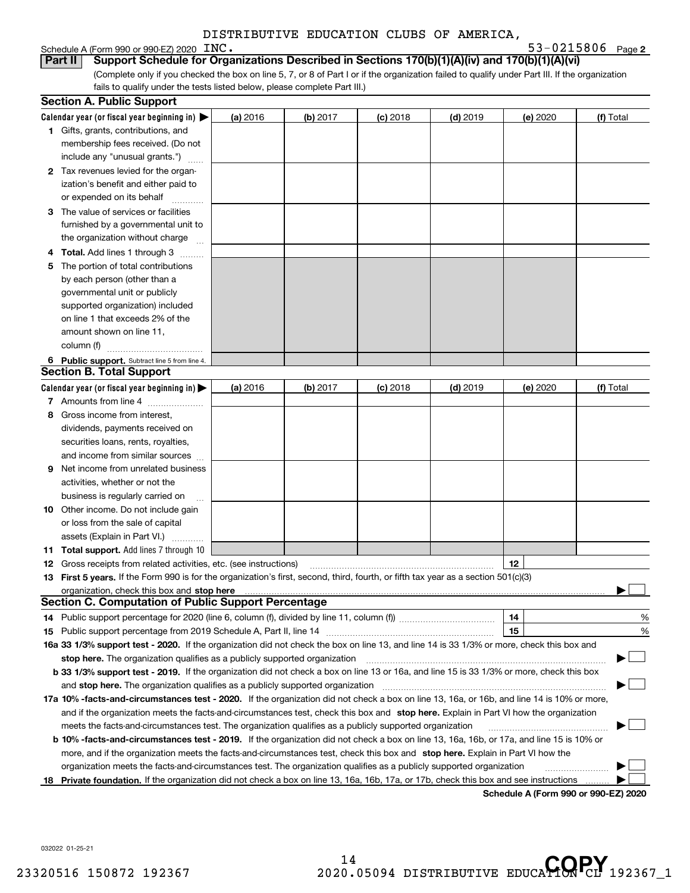## **2** Schedule A (Form 990 or 990-EZ) 2020 Page

INC. 53-0215806

| Part II  Support Schedule for Organizations Described in Sections 170(b)(1)(A)(iv) and 170(b)(1)(A)(vi)                                         |
|-------------------------------------------------------------------------------------------------------------------------------------------------|
| (Complete only if you checked the box on line 5, 7, or 8 of Part I or if the organization failed to qualify under Part III. If the organization |
| fails to qualify under the tests listed below, please complete Part III.)                                                                       |

| Calendar year (or fiscal year beginning in) $\blacktriangleright$<br>$(d)$ 2019<br>(a) 2016<br><b>(b)</b> 2017<br>$(c)$ 2018<br>(e) 2020<br>(f) Total<br><b>1</b> Gifts, grants, contributions, and<br>membership fees received. (Do not<br>include any "unusual grants.")<br>2 Tax revenues levied for the organ-<br>ization's benefit and either paid to<br>or expended on its behalf<br>3 The value of services or facilities<br>furnished by a governmental unit to<br>the organization without charge<br>4 Total. Add lines 1 through 3<br>The portion of total contributions<br>5<br>by each person (other than a<br>governmental unit or publicly<br>supported organization) included<br>on line 1 that exceeds 2% of the<br>amount shown on line 11, |
|--------------------------------------------------------------------------------------------------------------------------------------------------------------------------------------------------------------------------------------------------------------------------------------------------------------------------------------------------------------------------------------------------------------------------------------------------------------------------------------------------------------------------------------------------------------------------------------------------------------------------------------------------------------------------------------------------------------------------------------------------------------|
|                                                                                                                                                                                                                                                                                                                                                                                                                                                                                                                                                                                                                                                                                                                                                              |
|                                                                                                                                                                                                                                                                                                                                                                                                                                                                                                                                                                                                                                                                                                                                                              |
|                                                                                                                                                                                                                                                                                                                                                                                                                                                                                                                                                                                                                                                                                                                                                              |
|                                                                                                                                                                                                                                                                                                                                                                                                                                                                                                                                                                                                                                                                                                                                                              |
|                                                                                                                                                                                                                                                                                                                                                                                                                                                                                                                                                                                                                                                                                                                                                              |
|                                                                                                                                                                                                                                                                                                                                                                                                                                                                                                                                                                                                                                                                                                                                                              |
|                                                                                                                                                                                                                                                                                                                                                                                                                                                                                                                                                                                                                                                                                                                                                              |
|                                                                                                                                                                                                                                                                                                                                                                                                                                                                                                                                                                                                                                                                                                                                                              |
|                                                                                                                                                                                                                                                                                                                                                                                                                                                                                                                                                                                                                                                                                                                                                              |
|                                                                                                                                                                                                                                                                                                                                                                                                                                                                                                                                                                                                                                                                                                                                                              |
|                                                                                                                                                                                                                                                                                                                                                                                                                                                                                                                                                                                                                                                                                                                                                              |
|                                                                                                                                                                                                                                                                                                                                                                                                                                                                                                                                                                                                                                                                                                                                                              |
|                                                                                                                                                                                                                                                                                                                                                                                                                                                                                                                                                                                                                                                                                                                                                              |
|                                                                                                                                                                                                                                                                                                                                                                                                                                                                                                                                                                                                                                                                                                                                                              |
|                                                                                                                                                                                                                                                                                                                                                                                                                                                                                                                                                                                                                                                                                                                                                              |
|                                                                                                                                                                                                                                                                                                                                                                                                                                                                                                                                                                                                                                                                                                                                                              |
|                                                                                                                                                                                                                                                                                                                                                                                                                                                                                                                                                                                                                                                                                                                                                              |
| column (f)                                                                                                                                                                                                                                                                                                                                                                                                                                                                                                                                                                                                                                                                                                                                                   |
| 6 Public support. Subtract line 5 from line 4.                                                                                                                                                                                                                                                                                                                                                                                                                                                                                                                                                                                                                                                                                                               |
| <b>Section B. Total Support</b>                                                                                                                                                                                                                                                                                                                                                                                                                                                                                                                                                                                                                                                                                                                              |
| Calendar year (or fiscal year beginning in) $\blacktriangleright$<br>(b) 2017<br>$(d)$ 2019<br>(a) 2016<br>$(c)$ 2018<br>(e) 2020<br>(f) Total                                                                                                                                                                                                                                                                                                                                                                                                                                                                                                                                                                                                               |
| 7 Amounts from line 4                                                                                                                                                                                                                                                                                                                                                                                                                                                                                                                                                                                                                                                                                                                                        |
| 8 Gross income from interest,                                                                                                                                                                                                                                                                                                                                                                                                                                                                                                                                                                                                                                                                                                                                |
| dividends, payments received on                                                                                                                                                                                                                                                                                                                                                                                                                                                                                                                                                                                                                                                                                                                              |
| securities loans, rents, royalties,                                                                                                                                                                                                                                                                                                                                                                                                                                                                                                                                                                                                                                                                                                                          |
| and income from similar sources                                                                                                                                                                                                                                                                                                                                                                                                                                                                                                                                                                                                                                                                                                                              |
| Net income from unrelated business<br>9.                                                                                                                                                                                                                                                                                                                                                                                                                                                                                                                                                                                                                                                                                                                     |
| activities, whether or not the                                                                                                                                                                                                                                                                                                                                                                                                                                                                                                                                                                                                                                                                                                                               |
| business is regularly carried on                                                                                                                                                                                                                                                                                                                                                                                                                                                                                                                                                                                                                                                                                                                             |
| <b>10</b> Other income. Do not include gain                                                                                                                                                                                                                                                                                                                                                                                                                                                                                                                                                                                                                                                                                                                  |
| or loss from the sale of capital                                                                                                                                                                                                                                                                                                                                                                                                                                                                                                                                                                                                                                                                                                                             |
| assets (Explain in Part VI.)                                                                                                                                                                                                                                                                                                                                                                                                                                                                                                                                                                                                                                                                                                                                 |
| <b>11 Total support.</b> Add lines 7 through 10                                                                                                                                                                                                                                                                                                                                                                                                                                                                                                                                                                                                                                                                                                              |
| 12<br><b>12</b> Gross receipts from related activities, etc. (see instructions)                                                                                                                                                                                                                                                                                                                                                                                                                                                                                                                                                                                                                                                                              |
| 13 First 5 years. If the Form 990 is for the organization's first, second, third, fourth, or fifth tax year as a section 501(c)(3)                                                                                                                                                                                                                                                                                                                                                                                                                                                                                                                                                                                                                           |
|                                                                                                                                                                                                                                                                                                                                                                                                                                                                                                                                                                                                                                                                                                                                                              |
| <b>Section C. Computation of Public Support Percentage</b>                                                                                                                                                                                                                                                                                                                                                                                                                                                                                                                                                                                                                                                                                                   |
| 14<br>%<br>14 Public support percentage for 2020 (line 6, column (f), divided by line 11, column (f) <i>mummanon</i> mummanon                                                                                                                                                                                                                                                                                                                                                                                                                                                                                                                                                                                                                                |
| 15<br>%                                                                                                                                                                                                                                                                                                                                                                                                                                                                                                                                                                                                                                                                                                                                                      |
| 16a 33 1/3% support test - 2020. If the organization did not check the box on line 13, and line 14 is 33 1/3% or more, check this box and                                                                                                                                                                                                                                                                                                                                                                                                                                                                                                                                                                                                                    |
| stop here. The organization qualifies as a publicly supported organization                                                                                                                                                                                                                                                                                                                                                                                                                                                                                                                                                                                                                                                                                   |
| b 33 1/3% support test - 2019. If the organization did not check a box on line 13 or 16a, and line 15 is 33 1/3% or more, check this box                                                                                                                                                                                                                                                                                                                                                                                                                                                                                                                                                                                                                     |
| and stop here. The organization qualifies as a publicly supported organization                                                                                                                                                                                                                                                                                                                                                                                                                                                                                                                                                                                                                                                                               |
| 17a 10% -facts-and-circumstances test - 2020. If the organization did not check a box on line 13, 16a, or 16b, and line 14 is 10% or more,                                                                                                                                                                                                                                                                                                                                                                                                                                                                                                                                                                                                                   |
| and if the organization meets the facts-and-circumstances test, check this box and stop here. Explain in Part VI how the organization                                                                                                                                                                                                                                                                                                                                                                                                                                                                                                                                                                                                                        |
| meets the facts-and-circumstances test. The organization qualifies as a publicly supported organization                                                                                                                                                                                                                                                                                                                                                                                                                                                                                                                                                                                                                                                      |
| <b>b 10% -facts-and-circumstances test - 2019.</b> If the organization did not check a box on line 13, 16a, 16b, or 17a, and line 15 is 10% or                                                                                                                                                                                                                                                                                                                                                                                                                                                                                                                                                                                                               |
| more, and if the organization meets the facts-and-circumstances test, check this box and stop here. Explain in Part VI how the                                                                                                                                                                                                                                                                                                                                                                                                                                                                                                                                                                                                                               |
| organization meets the facts-and-circumstances test. The organization qualifies as a publicly supported organization                                                                                                                                                                                                                                                                                                                                                                                                                                                                                                                                                                                                                                         |
| Private foundation. If the organization did not check a box on line 13, 16a, 16b, 17a, or 17b, check this box and see instructions<br>18<br>Schodule A (Form 000 or 000 EZ) 2020                                                                                                                                                                                                                                                                                                                                                                                                                                                                                                                                                                             |

**Schedule A (Form 990 or 990-EZ) 2020**

032022 01-25-21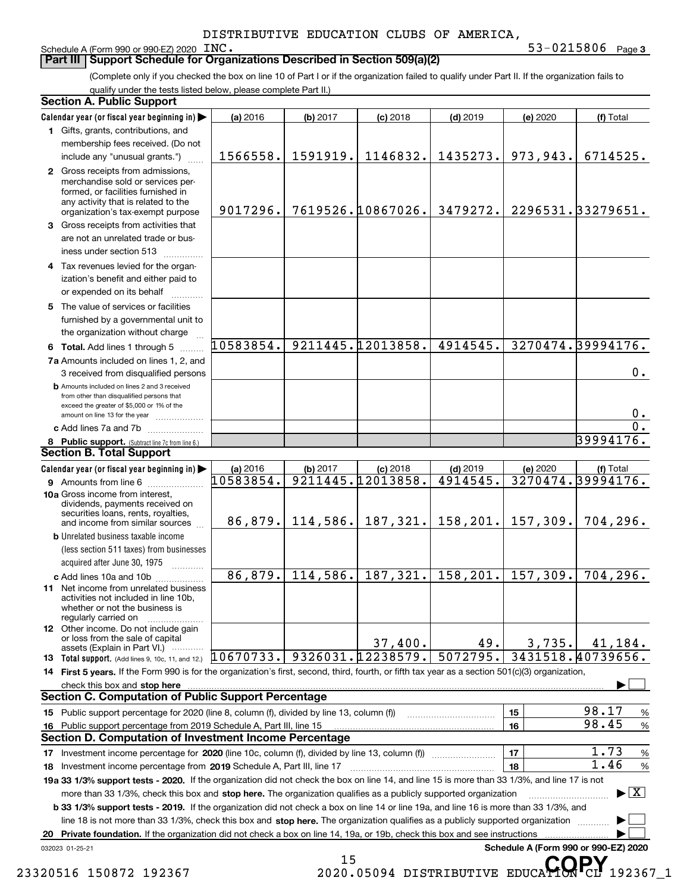#### Schedule A (Form 990 or 990-EZ) 2020 INC.

### **Part III** | Support Schedule for Organizations Described in Section 509(a)(2)

**3** INC. 53-0215806

(Complete only if you checked the box on line 10 of Part I or if the organization failed to qualify under Part II. If the organization fails to qualify under the tests listed below, please complete Part II.)

|    | <b>Section A. Public Support</b>                                                                                                                                                         |            |          |                   |            |          |                                              |
|----|------------------------------------------------------------------------------------------------------------------------------------------------------------------------------------------|------------|----------|-------------------|------------|----------|----------------------------------------------|
|    | Calendar year (or fiscal year beginning in)                                                                                                                                              | $(a)$ 2016 | (b) 2017 | $(c)$ 2018        | $(d)$ 2019 | (e) 2020 | (f) Total                                    |
|    | 1 Gifts, grants, contributions, and                                                                                                                                                      |            |          |                   |            |          |                                              |
|    | membership fees received. (Do not                                                                                                                                                        |            |          |                   |            |          |                                              |
|    | include any "unusual grants.")                                                                                                                                                           | 1566558.   | 1591919. | 1146832.          | 1435273.   | 973,943. | 6714525.                                     |
|    | 2 Gross receipts from admissions,<br>merchandise sold or services per-<br>formed, or facilities furnished in<br>any activity that is related to the<br>organization's tax-exempt purpose | 9017296.   |          | 7619526.10867026. | 3479272.   |          | 2296531.33279651.                            |
|    | 3 Gross receipts from activities that<br>are not an unrelated trade or bus-<br>iness under section 513                                                                                   |            |          |                   |            |          |                                              |
|    | 4 Tax revenues levied for the organ-                                                                                                                                                     |            |          |                   |            |          |                                              |
|    | ization's benefit and either paid to<br>or expended on its behalf                                                                                                                        |            |          |                   |            |          |                                              |
|    | 5 The value of services or facilities<br>furnished by a governmental unit to                                                                                                             |            |          |                   |            |          |                                              |
|    | the organization without charge                                                                                                                                                          |            |          |                   |            |          |                                              |
|    | 6 Total. Add lines 1 through 5                                                                                                                                                           | 10583854.  |          | 9211445.12013858. | 4914545.   |          | 3270474.39994176.                            |
|    | 7a Amounts included on lines 1, 2, and<br>3 received from disqualified persons                                                                                                           |            |          |                   |            |          | 0.                                           |
|    | <b>b</b> Amounts included on lines 2 and 3 received<br>from other than disqualified persons that<br>exceed the greater of \$5,000 or 1% of the                                           |            |          |                   |            |          | 0.                                           |
|    | amount on line 13 for the year<br>c Add lines 7a and 7b                                                                                                                                  |            |          |                   |            |          | $\overline{0}$ .                             |
|    | 8 Public support. (Subtract line 7c from line 6.)                                                                                                                                        |            |          |                   |            |          | 39994176.                                    |
|    | <b>Section B. Total Support</b>                                                                                                                                                          |            |          |                   |            |          |                                              |
|    | Calendar year (or fiscal year beginning in)                                                                                                                                              | (a) 2016   | (b) 2017 | $(c)$ 2018        | $(d)$ 2019 | (e) 2020 | (f) Total                                    |
|    | <b>9</b> Amounts from line 6                                                                                                                                                             | 10583854.  |          | 9211445.12013858. | 4914545.   |          | 3270474.39994176.                            |
|    | 10a Gross income from interest,<br>dividends, payments received on<br>securities loans, rents, royalties,<br>and income from similar sources                                             | 86,879.    | 114,586. | 187,321.          | 158, 201.  | 157,309. | 704, 296.                                    |
|    | <b>b</b> Unrelated business taxable income                                                                                                                                               |            |          |                   |            |          |                                              |
|    | (less section 511 taxes) from businesses<br>acquired after June 30, 1975                                                                                                                 |            |          |                   |            |          |                                              |
|    | c Add lines 10a and 10b                                                                                                                                                                  | 86,879.    | 114,586. | 187,321.          | 158, 201.  | 157,309. | $\overline{704}$ , 296.                      |
|    | 11 Net income from unrelated business<br>activities not included in line 10b.<br>whether or not the business is<br>regularly carried on                                                  |            |          |                   |            |          |                                              |
|    | <b>12</b> Other income. Do not include gain<br>or loss from the sale of capital<br>assets (Explain in Part VI.)                                                                          |            |          | 37,400.           | 49.        | 3,735.   | 41,184.                                      |
|    | 13 Total support. (Add lines 9, 10c, 11, and 12.)                                                                                                                                        | 10670733.  |          | 9326031.12238579. | 5072795.   |          | 3431518.40739656.                            |
|    | 14 First 5 years. If the Form 990 is for the organization's first, second, third, fourth, or fifth tax year as a section 501(c)(3) organization,                                         |            |          |                   |            |          |                                              |
|    | check this box and stop here                                                                                                                                                             |            |          |                   |            |          |                                              |
|    | <b>Section C. Computation of Public Support Percentage</b>                                                                                                                               |            |          |                   |            |          |                                              |
|    | 15 Public support percentage for 2020 (line 8, column (f), divided by line 13, column (f))                                                                                               |            |          |                   |            | 15       | 98.17<br>$\%$                                |
|    | 16 Public support percentage from 2019 Schedule A, Part III, line 15                                                                                                                     |            |          |                   |            | 16       | 98.45<br>%                                   |
|    | Section D. Computation of Investment Income Percentage                                                                                                                                   |            |          |                   |            |          |                                              |
|    | 17 Investment income percentage for 2020 (line 10c, column (f), divided by line 13, column (f))                                                                                          |            |          |                   |            | 17       | 1.73<br>$\%$                                 |
|    | 18 Investment income percentage from 2019 Schedule A, Part III, line 17                                                                                                                  |            |          |                   |            | 18       | 1.46<br>$\%$                                 |
|    | 19a 33 1/3% support tests - 2020. If the organization did not check the box on line 14, and line 15 is more than 33 1/3%, and line 17 is not                                             |            |          |                   |            |          |                                              |
|    | more than 33 1/3%, check this box and stop here. The organization qualifies as a publicly supported organization                                                                         |            |          |                   |            |          | $\blacktriangleright$ $\vert$ X              |
|    | <b>b 33 1/3% support tests - 2019.</b> If the organization did not check a box on line 14 or line 19a, and line 16 is more than 33 1/3%, and                                             |            |          |                   |            |          |                                              |
|    | line 18 is not more than 33 1/3%, check this box and stop here. The organization qualifies as a publicly supported organization                                                          |            |          |                   |            |          |                                              |
| 20 | Private foundation. If the organization did not check a box on line 14, 19a, or 19b, check this box and see instructions                                                                 |            |          |                   |            |          |                                              |
|    | 032023 01-25-21                                                                                                                                                                          |            | 15       |                   |            |          | Schedule A (Form 990 or 990-EZ) 2020<br>CODV |

<sup>15</sup> <sup>15</sup> 23320516 150872 192367 2020.05094 DISTRIBUTIVE EDUCA**TORPY** 192367\_1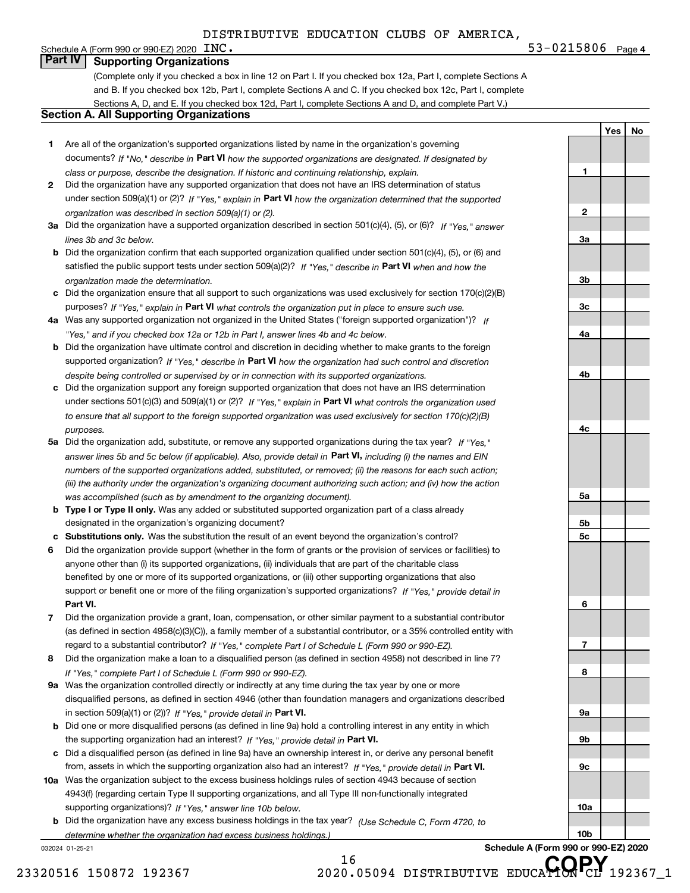**4**INC. 53-0215806

**1**

**2**

**3a**

**3b**

**3c**

**4a**

**4b**

**4c**

**5a**

**5b5c**

**6**

**7**

**8**

**9a**

**9b**

**9c**

**10a**

**10b**

**Yes No**

### Schedule A (Form 990 or 990-EZ) 2020  $\text{INC}$ . **Part IV Supporting Organizations**

(Complete only if you checked a box in line 12 on Part I. If you checked box 12a, Part I, complete Sections A and B. If you checked box 12b, Part I, complete Sections A and C. If you checked box 12c, Part I, complete Sections A, D, and E. If you checked box 12d, Part I, complete Sections A and D, and complete Part V.)

### **Section A. All Supporting Organizations**

- **1** Are all of the organization's supported organizations listed by name in the organization's governing documents? If "No," describe in **Part VI** how the supported organizations are designated. If designated by *class or purpose, describe the designation. If historic and continuing relationship, explain.*
- **2** Did the organization have any supported organization that does not have an IRS determination of status under section 509(a)(1) or (2)? If "Yes," explain in Part VI how the organization determined that the supported *organization was described in section 509(a)(1) or (2).*
- **3a** Did the organization have a supported organization described in section 501(c)(4), (5), or (6)? If "Yes," answer *lines 3b and 3c below.*
- **b** Did the organization confirm that each supported organization qualified under section 501(c)(4), (5), or (6) and satisfied the public support tests under section 509(a)(2)? If "Yes," describe in **Part VI** when and how the *organization made the determination.*
- **c**Did the organization ensure that all support to such organizations was used exclusively for section 170(c)(2)(B) purposes? If "Yes," explain in **Part VI** what controls the organization put in place to ensure such use.
- **4a***If* Was any supported organization not organized in the United States ("foreign supported organization")? *"Yes," and if you checked box 12a or 12b in Part I, answer lines 4b and 4c below.*
- **b** Did the organization have ultimate control and discretion in deciding whether to make grants to the foreign supported organization? If "Yes," describe in **Part VI** how the organization had such control and discretion *despite being controlled or supervised by or in connection with its supported organizations.*
- **c** Did the organization support any foreign supported organization that does not have an IRS determination under sections 501(c)(3) and 509(a)(1) or (2)? If "Yes," explain in **Part VI** what controls the organization used *to ensure that all support to the foreign supported organization was used exclusively for section 170(c)(2)(B) purposes.*
- **5a** Did the organization add, substitute, or remove any supported organizations during the tax year? If "Yes," answer lines 5b and 5c below (if applicable). Also, provide detail in **Part VI,** including (i) the names and EIN *numbers of the supported organizations added, substituted, or removed; (ii) the reasons for each such action; (iii) the authority under the organization's organizing document authorizing such action; and (iv) how the action was accomplished (such as by amendment to the organizing document).*
- **b** Type I or Type II only. Was any added or substituted supported organization part of a class already designated in the organization's organizing document?
- **cSubstitutions only.**  Was the substitution the result of an event beyond the organization's control?
- **6** Did the organization provide support (whether in the form of grants or the provision of services or facilities) to **Part VI.** *If "Yes," provide detail in* support or benefit one or more of the filing organization's supported organizations? anyone other than (i) its supported organizations, (ii) individuals that are part of the charitable class benefited by one or more of its supported organizations, or (iii) other supporting organizations that also
- **7**Did the organization provide a grant, loan, compensation, or other similar payment to a substantial contributor *If "Yes," complete Part I of Schedule L (Form 990 or 990-EZ).* regard to a substantial contributor? (as defined in section 4958(c)(3)(C)), a family member of a substantial contributor, or a 35% controlled entity with
- **8** Did the organization make a loan to a disqualified person (as defined in section 4958) not described in line 7? *If "Yes," complete Part I of Schedule L (Form 990 or 990-EZ).*
- **9a** Was the organization controlled directly or indirectly at any time during the tax year by one or more in section 509(a)(1) or (2))? If "Yes," *provide detail in* <code>Part VI.</code> disqualified persons, as defined in section 4946 (other than foundation managers and organizations described
- **b**the supporting organization had an interest? If "Yes," provide detail in P**art VI**. Did one or more disqualified persons (as defined in line 9a) hold a controlling interest in any entity in which
- **c**Did a disqualified person (as defined in line 9a) have an ownership interest in, or derive any personal benefit from, assets in which the supporting organization also had an interest? If "Yes," provide detail in P**art VI.**
- **10a** Was the organization subject to the excess business holdings rules of section 4943 because of section supporting organizations)? If "Yes," answer line 10b below. 4943(f) (regarding certain Type II supporting organizations, and all Type III non-functionally integrated
- **b** Did the organization have any excess business holdings in the tax year? (Use Schedule C, Form 4720, to *determine whether the organization had excess business holdings.)*

032024 01-25-21

**Schedule A (Form 990 or 990-EZ) 2020**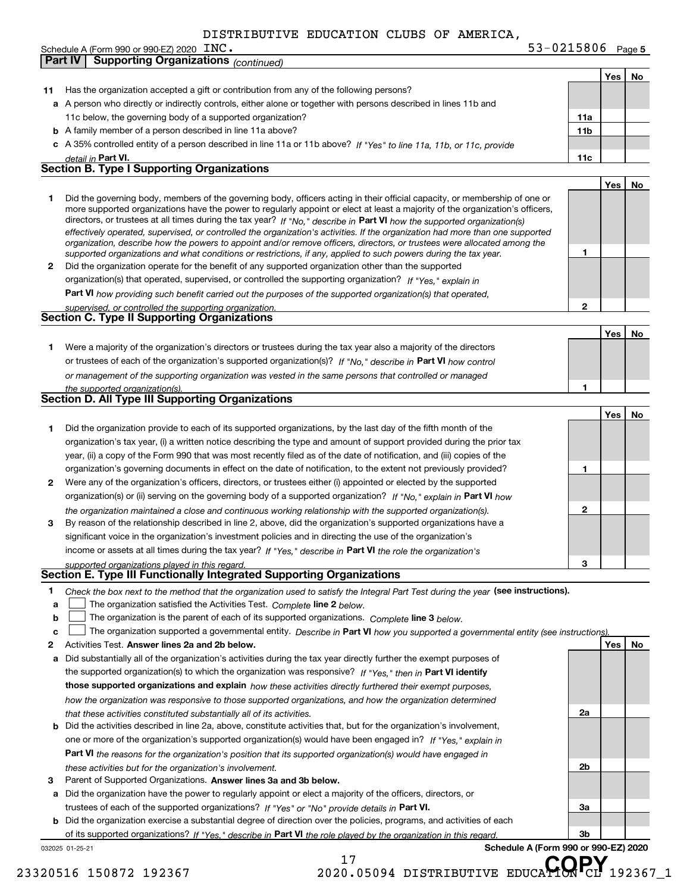**5** INC. 53-0215806

|              | <b>Supporting Organizations (continued)</b><br>Part IV                                                                                                                                                                                                      |                 |     |    |
|--------------|-------------------------------------------------------------------------------------------------------------------------------------------------------------------------------------------------------------------------------------------------------------|-----------------|-----|----|
|              |                                                                                                                                                                                                                                                             |                 | Yes | No |
| 11           | Has the organization accepted a gift or contribution from any of the following persons?                                                                                                                                                                     |                 |     |    |
|              | a A person who directly or indirectly controls, either alone or together with persons described in lines 11b and                                                                                                                                            |                 |     |    |
|              | 11c below, the governing body of a supported organization?                                                                                                                                                                                                  | 11a             |     |    |
|              | <b>b</b> A family member of a person described in line 11a above?                                                                                                                                                                                           | 11 <sub>b</sub> |     |    |
|              | c A 35% controlled entity of a person described in line 11a or 11b above? If "Yes" to line 11a, 11b, or 11c, provide                                                                                                                                        |                 |     |    |
|              |                                                                                                                                                                                                                                                             | 11c             |     |    |
|              | detail in Part VI.<br>Section B. Type I Supporting Organizations                                                                                                                                                                                            |                 |     |    |
|              |                                                                                                                                                                                                                                                             |                 |     |    |
|              |                                                                                                                                                                                                                                                             |                 | Yes | No |
| 1            | Did the governing body, members of the governing body, officers acting in their official capacity, or membership of one or<br>more supported organizations have the power to regularly appoint or elect at least a majority of the organization's officers, |                 |     |    |
|              | directors, or trustees at all times during the tax year? If "No," describe in Part VI how the supported organization(s)                                                                                                                                     |                 |     |    |
|              | effectively operated, supervised, or controlled the organization's activities. If the organization had more than one supported                                                                                                                              |                 |     |    |
|              | organization, describe how the powers to appoint and/or remove officers, directors, or trustees were allocated among the                                                                                                                                    |                 |     |    |
|              | supported organizations and what conditions or restrictions, if any, applied to such powers during the tax year.                                                                                                                                            | 1               |     |    |
| 2            | Did the organization operate for the benefit of any supported organization other than the supported                                                                                                                                                         |                 |     |    |
|              | organization(s) that operated, supervised, or controlled the supporting organization? If "Yes," explain in                                                                                                                                                  |                 |     |    |
|              | Part VI how providing such benefit carried out the purposes of the supported organization(s) that operated,                                                                                                                                                 |                 |     |    |
|              | supervised, or controlled the supporting organization.                                                                                                                                                                                                      | 2               |     |    |
|              | Section C. Type II Supporting Organizations                                                                                                                                                                                                                 |                 |     |    |
|              |                                                                                                                                                                                                                                                             |                 | Yes | No |
| 1.           | Were a majority of the organization's directors or trustees during the tax year also a majority of the directors                                                                                                                                            |                 |     |    |
|              | or trustees of each of the organization's supported organization(s)? If "No," describe in Part VI how control                                                                                                                                               |                 |     |    |
|              | or management of the supporting organization was vested in the same persons that controlled or managed                                                                                                                                                      |                 |     |    |
|              | the supported organization(s).                                                                                                                                                                                                                              | 1               |     |    |
|              | Section D. All Type III Supporting Organizations                                                                                                                                                                                                            |                 |     |    |
|              |                                                                                                                                                                                                                                                             |                 | Yes | No |
| 1            | Did the organization provide to each of its supported organizations, by the last day of the fifth month of the                                                                                                                                              |                 |     |    |
|              | organization's tax year, (i) a written notice describing the type and amount of support provided during the prior tax                                                                                                                                       |                 |     |    |
|              | year, (ii) a copy of the Form 990 that was most recently filed as of the date of notification, and (iii) copies of the                                                                                                                                      |                 |     |    |
|              | organization's governing documents in effect on the date of notification, to the extent not previously provided?                                                                                                                                            | 1               |     |    |
| $\mathbf{2}$ | Were any of the organization's officers, directors, or trustees either (i) appointed or elected by the supported                                                                                                                                            |                 |     |    |
|              | organization(s) or (ii) serving on the governing body of a supported organization? If "No," explain in Part VI how                                                                                                                                          |                 |     |    |
|              |                                                                                                                                                                                                                                                             | 2               |     |    |
| 3            | the organization maintained a close and continuous working relationship with the supported organization(s).<br>By reason of the relationship described in line 2, above, did the organization's supported organizations have a                              |                 |     |    |
|              | significant voice in the organization's investment policies and in directing the use of the organization's                                                                                                                                                  |                 |     |    |
|              | income or assets at all times during the tax year? If "Yes," describe in Part VI the role the organization's                                                                                                                                                |                 |     |    |
|              |                                                                                                                                                                                                                                                             |                 |     |    |
|              | supported organizations played in this regard.<br>Section E. Type III Functionally Integrated Supporting Organizations                                                                                                                                      |                 |     |    |
|              |                                                                                                                                                                                                                                                             |                 |     |    |
| 1            | Check the box next to the method that the organization used to satisfy the Integral Part Test during the year (see instructions).                                                                                                                           |                 |     |    |
| a            | The organization satisfied the Activities Test. Complete line 2 below.                                                                                                                                                                                      |                 |     |    |
| b            | The organization is the parent of each of its supported organizations. Complete line 3 below.                                                                                                                                                               |                 |     |    |
| c            | The organization supported a governmental entity. Describe in Part VI how you supported a governmental entity (see instructions).                                                                                                                           |                 |     |    |
| 2            | Activities Test. Answer lines 2a and 2b below.                                                                                                                                                                                                              |                 | Yes | No |
| а            | Did substantially all of the organization's activities during the tax year directly further the exempt purposes of                                                                                                                                          |                 |     |    |
|              | the supported organization(s) to which the organization was responsive? If "Yes," then in Part VI identify                                                                                                                                                  |                 |     |    |
|              | those supported organizations and explain how these activities directly furthered their exempt purposes,                                                                                                                                                    |                 |     |    |
|              | how the organization was responsive to those supported organizations, and how the organization determined                                                                                                                                                   |                 |     |    |
|              | that these activities constituted substantially all of its activities.                                                                                                                                                                                      | 2a              |     |    |
| b            | Did the activities described in line 2a, above, constitute activities that, but for the organization's involvement,                                                                                                                                         |                 |     |    |
|              | one or more of the organization's supported organization(s) would have been engaged in? If "Yes," explain in                                                                                                                                                |                 |     |    |
|              | <b>Part VI</b> the reasons for the organization's position that its supported organization(s) would have engaged in                                                                                                                                         |                 |     |    |
|              | these activities but for the organization's involvement.                                                                                                                                                                                                    | 2b              |     |    |
| 3            | Parent of Supported Organizations. Answer lines 3a and 3b below.                                                                                                                                                                                            |                 |     |    |
| а            | Did the organization have the power to regularly appoint or elect a majority of the officers, directors, or                                                                                                                                                 |                 |     |    |
|              | trustees of each of the supported organizations? If "Yes" or "No" provide details in Part VI.                                                                                                                                                               | За              |     |    |
| b            | Did the organization exercise a substantial degree of direction over the policies, programs, and activities of each                                                                                                                                         |                 |     |    |
|              | of its supported organizations? If "Yes," describe in Part VI the role played by the organization in this regard.                                                                                                                                           | 3b              |     |    |
|              | Schedule A (Form 990 or 990-EZ) 2020<br>032025 01-25-21                                                                                                                                                                                                     |                 |     |    |

Schedule A (Form 990 or 990-EZ) 2020 INC.

17 <sup>17</sup> <sup>17</sup> 23320516 150872 192367 2020.05094 DISTRIBUTIVE EDUCA**TORPY** 192367\_1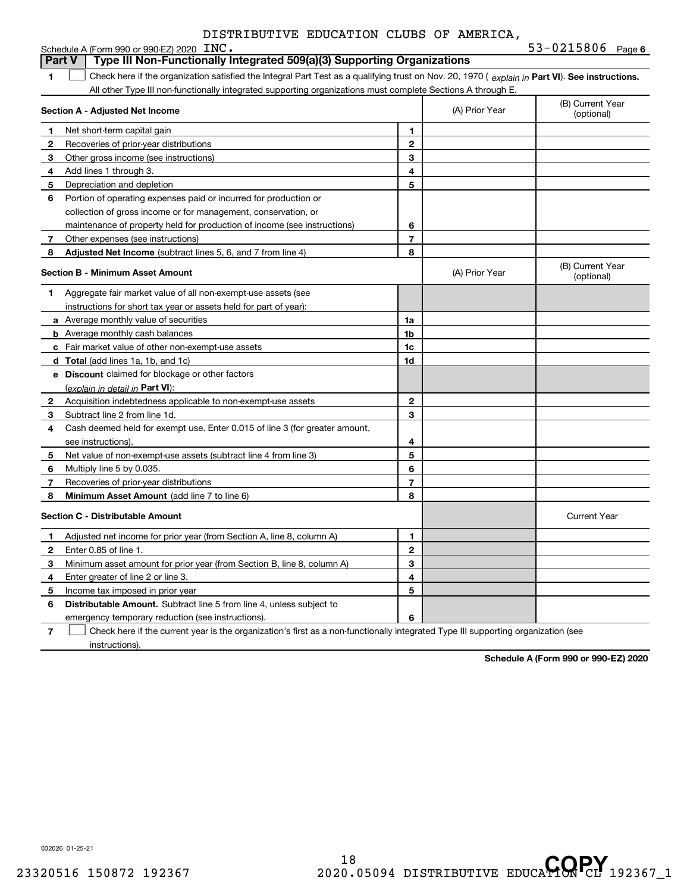| DISTRIBUTIVE EDUCATION CLUBS OF AMERICA. |  |  |  |  |
|------------------------------------------|--|--|--|--|
|------------------------------------------|--|--|--|--|

**6**

|              | Schedule A (Form 990 or 990-EZ) 2020 INC.                                                                                                      |                |                | 53-0215806 $Page 6$            |
|--------------|------------------------------------------------------------------------------------------------------------------------------------------------|----------------|----------------|--------------------------------|
|              | Type III Non-Functionally Integrated 509(a)(3) Supporting Organizations<br><b>Part V</b>                                                       |                |                |                                |
| 1            | Check here if the organization satisfied the Integral Part Test as a qualifying trust on Nov. 20, 1970 (explain in Part VI). See instructions. |                |                |                                |
|              | All other Type III non-functionally integrated supporting organizations must complete Sections A through E.                                    |                |                |                                |
|              | <b>Section A - Adjusted Net Income</b>                                                                                                         |                | (A) Prior Year | (B) Current Year<br>(optional) |
| 1            | Net short-term capital gain                                                                                                                    | 1              |                |                                |
| $\mathbf{2}$ | Recoveries of prior-year distributions                                                                                                         | $\mathbf{2}$   |                |                                |
| 3            | Other gross income (see instructions)                                                                                                          | 3              |                |                                |
| 4            | Add lines 1 through 3.                                                                                                                         | 4              |                |                                |
| 5            | Depreciation and depletion                                                                                                                     | 5              |                |                                |
| 6            | Portion of operating expenses paid or incurred for production or                                                                               |                |                |                                |
|              | collection of gross income or for management, conservation, or                                                                                 |                |                |                                |
|              | maintenance of property held for production of income (see instructions)                                                                       | 6              |                |                                |
| 7            | Other expenses (see instructions)                                                                                                              | 7              |                |                                |
| 8            | Adjusted Net Income (subtract lines 5, 6, and 7 from line 4)                                                                                   | 8              |                |                                |
|              | <b>Section B - Minimum Asset Amount</b>                                                                                                        |                | (A) Prior Year | (B) Current Year<br>(optional) |
| 1            | Aggregate fair market value of all non-exempt-use assets (see                                                                                  |                |                |                                |
|              | instructions for short tax year or assets held for part of year):                                                                              |                |                |                                |
|              | <b>a</b> Average monthly value of securities                                                                                                   | 1a             |                |                                |
|              | <b>b</b> Average monthly cash balances                                                                                                         | 1b             |                |                                |
|              | c Fair market value of other non-exempt-use assets                                                                                             | 1 <sub>c</sub> |                |                                |
|              | <b>d</b> Total (add lines 1a, 1b, and 1c)                                                                                                      | 1d             |                |                                |
|              | e Discount claimed for blockage or other factors                                                                                               |                |                |                                |
|              | (explain in detail in <b>Part VI</b> ):                                                                                                        |                |                |                                |
| 2            | Acquisition indebtedness applicable to non-exempt-use assets                                                                                   | 2              |                |                                |
| 3            | Subtract line 2 from line 1d.                                                                                                                  | 3              |                |                                |
| 4            | Cash deemed held for exempt use. Enter 0.015 of line 3 (for greater amount,                                                                    |                |                |                                |
|              | see instructions).                                                                                                                             | 4              |                |                                |
| 5            | Net value of non-exempt-use assets (subtract line 4 from line 3)                                                                               | 5              |                |                                |
| 6            | Multiply line 5 by 0.035.                                                                                                                      | 6              |                |                                |
| 7            | Recoveries of prior-year distributions                                                                                                         | 7              |                |                                |
| 8            | Minimum Asset Amount (add line 7 to line 6)                                                                                                    | 8              |                |                                |
|              | <b>Section C - Distributable Amount</b>                                                                                                        |                |                | <b>Current Year</b>            |
| 1            | Adjusted net income for prior year (from Section A, line 8, column A)                                                                          | 1              |                |                                |
| $\mathbf{2}$ | Enter 0.85 of line 1.                                                                                                                          | $\overline{2}$ |                |                                |
| 3            | Minimum asset amount for prior year (from Section B, line 8, column A)                                                                         | 3              |                |                                |
| 4            | Enter greater of line 2 or line 3.                                                                                                             | 4              |                |                                |
| 5            | Income tax imposed in prior year                                                                                                               | 5              |                |                                |
| 6            | <b>Distributable Amount.</b> Subtract line 5 from line 4, unless subject to                                                                    |                |                |                                |
|              | emergency temporary reduction (see instructions).                                                                                              | 6              |                |                                |
|              |                                                                                                                                                |                |                |                                |

**7** Check here if the current year is the organization's first as a non-functionally integrated Type III supporting organization (see instructions).

**Schedule A (Form 990 or 990-EZ) 2020**

032026 01-25-21

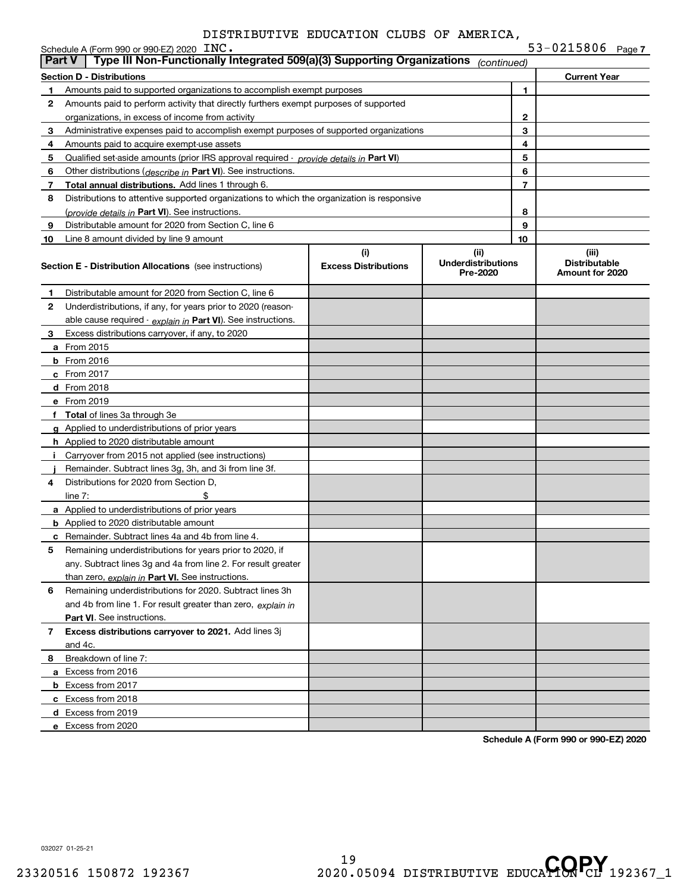|        | Schedule A (Form 990 or 990-EZ) 2020 INC.                                                  |                                    |                                               |    | 53-0215806 Page 7                                |
|--------|--------------------------------------------------------------------------------------------|------------------------------------|-----------------------------------------------|----|--------------------------------------------------|
| Part V | Type III Non-Functionally Integrated 509(a)(3) Supporting Organizations                    |                                    | (continued)                                   |    |                                                  |
|        | <b>Section D - Distributions</b>                                                           |                                    |                                               |    | <b>Current Year</b>                              |
| 1.     | Amounts paid to supported organizations to accomplish exempt purposes                      |                                    |                                               | 1  |                                                  |
| 2      | Amounts paid to perform activity that directly furthers exempt purposes of supported       |                                    |                                               |    |                                                  |
|        | organizations, in excess of income from activity                                           |                                    |                                               | 2  |                                                  |
| 3      | Administrative expenses paid to accomplish exempt purposes of supported organizations      |                                    |                                               | 3  |                                                  |
| 4      | Amounts paid to acquire exempt-use assets                                                  |                                    |                                               | 4  |                                                  |
| 5      | Qualified set-aside amounts (prior IRS approval required - provide details in Part VI)     |                                    |                                               | 5  |                                                  |
| 6      | Other distributions ( <i>describe in</i> Part VI). See instructions.                       |                                    |                                               | 6  |                                                  |
| 7      | <b>Total annual distributions.</b> Add lines 1 through 6.                                  |                                    |                                               | 7  |                                                  |
| 8      | Distributions to attentive supported organizations to which the organization is responsive |                                    |                                               |    |                                                  |
|        | (provide details in Part VI). See instructions.                                            |                                    |                                               | 8  |                                                  |
| 9      | Distributable amount for 2020 from Section C, line 6                                       |                                    |                                               | 9  |                                                  |
| 10     | Line 8 amount divided by line 9 amount                                                     |                                    |                                               | 10 |                                                  |
|        | <b>Section E - Distribution Allocations</b> (see instructions)                             | (i)<br><b>Excess Distributions</b> | (ii)<br><b>Underdistributions</b><br>Pre-2020 |    | (iii)<br><b>Distributable</b><br>Amount for 2020 |
| 1      | Distributable amount for 2020 from Section C, line 6                                       |                                    |                                               |    |                                                  |
| 2      | Underdistributions, if any, for years prior to 2020 (reason-                               |                                    |                                               |    |                                                  |
|        | able cause required - explain in Part VI). See instructions.                               |                                    |                                               |    |                                                  |
| З.     | Excess distributions carryover, if any, to 2020                                            |                                    |                                               |    |                                                  |
|        | <b>a</b> From 2015                                                                         |                                    |                                               |    |                                                  |
|        | <b>b</b> From 2016                                                                         |                                    |                                               |    |                                                  |
|        | $c$ From 2017                                                                              |                                    |                                               |    |                                                  |
|        | d From 2018                                                                                |                                    |                                               |    |                                                  |
|        | e From 2019                                                                                |                                    |                                               |    |                                                  |
|        | f Total of lines 3a through 3e                                                             |                                    |                                               |    |                                                  |
|        | g Applied to underdistributions of prior years                                             |                                    |                                               |    |                                                  |
|        | <b>h</b> Applied to 2020 distributable amount                                              |                                    |                                               |    |                                                  |
| Ť.     | Carryover from 2015 not applied (see instructions)                                         |                                    |                                               |    |                                                  |
|        | Remainder. Subtract lines 3g, 3h, and 3i from line 3f.                                     |                                    |                                               |    |                                                  |
| 4      | Distributions for 2020 from Section D,                                                     |                                    |                                               |    |                                                  |
|        | \$<br>line 7:                                                                              |                                    |                                               |    |                                                  |
|        | <b>a</b> Applied to underdistributions of prior years                                      |                                    |                                               |    |                                                  |
|        | <b>b</b> Applied to 2020 distributable amount                                              |                                    |                                               |    |                                                  |
|        | <b>c</b> Remainder. Subtract lines 4a and 4b from line 4.                                  |                                    |                                               |    |                                                  |
| 5      | Remaining underdistributions for years prior to 2020, if                                   |                                    |                                               |    |                                                  |
|        | any. Subtract lines 3g and 4a from line 2. For result greater                              |                                    |                                               |    |                                                  |
|        | than zero, explain in Part VI. See instructions.                                           |                                    |                                               |    |                                                  |
| 6      | Remaining underdistributions for 2020. Subtract lines 3h                                   |                                    |                                               |    |                                                  |
|        | and 4b from line 1. For result greater than zero, explain in                               |                                    |                                               |    |                                                  |
|        | Part VI. See instructions.                                                                 |                                    |                                               |    |                                                  |
| 7      | Excess distributions carryover to 2021. Add lines 3j<br>and 4c.                            |                                    |                                               |    |                                                  |
| 8      | Breakdown of line 7:                                                                       |                                    |                                               |    |                                                  |
|        | a Excess from 2016                                                                         |                                    |                                               |    |                                                  |
|        | <b>b</b> Excess from 2017                                                                  |                                    |                                               |    |                                                  |
|        | c Excess from 2018                                                                         |                                    |                                               |    |                                                  |
|        | d Excess from 2019                                                                         |                                    |                                               |    |                                                  |
|        | e Excess from 2020                                                                         |                                    |                                               |    |                                                  |
|        |                                                                                            |                                    |                                               |    |                                                  |

**Schedule A (Form 990 or 990-EZ) 2020**

032027 01-25-21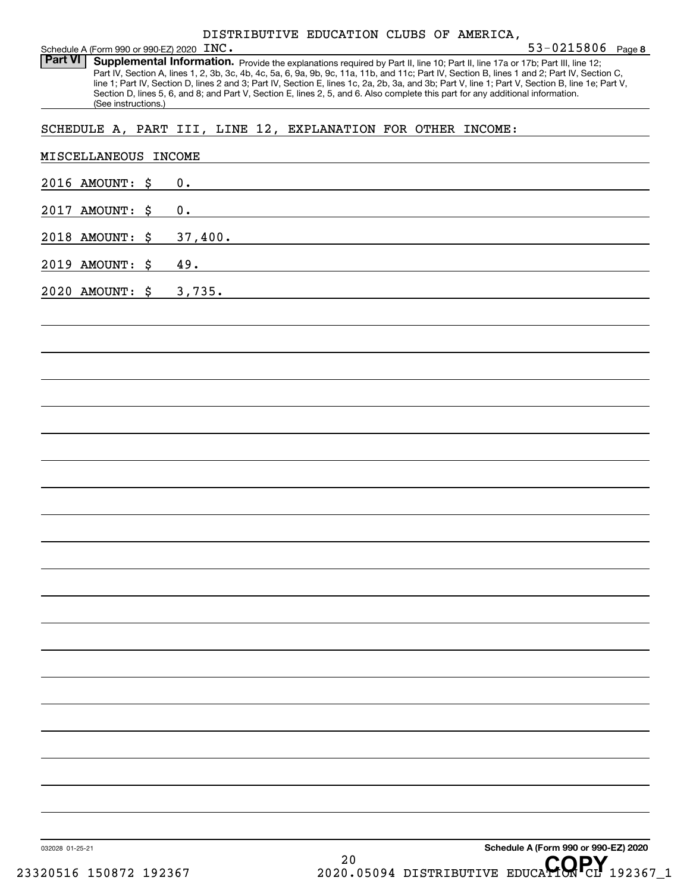| DISTRIBUTIVE EDUCATION CLUBS OF AMERICA. |  |  |  |  |
|------------------------------------------|--|--|--|--|
|------------------------------------------|--|--|--|--|

| Schedule A (Form 990 or 990-EZ) 2020 INC.                    |         | DISTRIBUTIVE EDUCATION CLUBS OF AMERICA,                                                                                        | $53 - 0215806$ Page 8                                                                                                                                                                                                                                                                                                                                                                                                             |
|--------------------------------------------------------------|---------|---------------------------------------------------------------------------------------------------------------------------------|-----------------------------------------------------------------------------------------------------------------------------------------------------------------------------------------------------------------------------------------------------------------------------------------------------------------------------------------------------------------------------------------------------------------------------------|
| Part VI  <br>(See instructions.)                             |         | Section D, lines 5, 6, and 8; and Part V, Section E, lines 2, 5, and 6. Also complete this part for any additional information. | Supplemental Information. Provide the explanations required by Part II, line 10; Part II, line 17a or 17b; Part III, line 12;<br>Part IV, Section A, lines 1, 2, 3b, 3c, 4b, 4c, 5a, 6, 9a, 9b, 9c, 11a, 11b, and 11c; Part IV, Section B, lines 1 and 2; Part IV, Section C,<br>line 1; Part IV, Section D, lines 2 and 3; Part IV, Section E, lines 1c, 2a, 2b, 3a, and 3b; Part V, line 1; Part V, Section B, line 1e; Part V, |
| SCHEDULE A, PART III, LINE 12, EXPLANATION FOR OTHER INCOME: |         |                                                                                                                                 |                                                                                                                                                                                                                                                                                                                                                                                                                                   |
| MISCELLANEOUS INCOME                                         |         |                                                                                                                                 |                                                                                                                                                                                                                                                                                                                                                                                                                                   |
| 2016 AMOUNT: \$                                              | 0.      |                                                                                                                                 |                                                                                                                                                                                                                                                                                                                                                                                                                                   |
| 2017 AMOUNT: \$                                              | 0.      |                                                                                                                                 |                                                                                                                                                                                                                                                                                                                                                                                                                                   |
| 2018 AMOUNT: \$                                              | 37,400. |                                                                                                                                 |                                                                                                                                                                                                                                                                                                                                                                                                                                   |
| 2019 AMOUNT: \$                                              | 49.     |                                                                                                                                 |                                                                                                                                                                                                                                                                                                                                                                                                                                   |
| 2020 AMOUNT: \$                                              | 3,735.  |                                                                                                                                 |                                                                                                                                                                                                                                                                                                                                                                                                                                   |
|                                                              |         |                                                                                                                                 |                                                                                                                                                                                                                                                                                                                                                                                                                                   |
|                                                              |         |                                                                                                                                 |                                                                                                                                                                                                                                                                                                                                                                                                                                   |
|                                                              |         |                                                                                                                                 |                                                                                                                                                                                                                                                                                                                                                                                                                                   |
|                                                              |         |                                                                                                                                 |                                                                                                                                                                                                                                                                                                                                                                                                                                   |
|                                                              |         |                                                                                                                                 |                                                                                                                                                                                                                                                                                                                                                                                                                                   |
|                                                              |         |                                                                                                                                 |                                                                                                                                                                                                                                                                                                                                                                                                                                   |
|                                                              |         |                                                                                                                                 |                                                                                                                                                                                                                                                                                                                                                                                                                                   |
|                                                              |         |                                                                                                                                 |                                                                                                                                                                                                                                                                                                                                                                                                                                   |
|                                                              |         |                                                                                                                                 |                                                                                                                                                                                                                                                                                                                                                                                                                                   |
|                                                              |         |                                                                                                                                 |                                                                                                                                                                                                                                                                                                                                                                                                                                   |
|                                                              |         |                                                                                                                                 |                                                                                                                                                                                                                                                                                                                                                                                                                                   |
|                                                              |         |                                                                                                                                 |                                                                                                                                                                                                                                                                                                                                                                                                                                   |
|                                                              |         |                                                                                                                                 |                                                                                                                                                                                                                                                                                                                                                                                                                                   |
|                                                              |         |                                                                                                                                 |                                                                                                                                                                                                                                                                                                                                                                                                                                   |
|                                                              |         |                                                                                                                                 |                                                                                                                                                                                                                                                                                                                                                                                                                                   |
|                                                              |         |                                                                                                                                 |                                                                                                                                                                                                                                                                                                                                                                                                                                   |
|                                                              |         |                                                                                                                                 |                                                                                                                                                                                                                                                                                                                                                                                                                                   |
|                                                              |         |                                                                                                                                 |                                                                                                                                                                                                                                                                                                                                                                                                                                   |
|                                                              |         |                                                                                                                                 |                                                                                                                                                                                                                                                                                                                                                                                                                                   |
| 032028 01-25-21                                              |         |                                                                                                                                 | Schedule A (Form 990 or 990-EZ) 2020                                                                                                                                                                                                                                                                                                                                                                                              |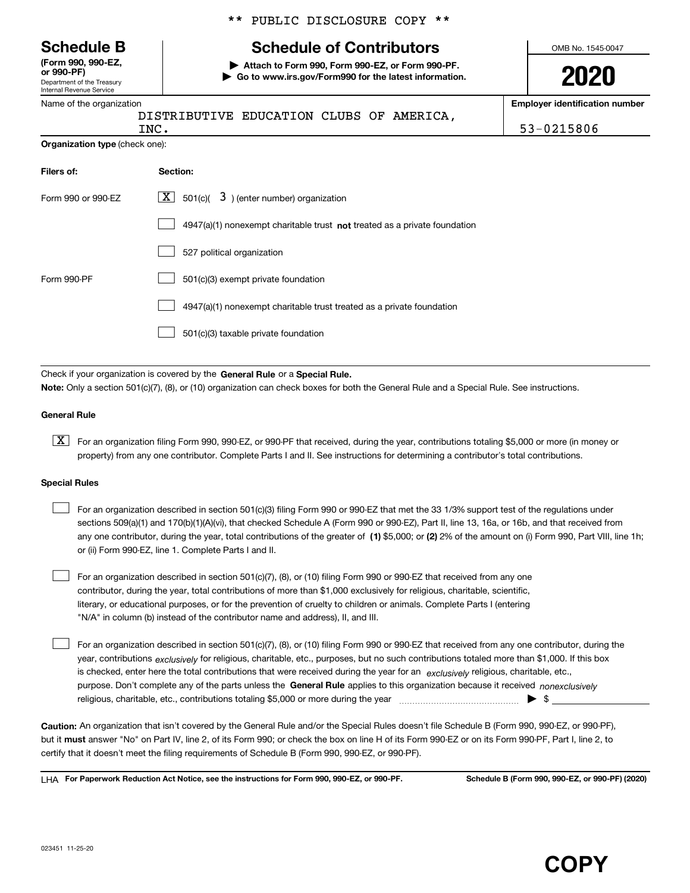Department of the Treasury Internal Revenue Service **(Form 990, 990-EZ, or 990-PF)**

#### Name of the organization

|  |  | ** PUBLIC DISCLOSURE COPY ** |  |  |
|--|--|------------------------------|--|--|
|--|--|------------------------------|--|--|

# **Schedule B Schedule of Contributors**

**| Attach to Form 990, Form 990-EZ, or Form 990-PF. | Go to www.irs.gov/Form990 for the latest information.** OMB No. 1545-0047

**2020**

**Employer identification number**

|                                | DISTRIBUTIVE EDUCATION CLUBS OF AMERICA,<br>INC.                          | 53-0215806 |  |  |
|--------------------------------|---------------------------------------------------------------------------|------------|--|--|
| Organization type (check one): |                                                                           |            |  |  |
| Filers of:                     | Section:                                                                  |            |  |  |
| Form 990 or 990-EZ             | $\lfloor \underline{X} \rfloor$ 501(c)( 3) (enter number) organization    |            |  |  |
|                                | 4947(a)(1) nonexempt charitable trust not treated as a private foundation |            |  |  |
|                                | 527 political organization                                                |            |  |  |
| Form 990-PF                    | 501(c)(3) exempt private foundation                                       |            |  |  |
|                                | 4947(a)(1) nonexempt charitable trust treated as a private foundation     |            |  |  |
|                                | 501(c)(3) taxable private foundation                                      |            |  |  |

Check if your organization is covered by the **General Rule** or a **Special Rule.**<br>Nota: Only a section 501(c)(7), (8), or (10) erganization can chock boxes for be **Note:**  Only a section 501(c)(7), (8), or (10) organization can check boxes for both the General Rule and a Special Rule. See instructions.

#### **General Rule**

 $\boxed{\textbf{X}}$  For an organization filing Form 990, 990-EZ, or 990-PF that received, during the year, contributions totaling \$5,000 or more (in money or property) from any one contributor. Complete Parts I and II. See instructions for determining a contributor's total contributions.

#### **Special Rules**

| For an organization described in section 501(c)(3) filing Form 990 or 990-EZ that met the 33 1/3% support test of the regulations under               |
|-------------------------------------------------------------------------------------------------------------------------------------------------------|
| sections 509(a)(1) and 170(b)(1)(A)(vi), that checked Schedule A (Form 990 or 990-EZ), Part II, line 13, 16a, or 16b, and that received from          |
| any one contributor, during the year, total contributions of the greater of (1) \$5,000; or (2) 2% of the amount on (i) Form 990, Part VIII, line 1h; |
| or (ii) Form 990-EZ, line 1. Complete Parts I and II.                                                                                                 |

For an organization described in section 501(c)(7), (8), or (10) filing Form 990 or 990-EZ that received from any one contributor, during the year, total contributions of more than \$1,000 exclusively for religious, charitable, scientific, literary, or educational purposes, or for the prevention of cruelty to children or animals. Complete Parts I (entering "N/A" in column (b) instead of the contributor name and address), II, and III.  $\mathcal{L}^{\text{max}}$ 

purpose. Don't complete any of the parts unless the **General Rule** applies to this organization because it received *nonexclusively* year, contributions <sub>exclusively</sub> for religious, charitable, etc., purposes, but no such contributions totaled more than \$1,000. If this box is checked, enter here the total contributions that were received during the year for an  $\;$ exclusively religious, charitable, etc., For an organization described in section 501(c)(7), (8), or (10) filing Form 990 or 990-EZ that received from any one contributor, during the religious, charitable, etc., contributions totaling \$5,000 or more during the year  $\Box$ — $\Box$   $\Box$  $\mathcal{L}^{\text{max}}$ 

**Caution:**  An organization that isn't covered by the General Rule and/or the Special Rules doesn't file Schedule B (Form 990, 990-EZ, or 990-PF), but it **must** answer "No" on Part IV, line 2, of its Form 990; or check the box on line H of its Form 990-EZ or on its Form 990-PF, Part I, line 2, to<br>cortify that it doesn't meet the filipe requirements of Schodule B (Fer certify that it doesn't meet the filing requirements of Schedule B (Form 990, 990-EZ, or 990-PF).

**For Paperwork Reduction Act Notice, see the instructions for Form 990, 990-EZ, or 990-PF. Schedule B (Form 990, 990-EZ, or 990-PF) (2020)** LHA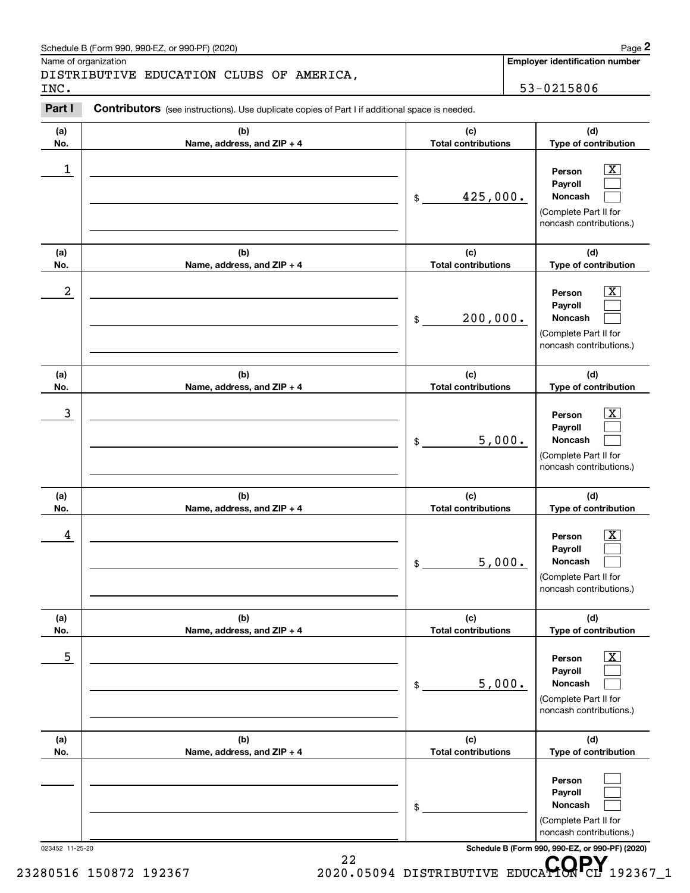# Schedule B (Form 990, 990-EZ, or 990-PF) (2020) **Page 2** Page 2

|                  | Schedule B (Form 990, 990-EZ, or 990-PF) (2020)                                                |                                   | Page 2                                                                                                      |
|------------------|------------------------------------------------------------------------------------------------|-----------------------------------|-------------------------------------------------------------------------------------------------------------|
| INC.             | Name of organization<br>DISTRIBUTIVE EDUCATION CLUBS OF AMERICA,                               |                                   | Employer identification number<br>53-0215806                                                                |
| Part I           | Contributors (see instructions). Use duplicate copies of Part I if additional space is needed. |                                   |                                                                                                             |
| (a)<br>No.       | (b)<br>Name, address, and ZIP + 4                                                              | (c)<br><b>Total contributions</b> | (d)<br>Type of contribution                                                                                 |
| 1                |                                                                                                | 425,000.<br>$\$\$                 | $\mathbf{X}$<br>Person<br>Payroll<br>Noncash<br>(Complete Part II for<br>noncash contributions.)            |
| (a)<br>No.       | (b)<br>Name, address, and ZIP + 4                                                              | (c)<br><b>Total contributions</b> | (d)<br>Type of contribution                                                                                 |
| $\boldsymbol{2}$ |                                                                                                | 200,000.<br>$$\mathbb{S}$$        | $\overline{\mathbf{X}}$<br>Person<br>Payroll<br>Noncash<br>(Complete Part II for<br>noncash contributions.) |
| (a)<br>No.       | (b)<br>Name, address, and ZIP + 4                                                              | (c)<br><b>Total contributions</b> | (d)<br>Type of contribution                                                                                 |
| $\mathbf{3}$     |                                                                                                | 5,000.<br>\$                      | $\overline{\mathbf{X}}$<br>Person<br>Payroll<br>Noncash<br>(Complete Part II for<br>noncash contributions.) |
| (a)<br>No.       | (b)<br>Name, address, and ZIP + 4                                                              | (c)<br><b>Total contributions</b> | (d)<br>Type of contribution                                                                                 |
| 4                |                                                                                                | 5,000.<br>\$                      | $\mathbf{X}$<br>Person<br>Payroll<br>Noncash<br>(Complete Part II for<br>noncash contributions.)            |
| (a)<br>No.       | (b)<br>Name, address, and ZIP + 4                                                              | (c)<br><b>Total contributions</b> | (d)<br>Type of contribution                                                                                 |
| 5                |                                                                                                | 5,000.<br>\$                      | $\boxed{\text{X}}$<br>Person<br>Payroll<br>Noncash<br>(Complete Part II for<br>noncash contributions.)      |
| (a)<br>No.       | (b)<br>Name, address, and ZIP + 4                                                              | (c)<br><b>Total contributions</b> | (d)<br>Type of contribution                                                                                 |
|                  |                                                                                                | \$                                | Person<br>Payroll<br>Noncash<br>(Complete Part II for<br>noncash contributions.)                            |
| 023452 11-25-20  | 22                                                                                             |                                   | Schedule B (Form 990, 990-EZ, or 990-PF) (2020)<br>CODV                                                     |

<sup>22</sup> <sup>22</sup> 23280516 150872 192367 2020.05094 DISTRIBUTIVE EDUCA**TORPY** 192367\_1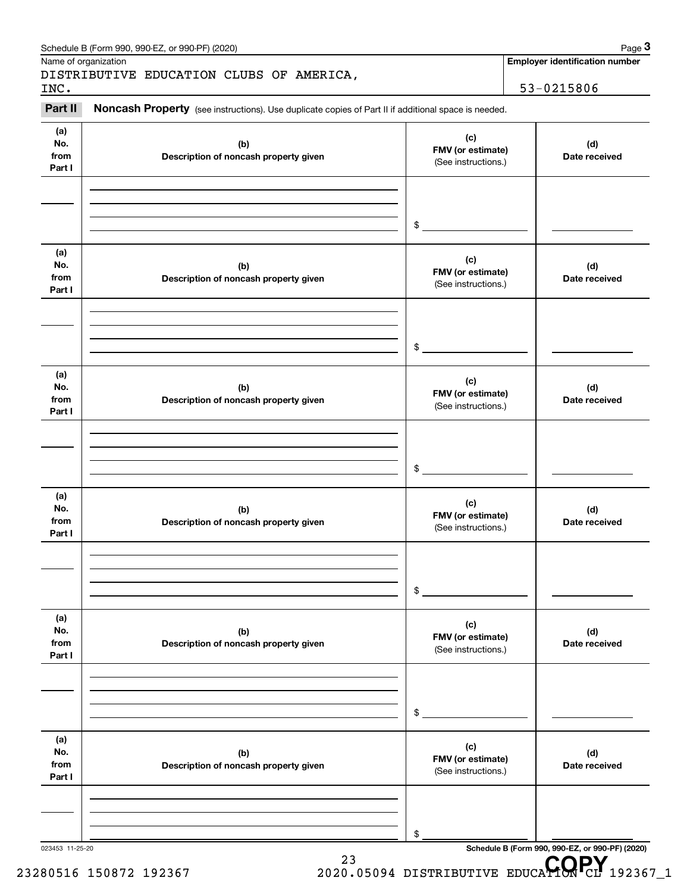|                              | Schedule B (Form 990, 990-EZ, or 990-PF) (2020)                                                     |                                                 | Page 3                                                  |
|------------------------------|-----------------------------------------------------------------------------------------------------|-------------------------------------------------|---------------------------------------------------------|
|                              | Name of organization                                                                                |                                                 | <b>Employer identification number</b>                   |
| INC.                         | DISTRIBUTIVE EDUCATION CLUBS OF AMERICA,                                                            |                                                 | 53-0215806                                              |
| Part II                      | Noncash Property (see instructions). Use duplicate copies of Part II if additional space is needed. |                                                 |                                                         |
| (a)<br>No.<br>from<br>Part I | (b)<br>Description of noncash property given                                                        | (c)<br>FMV (or estimate)<br>(See instructions.) | (d)<br>Date received                                    |
|                              |                                                                                                     | \$                                              |                                                         |
| (a)<br>No.<br>from<br>Part I | (b)<br>Description of noncash property given                                                        | (c)<br>FMV (or estimate)<br>(See instructions.) | (d)<br>Date received                                    |
|                              |                                                                                                     | \$                                              |                                                         |
| (a)<br>No.<br>from<br>Part I | (b)<br>Description of noncash property given                                                        | (c)<br>FMV (or estimate)<br>(See instructions.) | (d)<br>Date received                                    |
|                              |                                                                                                     | \$                                              |                                                         |
| (a)<br>No.<br>from<br>Part I | (b)<br>Description of noncash property given                                                        | (c)<br>FMV (or estimate)<br>(See instructions.) | (d)<br>Date received                                    |
|                              |                                                                                                     | \$                                              |                                                         |
| (a)<br>No.<br>from<br>Part I | (b)<br>Description of noncash property given                                                        | (c)<br>FMV (or estimate)<br>(See instructions.) | (d)<br>Date received                                    |
|                              |                                                                                                     | \$                                              |                                                         |
| (a)<br>No.<br>from<br>Part I | (b)<br>Description of noncash property given                                                        | (c)<br>FMV (or estimate)<br>(See instructions.) | (d)<br>Date received                                    |
|                              |                                                                                                     | \$                                              |                                                         |
| 023453 11-25-20              | 23                                                                                                  |                                                 | Schedule B (Form 990, 990-EZ, or 990-PF) (2020)<br>CODV |

<sup>23</sup><br>2020.05094 DISTRIBUTIVE EDUCA**HON**CL 192367\_1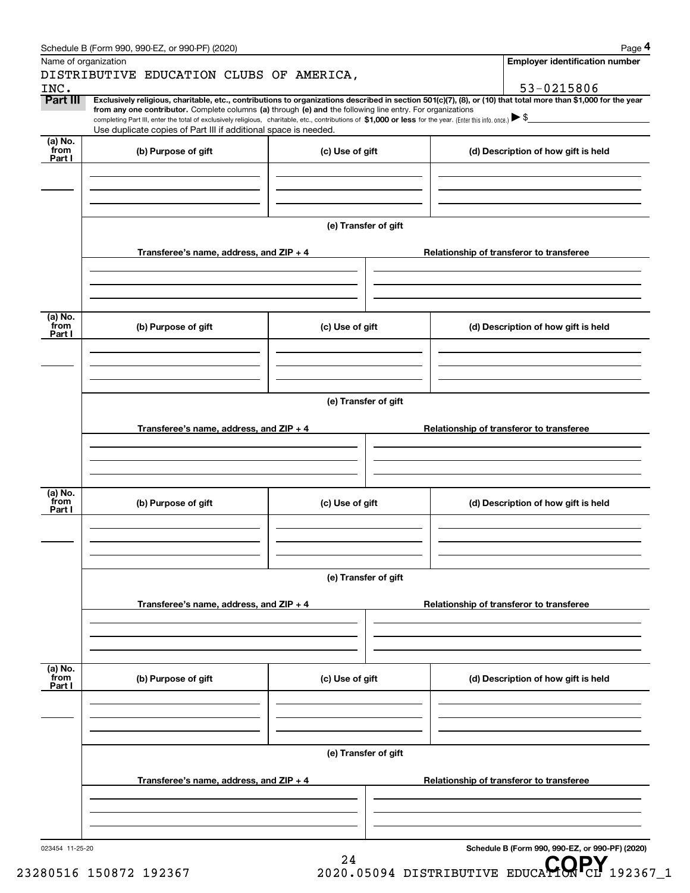|                      | Schedule B (Form 990, 990-EZ, or 990-PF) (2020)                                                                                                                                                                                                                            |                      |  | Page 4                                          |  |  |  |  |
|----------------------|----------------------------------------------------------------------------------------------------------------------------------------------------------------------------------------------------------------------------------------------------------------------------|----------------------|--|-------------------------------------------------|--|--|--|--|
| Name of organization |                                                                                                                                                                                                                                                                            |                      |  | <b>Employer identification number</b>           |  |  |  |  |
|                      | DISTRIBUTIVE EDUCATION CLUBS OF AMERICA,                                                                                                                                                                                                                                   |                      |  |                                                 |  |  |  |  |
| INC.                 |                                                                                                                                                                                                                                                                            |                      |  | 53-0215806                                      |  |  |  |  |
| Part III             | Exclusively religious, charitable, etc., contributions to organizations described in section 501(c)(7), (8), or (10) that total more than \$1,000 for the year                                                                                                             |                      |  |                                                 |  |  |  |  |
|                      | from any one contributor. Complete columns (a) through (e) and the following line entry. For organizations<br>completing Part III, enter the total of exclusively religious, charitable, etc., contributions of \$1,000 or less for the year. (Enter this info. once.) \\$ |                      |  |                                                 |  |  |  |  |
|                      | Use duplicate copies of Part III if additional space is needed.                                                                                                                                                                                                            |                      |  |                                                 |  |  |  |  |
| (a) No.              |                                                                                                                                                                                                                                                                            |                      |  |                                                 |  |  |  |  |
| from<br>Part I       | (b) Purpose of gift                                                                                                                                                                                                                                                        | (c) Use of gift      |  | (d) Description of how gift is held             |  |  |  |  |
|                      |                                                                                                                                                                                                                                                                            |                      |  |                                                 |  |  |  |  |
|                      |                                                                                                                                                                                                                                                                            |                      |  |                                                 |  |  |  |  |
|                      |                                                                                                                                                                                                                                                                            |                      |  |                                                 |  |  |  |  |
|                      |                                                                                                                                                                                                                                                                            |                      |  |                                                 |  |  |  |  |
|                      |                                                                                                                                                                                                                                                                            | (e) Transfer of gift |  |                                                 |  |  |  |  |
|                      |                                                                                                                                                                                                                                                                            |                      |  |                                                 |  |  |  |  |
|                      | Transferee's name, address, and ZIP + 4                                                                                                                                                                                                                                    |                      |  | Relationship of transferor to transferee        |  |  |  |  |
|                      |                                                                                                                                                                                                                                                                            |                      |  |                                                 |  |  |  |  |
|                      |                                                                                                                                                                                                                                                                            |                      |  |                                                 |  |  |  |  |
|                      |                                                                                                                                                                                                                                                                            |                      |  |                                                 |  |  |  |  |
|                      |                                                                                                                                                                                                                                                                            |                      |  |                                                 |  |  |  |  |
| (a) No.<br>from      | (b) Purpose of gift                                                                                                                                                                                                                                                        | (c) Use of gift      |  | (d) Description of how gift is held             |  |  |  |  |
| Part I               |                                                                                                                                                                                                                                                                            |                      |  |                                                 |  |  |  |  |
|                      |                                                                                                                                                                                                                                                                            |                      |  |                                                 |  |  |  |  |
|                      |                                                                                                                                                                                                                                                                            |                      |  |                                                 |  |  |  |  |
|                      |                                                                                                                                                                                                                                                                            |                      |  |                                                 |  |  |  |  |
|                      |                                                                                                                                                                                                                                                                            |                      |  |                                                 |  |  |  |  |
|                      | (e) Transfer of gift                                                                                                                                                                                                                                                       |                      |  |                                                 |  |  |  |  |
|                      | Transferee's name, address, and ZIP + 4                                                                                                                                                                                                                                    |                      |  | Relationship of transferor to transferee        |  |  |  |  |
|                      |                                                                                                                                                                                                                                                                            |                      |  |                                                 |  |  |  |  |
|                      |                                                                                                                                                                                                                                                                            |                      |  |                                                 |  |  |  |  |
|                      |                                                                                                                                                                                                                                                                            |                      |  |                                                 |  |  |  |  |
|                      |                                                                                                                                                                                                                                                                            |                      |  |                                                 |  |  |  |  |
| (a) No.              |                                                                                                                                                                                                                                                                            |                      |  |                                                 |  |  |  |  |
| from<br>Part I       | (b) Purpose of gift                                                                                                                                                                                                                                                        | (c) Use of gift      |  | (d) Description of how gift is held             |  |  |  |  |
|                      |                                                                                                                                                                                                                                                                            |                      |  |                                                 |  |  |  |  |
|                      |                                                                                                                                                                                                                                                                            |                      |  |                                                 |  |  |  |  |
|                      |                                                                                                                                                                                                                                                                            |                      |  |                                                 |  |  |  |  |
|                      |                                                                                                                                                                                                                                                                            |                      |  |                                                 |  |  |  |  |
|                      |                                                                                                                                                                                                                                                                            | (e) Transfer of gift |  |                                                 |  |  |  |  |
|                      |                                                                                                                                                                                                                                                                            |                      |  |                                                 |  |  |  |  |
|                      | Transferee's name, address, and ZIP + 4                                                                                                                                                                                                                                    |                      |  | Relationship of transferor to transferee        |  |  |  |  |
|                      |                                                                                                                                                                                                                                                                            |                      |  |                                                 |  |  |  |  |
|                      |                                                                                                                                                                                                                                                                            |                      |  |                                                 |  |  |  |  |
|                      |                                                                                                                                                                                                                                                                            |                      |  |                                                 |  |  |  |  |
| (a) No.<br>from      |                                                                                                                                                                                                                                                                            |                      |  |                                                 |  |  |  |  |
| Part I               | (b) Purpose of gift                                                                                                                                                                                                                                                        | (c) Use of gift      |  | (d) Description of how gift is held             |  |  |  |  |
|                      |                                                                                                                                                                                                                                                                            |                      |  |                                                 |  |  |  |  |
|                      |                                                                                                                                                                                                                                                                            |                      |  |                                                 |  |  |  |  |
|                      |                                                                                                                                                                                                                                                                            |                      |  |                                                 |  |  |  |  |
|                      |                                                                                                                                                                                                                                                                            |                      |  |                                                 |  |  |  |  |
|                      |                                                                                                                                                                                                                                                                            | (e) Transfer of gift |  |                                                 |  |  |  |  |
|                      |                                                                                                                                                                                                                                                                            |                      |  |                                                 |  |  |  |  |
|                      | Transferee's name, address, and ZIP + 4                                                                                                                                                                                                                                    |                      |  | Relationship of transferor to transferee        |  |  |  |  |
|                      |                                                                                                                                                                                                                                                                            |                      |  |                                                 |  |  |  |  |
|                      |                                                                                                                                                                                                                                                                            |                      |  |                                                 |  |  |  |  |
|                      |                                                                                                                                                                                                                                                                            |                      |  |                                                 |  |  |  |  |
| 023454 11-25-20      |                                                                                                                                                                                                                                                                            |                      |  | Schedule B (Form 990, 990-EZ, or 990-PF) (2020) |  |  |  |  |

24

<sup>24</sup> <sup>24</sup> <sup>24</sup> 23280516 150872 192367 2020.05094 DISTRIBUTIVE EDUCA**TORPY** 192367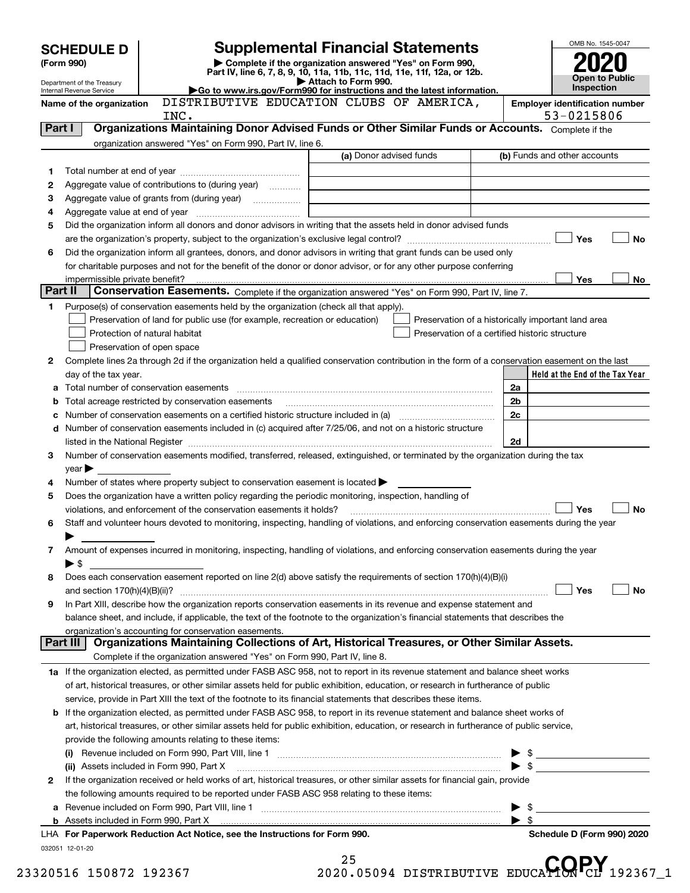|         | <b>SCHEDULE D</b>                                                                                                                                                          |                                                                                                        | <b>Supplemental Financial Statements</b>                                                                                                       |                          | OMB No. 1545-0047                                   |  |
|---------|----------------------------------------------------------------------------------------------------------------------------------------------------------------------------|--------------------------------------------------------------------------------------------------------|------------------------------------------------------------------------------------------------------------------------------------------------|--------------------------|-----------------------------------------------------|--|
|         | (Form 990)                                                                                                                                                                 |                                                                                                        | Complete if the organization answered "Yes" on Form 990,<br>Part IV, line 6, 7, 8, 9, 10, 11a, 11b, 11c, 11d, 11e, 11f, 12a, or 12b.           |                          |                                                     |  |
|         | Department of the Treasury                                                                                                                                                 |                                                                                                        | Attach to Form 990.                                                                                                                            |                          | <b>Open to Public</b><br><b>Inspection</b>          |  |
|         | Go to www.irs.gov/Form990 for instructions and the latest information.<br>Internal Revenue Service<br>DISTRIBUTIVE EDUCATION CLUBS OF AMERICA,<br>Name of the organization |                                                                                                        |                                                                                                                                                |                          |                                                     |  |
|         |                                                                                                                                                                            | INC.                                                                                                   |                                                                                                                                                |                          | <b>Employer identification number</b><br>53-0215806 |  |
| Part I  |                                                                                                                                                                            |                                                                                                        | Organizations Maintaining Donor Advised Funds or Other Similar Funds or Accounts. Complete if the                                              |                          |                                                     |  |
|         |                                                                                                                                                                            | organization answered "Yes" on Form 990, Part IV, line 6.                                              |                                                                                                                                                |                          |                                                     |  |
|         |                                                                                                                                                                            |                                                                                                        | (a) Donor advised funds                                                                                                                        |                          | (b) Funds and other accounts                        |  |
| 1       |                                                                                                                                                                            |                                                                                                        |                                                                                                                                                |                          |                                                     |  |
| 2       |                                                                                                                                                                            | Aggregate value of contributions to (during year)                                                      |                                                                                                                                                |                          |                                                     |  |
| З       |                                                                                                                                                                            |                                                                                                        |                                                                                                                                                |                          |                                                     |  |
| 4       |                                                                                                                                                                            |                                                                                                        |                                                                                                                                                |                          |                                                     |  |
| 5       |                                                                                                                                                                            |                                                                                                        | Did the organization inform all donors and donor advisors in writing that the assets held in donor advised funds                               |                          |                                                     |  |
|         |                                                                                                                                                                            |                                                                                                        |                                                                                                                                                |                          | Yes<br><b>No</b>                                    |  |
| 6       |                                                                                                                                                                            |                                                                                                        | Did the organization inform all grantees, donors, and donor advisors in writing that grant funds can be used only                              |                          |                                                     |  |
|         |                                                                                                                                                                            |                                                                                                        | for charitable purposes and not for the benefit of the donor or donor advisor, or for any other purpose conferring                             |                          |                                                     |  |
| Part II |                                                                                                                                                                            |                                                                                                        | Conservation Easements. Complete if the organization answered "Yes" on Form 990, Part IV, line 7.                                              |                          | <b>Yes</b><br>No                                    |  |
| 1       |                                                                                                                                                                            | Purpose(s) of conservation easements held by the organization (check all that apply).                  |                                                                                                                                                |                          |                                                     |  |
|         |                                                                                                                                                                            | Preservation of land for public use (for example, recreation or education)                             | Preservation of a historically important land area                                                                                             |                          |                                                     |  |
|         |                                                                                                                                                                            | Protection of natural habitat                                                                          | Preservation of a certified historic structure                                                                                                 |                          |                                                     |  |
|         |                                                                                                                                                                            | Preservation of open space                                                                             |                                                                                                                                                |                          |                                                     |  |
| 2       |                                                                                                                                                                            |                                                                                                        | Complete lines 2a through 2d if the organization held a qualified conservation contribution in the form of a conservation easement on the last |                          |                                                     |  |
|         | day of the tax year.                                                                                                                                                       |                                                                                                        |                                                                                                                                                |                          | Held at the End of the Tax Year                     |  |
|         |                                                                                                                                                                            |                                                                                                        |                                                                                                                                                | 2a                       |                                                     |  |
| b       |                                                                                                                                                                            |                                                                                                        |                                                                                                                                                | 2b                       |                                                     |  |
| с       |                                                                                                                                                                            |                                                                                                        |                                                                                                                                                | 2c                       |                                                     |  |
| d       |                                                                                                                                                                            |                                                                                                        | Number of conservation easements included in (c) acquired after 7/25/06, and not on a historic structure                                       |                          |                                                     |  |
|         |                                                                                                                                                                            |                                                                                                        |                                                                                                                                                | 2d                       |                                                     |  |
| 3       |                                                                                                                                                                            |                                                                                                        | Number of conservation easements modified, transferred, released, extinguished, or terminated by the organization during the tax               |                          |                                                     |  |
|         | $year \blacktriangleright$                                                                                                                                                 |                                                                                                        |                                                                                                                                                |                          |                                                     |  |
| 4       |                                                                                                                                                                            | Number of states where property subject to conservation easement is located $\blacktriangleright$      |                                                                                                                                                |                          |                                                     |  |
| 5       |                                                                                                                                                                            | Does the organization have a written policy regarding the periodic monitoring, inspection, handling of |                                                                                                                                                |                          |                                                     |  |
|         |                                                                                                                                                                            | violations, and enforcement of the conservation easements it holds?                                    | Staff and volunteer hours devoted to monitoring, inspecting, handling of violations, and enforcing conservation easements during the year      |                          | Yes<br><b>No</b>                                    |  |
| 6       |                                                                                                                                                                            |                                                                                                        |                                                                                                                                                |                          |                                                     |  |
| 7       | ▶                                                                                                                                                                          |                                                                                                        | Amount of expenses incurred in monitoring, inspecting, handling of violations, and enforcing conservation easements during the year            |                          |                                                     |  |
|         | $\blacktriangleright$ \$                                                                                                                                                   |                                                                                                        |                                                                                                                                                |                          |                                                     |  |
| 8       |                                                                                                                                                                            |                                                                                                        | Does each conservation easement reported on line 2(d) above satisfy the requirements of section 170(h)(4)(B)(i)                                |                          |                                                     |  |
|         |                                                                                                                                                                            |                                                                                                        |                                                                                                                                                |                          | Yes<br><b>No</b>                                    |  |
| 9       |                                                                                                                                                                            |                                                                                                        | In Part XIII, describe how the organization reports conservation easements in its revenue and expense statement and                            |                          |                                                     |  |
|         |                                                                                                                                                                            |                                                                                                        | balance sheet, and include, if applicable, the text of the footnote to the organization's financial statements that describes the              |                          |                                                     |  |
|         |                                                                                                                                                                            | organization's accounting for conservation easements.                                                  |                                                                                                                                                |                          |                                                     |  |
|         | Part III                                                                                                                                                                   |                                                                                                        | Organizations Maintaining Collections of Art, Historical Treasures, or Other Similar Assets.                                                   |                          |                                                     |  |
|         |                                                                                                                                                                            | Complete if the organization answered "Yes" on Form 990, Part IV, line 8.                              |                                                                                                                                                |                          |                                                     |  |
|         |                                                                                                                                                                            |                                                                                                        | 1a If the organization elected, as permitted under FASB ASC 958, not to report in its revenue statement and balance sheet works                |                          |                                                     |  |
|         |                                                                                                                                                                            |                                                                                                        | of art, historical treasures, or other similar assets held for public exhibition, education, or research in furtherance of public              |                          |                                                     |  |
|         |                                                                                                                                                                            |                                                                                                        | service, provide in Part XIII the text of the footnote to its financial statements that describes these items.                                 |                          |                                                     |  |
|         |                                                                                                                                                                            |                                                                                                        | <b>b</b> If the organization elected, as permitted under FASB ASC 958, to report in its revenue statement and balance sheet works of           |                          |                                                     |  |
|         | art, historical treasures, or other similar assets held for public exhibition, education, or research in furtherance of public service,                                    |                                                                                                        |                                                                                                                                                |                          |                                                     |  |
|         |                                                                                                                                                                            | provide the following amounts relating to these items:                                                 |                                                                                                                                                |                          |                                                     |  |
|         |                                                                                                                                                                            |                                                                                                        |                                                                                                                                                |                          | $\blacktriangleright$ \$                            |  |
| 2       |                                                                                                                                                                            |                                                                                                        | If the organization received or held works of art, historical treasures, or other similar assets for financial gain, provide                   | $\blacktriangleright$ \$ |                                                     |  |
|         |                                                                                                                                                                            | the following amounts required to be reported under FASB ASC 958 relating to these items:              |                                                                                                                                                |                          |                                                     |  |
|         |                                                                                                                                                                            |                                                                                                        |                                                                                                                                                | $\blacktriangleright$ \$ |                                                     |  |
|         |                                                                                                                                                                            |                                                                                                        |                                                                                                                                                | $\blacktriangleright$ \$ |                                                     |  |
|         |                                                                                                                                                                            | LHA For Paperwork Reduction Act Notice, see the Instructions for Form 990.                             |                                                                                                                                                |                          | Schedule D (Form 990) 2020                          |  |
|         | 032051 12-01-20                                                                                                                                                            |                                                                                                        |                                                                                                                                                |                          |                                                     |  |
|         |                                                                                                                                                                            |                                                                                                        | 25                                                                                                                                             |                          | CODV                                                |  |

<sup>25</sup> <sup>25</sup> 23320516 150872 192367 2020.05094 DISTRIBUTIVE EDUCA**TORPY** 192367\_1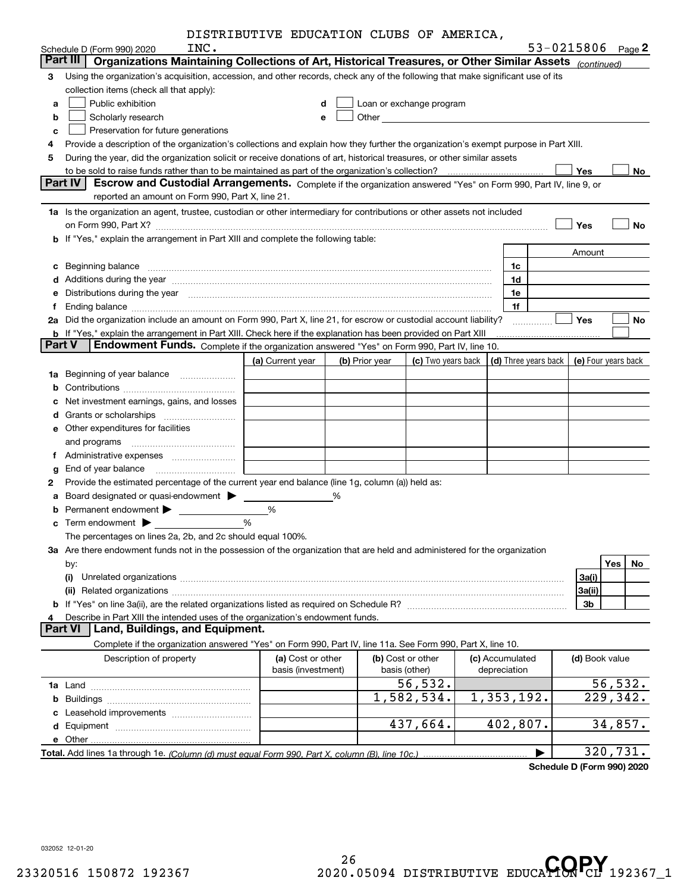|               |                                                                                                                                                                                                                                | DISTRIBUTIVE EDUCATION CLUBS OF AMERICA, |                |                                    |  |                                 |                     |           |
|---------------|--------------------------------------------------------------------------------------------------------------------------------------------------------------------------------------------------------------------------------|------------------------------------------|----------------|------------------------------------|--|---------------------------------|---------------------|-----------|
|               | INC.<br>Schedule D (Form 990) 2020                                                                                                                                                                                             |                                          |                |                                    |  |                                 | 53-0215806 Page 2   |           |
|               | Part III<br>Organizations Maintaining Collections of Art, Historical Treasures, or Other Similar Assets (continued)                                                                                                            |                                          |                |                                    |  |                                 |                     |           |
| 3             | Using the organization's acquisition, accession, and other records, check any of the following that make significant use of its                                                                                                |                                          |                |                                    |  |                                 |                     |           |
|               | collection items (check all that apply):                                                                                                                                                                                       |                                          |                |                                    |  |                                 |                     |           |
| a             | Public exhibition<br>Loan or exchange program<br>d                                                                                                                                                                             |                                          |                |                                    |  |                                 |                     |           |
| b             | Scholarly research                                                                                                                                                                                                             | е                                        |                |                                    |  |                                 |                     |           |
| c             | Preservation for future generations                                                                                                                                                                                            |                                          |                |                                    |  |                                 |                     |           |
| 4             | Provide a description of the organization's collections and explain how they further the organization's exempt purpose in Part XIII.                                                                                           |                                          |                |                                    |  |                                 |                     |           |
| 5             | During the year, did the organization solicit or receive donations of art, historical treasures, or other similar assets                                                                                                       |                                          |                |                                    |  |                                 |                     |           |
|               | to be sold to raise funds rather than to be maintained as part of the organization's collection?                                                                                                                               |                                          |                |                                    |  |                                 | Yes                 | No        |
|               | Part IV<br>Escrow and Custodial Arrangements. Complete if the organization answered "Yes" on Form 990, Part IV, line 9, or                                                                                                     |                                          |                |                                    |  |                                 |                     |           |
|               | reported an amount on Form 990, Part X, line 21.                                                                                                                                                                               |                                          |                |                                    |  |                                 |                     |           |
|               | 1a Is the organization an agent, trustee, custodian or other intermediary for contributions or other assets not included                                                                                                       |                                          |                |                                    |  |                                 |                     |           |
|               |                                                                                                                                                                                                                                |                                          |                |                                    |  |                                 | Yes                 | No        |
| b             | If "Yes," explain the arrangement in Part XIII and complete the following table:                                                                                                                                               |                                          |                |                                    |  |                                 |                     |           |
|               |                                                                                                                                                                                                                                |                                          |                |                                    |  |                                 | Amount              |           |
| c             | Beginning balance                                                                                                                                                                                                              |                                          |                |                                    |  | 1c                              |                     |           |
| d             | Additions during the year manufactured and an annual contract of the year manufactured and a set of the year manufactured and a set of the year manufactured and a set of the year manufactured and set of the set of the set  |                                          |                |                                    |  | 1d                              |                     |           |
| е             | Distributions during the year manufactured and continuum and the year manufactured and the year manufactured and the year manufactured and the year manufactured and the year manufactured and the year manufactured and the y |                                          |                |                                    |  | 1e                              |                     |           |
| f             | Ending balance material contracts and the contracts of the contracts of the contracts of the contracts of the contracts of the contracts of the contracts of the contracts of the contracts of the contracts of the contracts  |                                          |                |                                    |  | 1f                              |                     |           |
| 2a            | Did the organization include an amount on Form 990, Part X, line 21, for escrow or custodial account liability?                                                                                                                |                                          |                |                                    |  |                                 | Yes                 | No        |
| <b>Part V</b> | b If "Yes," explain the arrangement in Part XIII. Check here if the explanation has been provided on Part XIII                                                                                                                 |                                          |                |                                    |  |                                 |                     |           |
|               | Endowment Funds. Complete if the organization answered "Yes" on Form 990, Part IV, line 10.                                                                                                                                    |                                          |                |                                    |  |                                 |                     |           |
|               |                                                                                                                                                                                                                                | (a) Current year                         | (b) Prior year | (c) Two years back                 |  | (d) Three years back            | (e) Four years back |           |
| 1a            | Beginning of year balance                                                                                                                                                                                                      |                                          |                |                                    |  |                                 |                     |           |
| b             |                                                                                                                                                                                                                                |                                          |                |                                    |  |                                 |                     |           |
| c             | Net investment earnings, gains, and losses                                                                                                                                                                                     |                                          |                |                                    |  |                                 |                     |           |
| d             |                                                                                                                                                                                                                                |                                          |                |                                    |  |                                 |                     |           |
|               | <b>e</b> Other expenditures for facilities                                                                                                                                                                                     |                                          |                |                                    |  |                                 |                     |           |
|               | and programs                                                                                                                                                                                                                   |                                          |                |                                    |  |                                 |                     |           |
| Ť.            | Administrative expenses                                                                                                                                                                                                        |                                          |                |                                    |  |                                 |                     |           |
| g             | End of year balance                                                                                                                                                                                                            |                                          |                |                                    |  |                                 |                     |           |
| 2             | Provide the estimated percentage of the current year end balance (line 1g, column (a)) held as:                                                                                                                                |                                          |                |                                    |  |                                 |                     |           |
| a             | Board designated or quasi-endowment >                                                                                                                                                                                          |                                          | %              |                                    |  |                                 |                     |           |
| b             |                                                                                                                                                                                                                                | %                                        |                |                                    |  |                                 |                     |           |
|               |                                                                                                                                                                                                                                | %                                        |                |                                    |  |                                 |                     |           |
|               | The percentages on lines 2a, 2b, and 2c should equal 100%.                                                                                                                                                                     |                                          |                |                                    |  |                                 |                     |           |
|               | 3a Are there endowment funds not in the possession of the organization that are held and administered for the organization                                                                                                     |                                          |                |                                    |  |                                 |                     |           |
|               | by:                                                                                                                                                                                                                            |                                          |                |                                    |  |                                 |                     | Yes<br>No |
|               | (i)                                                                                                                                                                                                                            |                                          |                |                                    |  |                                 | 3a(i)               |           |
|               |                                                                                                                                                                                                                                |                                          |                |                                    |  |                                 | 3a(ii)              |           |
|               |                                                                                                                                                                                                                                |                                          |                |                                    |  |                                 | 3b                  |           |
| 4             | Describe in Part XIII the intended uses of the organization's endowment funds.<br><b>Part VI</b><br>Land, Buildings, and Equipment.                                                                                            |                                          |                |                                    |  |                                 |                     |           |
|               |                                                                                                                                                                                                                                |                                          |                |                                    |  |                                 |                     |           |
|               | Complete if the organization answered "Yes" on Form 990, Part IV, line 11a. See Form 990, Part X, line 10.                                                                                                                     |                                          |                |                                    |  |                                 |                     |           |
|               | Description of property                                                                                                                                                                                                        | (a) Cost or other<br>basis (investment)  |                | (b) Cost or other<br>basis (other) |  | (c) Accumulated<br>depreciation | (d) Book value      |           |
|               |                                                                                                                                                                                                                                |                                          |                | 56,532.                            |  |                                 |                     | 56, 532.  |
|               |                                                                                                                                                                                                                                |                                          |                | 1,582,534.                         |  | 1,353,192.                      |                     | 229,342.  |
|               |                                                                                                                                                                                                                                |                                          |                |                                    |  |                                 |                     |           |
|               |                                                                                                                                                                                                                                |                                          |                | 437,664.                           |  | 402,807.                        |                     | 34,857.   |
|               |                                                                                                                                                                                                                                |                                          |                |                                    |  |                                 |                     |           |
|               |                                                                                                                                                                                                                                |                                          |                |                                    |  |                                 |                     | 320,731.  |
|               |                                                                                                                                                                                                                                |                                          |                |                                    |  |                                 |                     |           |

**Schedule D (Form 990) 2020**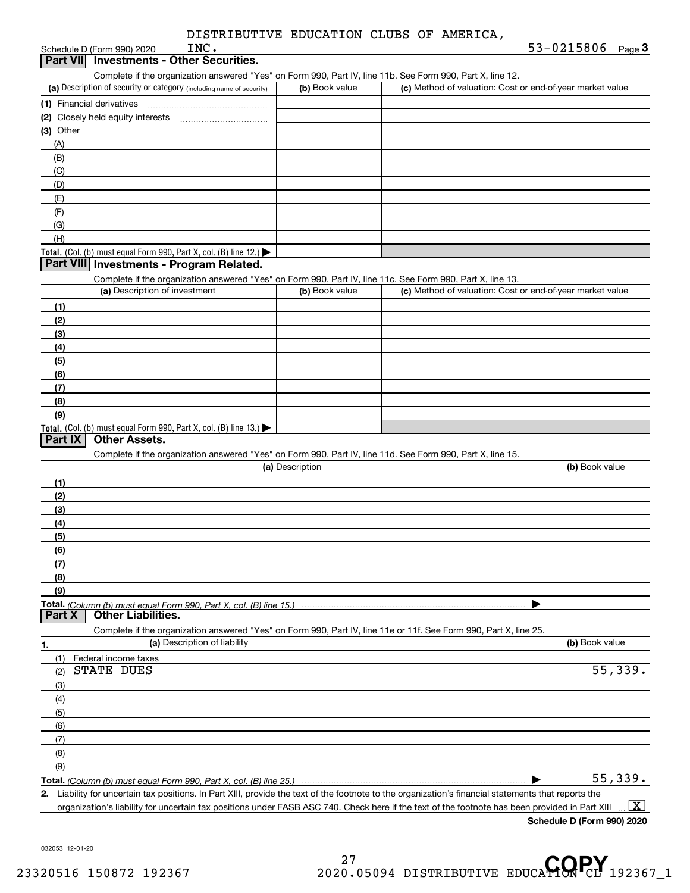Schedule D (Form 990) 2020

**3Part VII Investments - Other Securities.**

|                                                                                               | Complete if the organization answered "Yes" on Form 990, Part IV, line 11b. See Form 990, Part X, line 12. |                                                           |  |  |  |  |
|-----------------------------------------------------------------------------------------------|------------------------------------------------------------------------------------------------------------|-----------------------------------------------------------|--|--|--|--|
| (a) Description of security or category (including name of security)                          | (b) Book value                                                                                             | (c) Method of valuation: Cost or end-of-year market value |  |  |  |  |
| (1) Financial derivatives                                                                     |                                                                                                            |                                                           |  |  |  |  |
| (2) Closely held equity interests                                                             |                                                                                                            |                                                           |  |  |  |  |
| (3) Other                                                                                     |                                                                                                            |                                                           |  |  |  |  |
| (A)                                                                                           |                                                                                                            |                                                           |  |  |  |  |
| (B)                                                                                           |                                                                                                            |                                                           |  |  |  |  |
| (C)                                                                                           |                                                                                                            |                                                           |  |  |  |  |
| (D)                                                                                           |                                                                                                            |                                                           |  |  |  |  |
| (E)                                                                                           |                                                                                                            |                                                           |  |  |  |  |
| (F)                                                                                           |                                                                                                            |                                                           |  |  |  |  |
| (G)                                                                                           |                                                                                                            |                                                           |  |  |  |  |
| (H)                                                                                           |                                                                                                            |                                                           |  |  |  |  |
| <b>Total.</b> (Col. (b) must equal Form 990, Part X, col. (B) line 12.) $\blacktriangleright$ |                                                                                                            |                                                           |  |  |  |  |
| Part VIII Investments - Program Related.                                                      |                                                                                                            |                                                           |  |  |  |  |

| Complete if the organization answered "Yes" on Form 990, Part IV, line 11c. See Form 990, Part X, line 13. |                |                                                           |  |  |  |  |
|------------------------------------------------------------------------------------------------------------|----------------|-----------------------------------------------------------|--|--|--|--|
| (a) Description of investment                                                                              | (b) Book value | (c) Method of valuation: Cost or end-of-year market value |  |  |  |  |
| (1)                                                                                                        |                |                                                           |  |  |  |  |
| (2)                                                                                                        |                |                                                           |  |  |  |  |
| (3)                                                                                                        |                |                                                           |  |  |  |  |
| (4)                                                                                                        |                |                                                           |  |  |  |  |
| (5)                                                                                                        |                |                                                           |  |  |  |  |
| (6)                                                                                                        |                |                                                           |  |  |  |  |
|                                                                                                            |                |                                                           |  |  |  |  |
| (8)                                                                                                        |                |                                                           |  |  |  |  |
| (9)                                                                                                        |                |                                                           |  |  |  |  |
| <b>Total.</b> (Col. (b) must equal Form 990, Part X, col. (B) line 13.) $\blacktriangleright$              |                |                                                           |  |  |  |  |

#### **Part IX Other Assets.**

Complete if the organization answered "Yes" on Form 990, Part IV, line 11d. See Form 990, Part X, line 15.

| (a) Description                                                                                                   | (b) Book value |
|-------------------------------------------------------------------------------------------------------------------|----------------|
| (1)                                                                                                               |                |
| (2)                                                                                                               |                |
| $\frac{1}{2}$                                                                                                     |                |
| (4)                                                                                                               |                |
| (5)                                                                                                               |                |
| (6)                                                                                                               |                |
|                                                                                                                   |                |
| (8)                                                                                                               |                |
| (9)                                                                                                               |                |
|                                                                                                                   |                |
| <b>Part X</b><br><b>Other Liabilities.</b>                                                                        |                |
| Complete if the organization answered "Yes" on Form 990, Part IV, line 11e or 11f. See Form 990, Part X, line 25. |                |

**1. (a)** Description of liability **Book value** Book value Book value Book value Book value (1)Federal income taxes (2)(3)(4)(5) (6)(7)(8)(9)STATE DUES 55,339. 55,339.

**Total.**  *(Column (b) must equal Form 990, Part X, col. (B) line 25.)* 

**2.** | Liability for uncertain tax positions. In Part XIII, provide the text of the footnote to the organization's financial statements that reports the organization's liability for uncertain tax positions under FASB ASC 740. Check here if the text of the footnote has been provided in Part XIII  $\boxed{\text{X}}$ 

**Schedule D (Form 990) 2020**

032053 12-01-20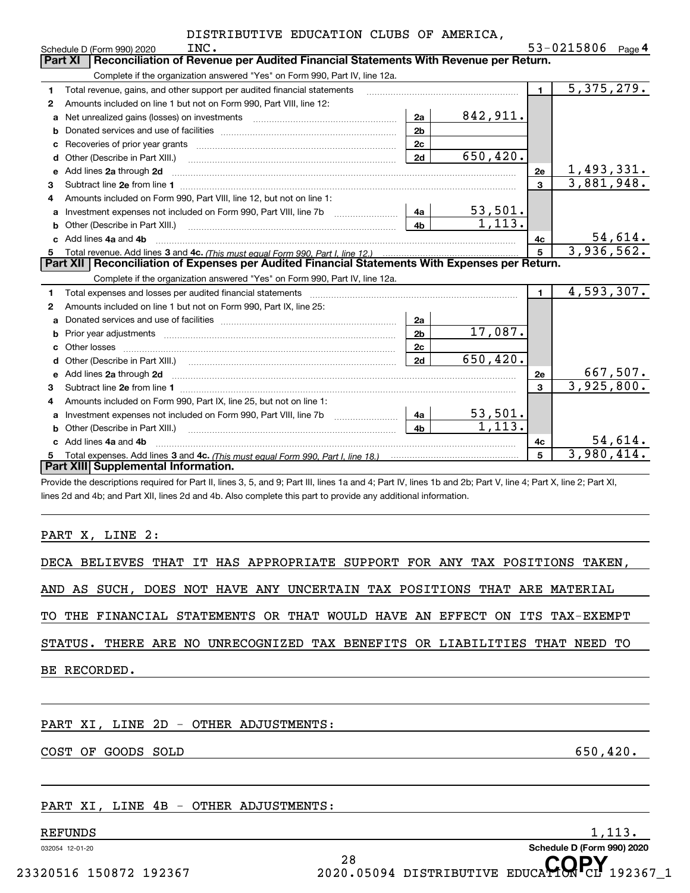|              | INC.<br>Schedule D (Form 990) 2020                                                                                                                                                                                                  |                |           |                | 53-0215806<br>Page $\mathsf 4$ |  |  |  |  |  |
|--------------|-------------------------------------------------------------------------------------------------------------------------------------------------------------------------------------------------------------------------------------|----------------|-----------|----------------|--------------------------------|--|--|--|--|--|
|              | <b>Part XI</b><br>Reconciliation of Revenue per Audited Financial Statements With Revenue per Return.                                                                                                                               |                |           |                |                                |  |  |  |  |  |
|              | Complete if the organization answered "Yes" on Form 990, Part IV, line 12a.                                                                                                                                                         |                |           |                |                                |  |  |  |  |  |
| 1            | Total revenue, gains, and other support per audited financial statements                                                                                                                                                            |                |           | $\blacksquare$ | 5,375,279.                     |  |  |  |  |  |
| $\mathbf{2}$ | Amounts included on line 1 but not on Form 990, Part VIII, line 12:                                                                                                                                                                 |                |           |                |                                |  |  |  |  |  |
| a            | Net unrealized gains (losses) on investments [11] matter contracts and the unrealized gains (losses) on investments                                                                                                                 | 2a             | 842,911.  |                |                                |  |  |  |  |  |
| b            |                                                                                                                                                                                                                                     | 2 <sub>b</sub> |           |                |                                |  |  |  |  |  |
| C            |                                                                                                                                                                                                                                     | 2 <sub>c</sub> |           |                |                                |  |  |  |  |  |
| d            | Other (Describe in Part XIII.)                                                                                                                                                                                                      | 2d             | 650, 420. |                |                                |  |  |  |  |  |
| e            | Add lines 2a through 2d                                                                                                                                                                                                             |                |           | 2е             | 1,493,331.                     |  |  |  |  |  |
| 3            | Subtract line 2e from line 1 <b>manufacture in the contract of the 2e</b> from line 1                                                                                                                                               |                |           | 3              | 3,881,948.                     |  |  |  |  |  |
| 4            | Amounts included on Form 990, Part VIII, line 12, but not on line 1:                                                                                                                                                                |                |           |                |                                |  |  |  |  |  |
| a            | Investment expenses not included on Form 990, Part VIII, line 7b [1000000000000000000000000000000000                                                                                                                                | 4a             | 53,501.   |                |                                |  |  |  |  |  |
| b            | Other (Describe in Part XIII.)                                                                                                                                                                                                      | 4 <sub>b</sub> | 1,113.    |                |                                |  |  |  |  |  |
| c.           | Add lines 4a and 4b                                                                                                                                                                                                                 |                |           | 4с             | 54,614.                        |  |  |  |  |  |
| 5            |                                                                                                                                                                                                                                     |                |           | 5              | 3,936,562.                     |  |  |  |  |  |
|              | Part XII Reconciliation of Expenses per Audited Financial Statements With Expenses per Return.                                                                                                                                      |                |           |                |                                |  |  |  |  |  |
|              | Complete if the organization answered "Yes" on Form 990, Part IV, line 12a.                                                                                                                                                         |                |           |                |                                |  |  |  |  |  |
| 1            | Total expenses and losses per audited financial statements                                                                                                                                                                          |                |           | $\blacksquare$ | 4,593,307.                     |  |  |  |  |  |
| 2            | Amounts included on line 1 but not on Form 990, Part IX, line 25:                                                                                                                                                                   |                |           |                |                                |  |  |  |  |  |
| a            |                                                                                                                                                                                                                                     | 2a             |           |                |                                |  |  |  |  |  |
| b            |                                                                                                                                                                                                                                     | 2 <sub>b</sub> | 17,087.   |                |                                |  |  |  |  |  |
|              |                                                                                                                                                                                                                                     | 2c             |           |                |                                |  |  |  |  |  |
| d            |                                                                                                                                                                                                                                     | 2d             | 650,420.  |                |                                |  |  |  |  |  |
| e            | Add lines 2a through 2d                                                                                                                                                                                                             |                |           | 2е             | 667,507.                       |  |  |  |  |  |
| 3            |                                                                                                                                                                                                                                     |                |           | $\mathbf{a}$   | 3,925,800.                     |  |  |  |  |  |
| 4            | Amounts included on Form 990, Part IX, line 25, but not on line 1:                                                                                                                                                                  |                |           |                |                                |  |  |  |  |  |
| a            | Investment expenses not included on Form 990, Part VIII, line 7b [1000000000000000000000000000000000                                                                                                                                | 4a             | 53,501.   |                |                                |  |  |  |  |  |
| b            | Other (Describe in Part XIII.) <b>2006</b> 2007 2010 2010 2010 2010 2011 2012 2013 2014 2015 2016 2017 2018 2019 2016 2016 2017 2018 2019 2016 2017 2018 2019 2016 2017 2018 2019 2018 2019 2016 2017 2018 2019 2018 2019 2018 2019 | 4 <sub>h</sub> | 1.113.    |                |                                |  |  |  |  |  |
|              | Add lines 4a and 4b                                                                                                                                                                                                                 |                |           | 4с             | $\frac{54,614}{3,980,414}$     |  |  |  |  |  |
| 5            |                                                                                                                                                                                                                                     |                |           | 5              |                                |  |  |  |  |  |
|              | <b>Part XIII Supplemental Information.</b>                                                                                                                                                                                          |                |           |                |                                |  |  |  |  |  |
|              | Provide the descriptions required for Part II, lines 3, 5, and 9; Part III, lines 1a and 4; Part IV, lines 1b and 2b; Part V, line 4; Part X, line 2; Part XI,                                                                      |                |           |                |                                |  |  |  |  |  |

lines 2d and 4b; and Part XII, lines 2d and 4b. Also complete this part to provide any additional information.

#### PART X, LINE 2:

|              | DECA BELIEVES THAT IT HAS APPROPRIATE SUPPORT FOR ANY TAX POSITIONS TAKEN, |  |  |  |  |  |  |  |  |  |  |  |
|--------------|----------------------------------------------------------------------------|--|--|--|--|--|--|--|--|--|--|--|
|              | AND AS SUCH, DOES NOT HAVE ANY UNCERTAIN TAX POSITIONS THAT ARE MATERIAL   |  |  |  |  |  |  |  |  |  |  |  |
|              | TO THE FINANCIAL STATEMENTS OR THAT WOULD HAVE AN EFFECT ON ITS TAX-EXEMPT |  |  |  |  |  |  |  |  |  |  |  |
|              | STATUS. THERE ARE NO UNRECOGNIZED TAX BENEFITS OR LIABILITIES THAT NEED TO |  |  |  |  |  |  |  |  |  |  |  |
| BE RECORDED. |                                                                            |  |  |  |  |  |  |  |  |  |  |  |

PART XI, LINE 2D - OTHER ADJUSTMENTS:

COST OF GOODS SOLD 650,420.

## PART XI, LINE 4B - OTHER ADJUSTMENTS:

# ${\tt REFUNDS} \hspace{2.5cm} 1 \, , 113 \, .$

032054 12-01-20

28 <sup>28</sup><br>23320516 150872 192367 2020.05094 DISTRIBUTIVE EDUCA**HON**CL 192367\_1

**Schedule D (Form 990) 2020**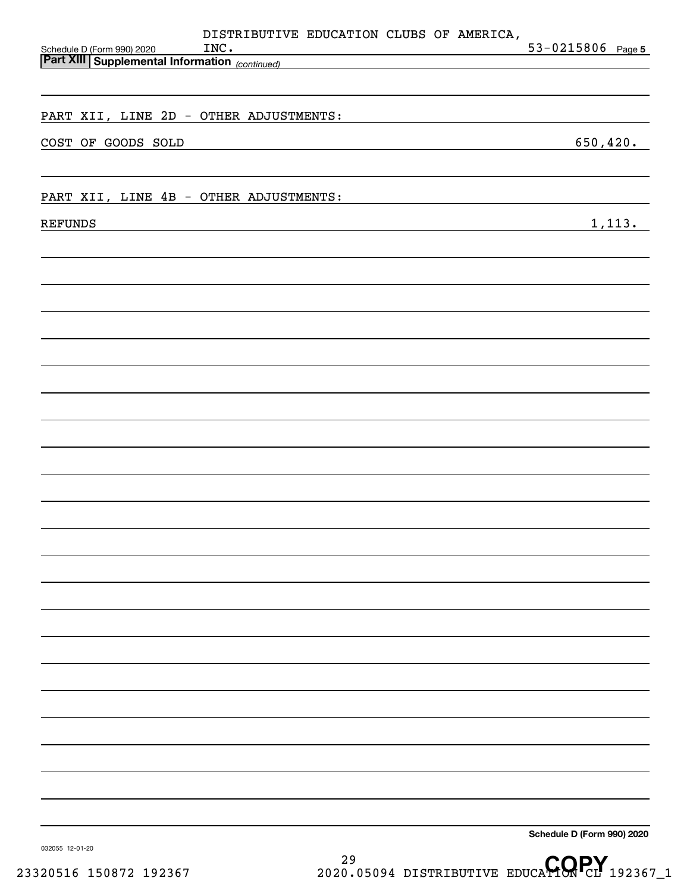| Schedule D (Form 990) 2020<br><b>Part XIII Supplemental Information</b> (continued) | DISTRIBUTIVE EDUCATION CLUBS OF AMERICA,<br>INC. |  | $53 - 0215806$ Page 5      |
|-------------------------------------------------------------------------------------|--------------------------------------------------|--|----------------------------|
|                                                                                     |                                                  |  |                            |
| PART XII, LINE 2D - OTHER ADJUSTMENTS:                                              |                                                  |  |                            |
| COST OF GOODS SOLD                                                                  |                                                  |  | 650, 420.                  |
|                                                                                     |                                                  |  |                            |
| PART XII, LINE 4B - OTHER ADJUSTMENTS:                                              |                                                  |  |                            |
| <b>REFUNDS</b>                                                                      |                                                  |  | 1,113.                     |
|                                                                                     |                                                  |  |                            |
|                                                                                     |                                                  |  |                            |
|                                                                                     |                                                  |  |                            |
|                                                                                     |                                                  |  |                            |
|                                                                                     |                                                  |  |                            |
|                                                                                     |                                                  |  |                            |
|                                                                                     |                                                  |  |                            |
|                                                                                     |                                                  |  |                            |
|                                                                                     |                                                  |  |                            |
|                                                                                     |                                                  |  |                            |
|                                                                                     |                                                  |  |                            |
|                                                                                     |                                                  |  |                            |
|                                                                                     |                                                  |  |                            |
|                                                                                     |                                                  |  |                            |
|                                                                                     |                                                  |  |                            |
|                                                                                     |                                                  |  |                            |
|                                                                                     |                                                  |  |                            |
|                                                                                     |                                                  |  |                            |
|                                                                                     |                                                  |  |                            |
|                                                                                     |                                                  |  |                            |
|                                                                                     |                                                  |  |                            |
|                                                                                     |                                                  |  |                            |
|                                                                                     |                                                  |  | Schedule D (Form 990) 2020 |

29 <sup>29</sup> <sup>29</sup> 23320516 150872 192367 2020.05094 DISTRIBUTIVE EDUCA**TORPY** 192367\_1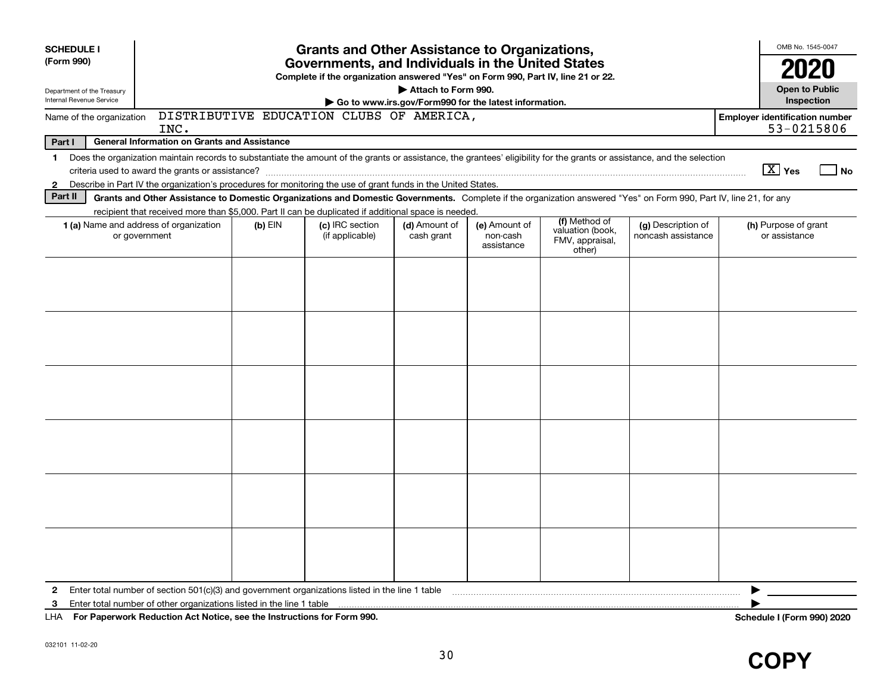| <b>SCHEDULE I</b><br><b>Grants and Other Assistance to Organizations,</b><br>Governments, and Individuals in the United States |                                                                                                                                                                                                                                                                           |           |                                                                                  |                             |                                                       |                                                                | OMB No. 1545-0047                        |                                       |                                       |    |
|--------------------------------------------------------------------------------------------------------------------------------|---------------------------------------------------------------------------------------------------------------------------------------------------------------------------------------------------------------------------------------------------------------------------|-----------|----------------------------------------------------------------------------------|-----------------------------|-------------------------------------------------------|----------------------------------------------------------------|------------------------------------------|---------------------------------------|---------------------------------------|----|
| (Form 990)                                                                                                                     |                                                                                                                                                                                                                                                                           |           | Complete if the organization answered "Yes" on Form 990, Part IV, line 21 or 22. |                             |                                                       |                                                                |                                          |                                       | 2020                                  |    |
| Department of the Treasury<br>Internal Revenue Service                                                                         |                                                                                                                                                                                                                                                                           |           |                                                                                  | Attach to Form 990.         |                                                       |                                                                |                                          |                                       | <b>Open to Public</b><br>Inspection   |    |
| Name of the organization                                                                                                       |                                                                                                                                                                                                                                                                           |           | DISTRIBUTIVE EDUCATION CLUBS OF AMERICA,                                         |                             | Go to www.irs.gov/Form990 for the latest information. |                                                                |                                          | <b>Employer identification number</b> |                                       |    |
|                                                                                                                                | INC.                                                                                                                                                                                                                                                                      |           |                                                                                  |                             |                                                       |                                                                |                                          |                                       | 53-0215806                            |    |
| Part I                                                                                                                         | <b>General Information on Grants and Assistance</b>                                                                                                                                                                                                                       |           |                                                                                  |                             |                                                       |                                                                |                                          |                                       |                                       |    |
| $\mathbf 1$                                                                                                                    | Does the organization maintain records to substantiate the amount of the grants or assistance, the grantees' eligibility for the grants or assistance, and the selection                                                                                                  |           |                                                                                  |                             |                                                       |                                                                |                                          |                                       |                                       |    |
|                                                                                                                                |                                                                                                                                                                                                                                                                           |           |                                                                                  |                             |                                                       |                                                                |                                          |                                       | $\boxed{\text{X}}$ Yes                | No |
| $\mathbf{2}$<br>Part II                                                                                                        | Describe in Part IV the organization's procedures for monitoring the use of grant funds in the United States.                                                                                                                                                             |           |                                                                                  |                             |                                                       |                                                                |                                          |                                       |                                       |    |
|                                                                                                                                | Grants and Other Assistance to Domestic Organizations and Domestic Governments. Complete if the organization answered "Yes" on Form 990, Part IV, line 21, for any<br>recipient that received more than \$5,000. Part II can be duplicated if additional space is needed. |           |                                                                                  |                             |                                                       |                                                                |                                          |                                       |                                       |    |
|                                                                                                                                | <b>1 (a)</b> Name and address of organization<br>or government                                                                                                                                                                                                            | $(b)$ EIN | (c) IRC section<br>(if applicable)                                               | (d) Amount of<br>cash grant | (e) Amount of<br>non-cash<br>assistance               | (f) Method of<br>valuation (book,<br>FMV, appraisal,<br>other) | (g) Description of<br>noncash assistance |                                       | (h) Purpose of grant<br>or assistance |    |
|                                                                                                                                |                                                                                                                                                                                                                                                                           |           |                                                                                  |                             |                                                       |                                                                |                                          |                                       |                                       |    |
|                                                                                                                                |                                                                                                                                                                                                                                                                           |           |                                                                                  |                             |                                                       |                                                                |                                          |                                       |                                       |    |
|                                                                                                                                |                                                                                                                                                                                                                                                                           |           |                                                                                  |                             |                                                       |                                                                |                                          |                                       |                                       |    |
|                                                                                                                                |                                                                                                                                                                                                                                                                           |           |                                                                                  |                             |                                                       |                                                                |                                          |                                       |                                       |    |
|                                                                                                                                |                                                                                                                                                                                                                                                                           |           |                                                                                  |                             |                                                       |                                                                |                                          |                                       |                                       |    |
|                                                                                                                                |                                                                                                                                                                                                                                                                           |           |                                                                                  |                             |                                                       |                                                                |                                          |                                       |                                       |    |
|                                                                                                                                |                                                                                                                                                                                                                                                                           |           |                                                                                  |                             |                                                       |                                                                |                                          |                                       |                                       |    |
|                                                                                                                                |                                                                                                                                                                                                                                                                           |           |                                                                                  |                             |                                                       |                                                                |                                          |                                       |                                       |    |
|                                                                                                                                |                                                                                                                                                                                                                                                                           |           |                                                                                  |                             |                                                       |                                                                |                                          |                                       |                                       |    |
|                                                                                                                                |                                                                                                                                                                                                                                                                           |           |                                                                                  |                             |                                                       |                                                                |                                          |                                       |                                       |    |
|                                                                                                                                |                                                                                                                                                                                                                                                                           |           |                                                                                  |                             |                                                       |                                                                |                                          |                                       |                                       |    |
|                                                                                                                                |                                                                                                                                                                                                                                                                           |           |                                                                                  |                             |                                                       |                                                                |                                          |                                       |                                       |    |
|                                                                                                                                |                                                                                                                                                                                                                                                                           |           |                                                                                  |                             |                                                       |                                                                |                                          |                                       |                                       |    |
|                                                                                                                                |                                                                                                                                                                                                                                                                           |           |                                                                                  |                             |                                                       |                                                                |                                          |                                       |                                       |    |
|                                                                                                                                |                                                                                                                                                                                                                                                                           |           |                                                                                  |                             |                                                       |                                                                |                                          |                                       |                                       |    |
| $\mathbf{2}$                                                                                                                   | Enter total number of section $501(c)(3)$ and government organizations listed in the line 1 table                                                                                                                                                                         |           |                                                                                  |                             |                                                       |                                                                |                                          |                                       |                                       |    |
| 3                                                                                                                              | Enter total number of other organizations listed in the line 1 table                                                                                                                                                                                                      |           |                                                                                  |                             |                                                       |                                                                |                                          |                                       |                                       |    |
|                                                                                                                                | LHA For Paperwork Reduction Act Notice, see the Instructions for Form 990.                                                                                                                                                                                                |           |                                                                                  |                             |                                                       |                                                                |                                          | Schedule I (Form 990) 2020            |                                       |    |

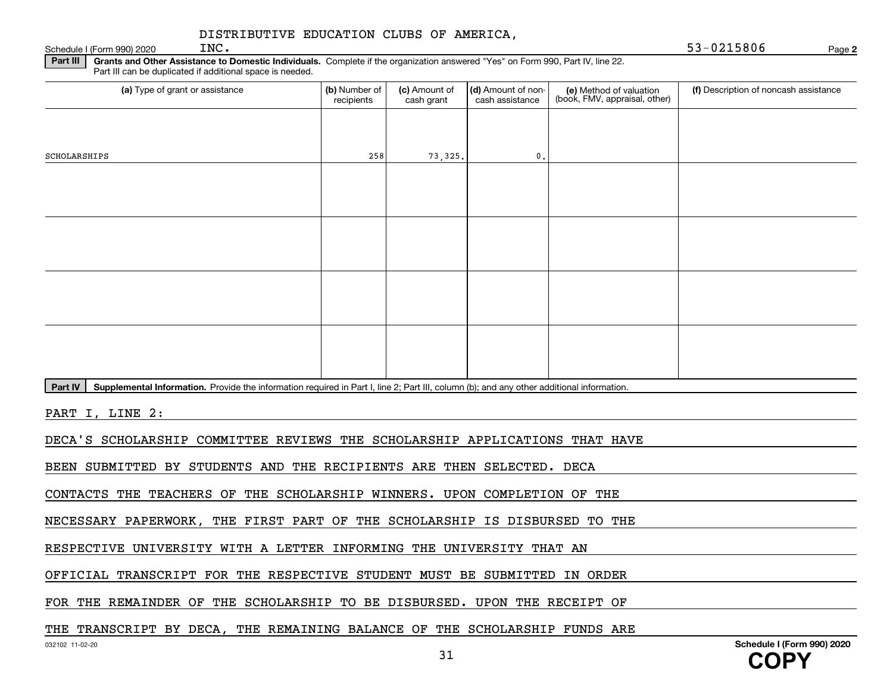Schedule I (Form 990) 2020  $INC$ .

**2**

**Part III** | Grants and Other Assistance to Domestic Individuals. Complete if the organization answered "Yes" on Form 990, Part IV, line 22. Part III can be duplicated if additional space is needed.

| (a) Type of grant or assistance                                                                                                                      | (b) Number of<br>recipients | (c) Amount of<br>cash grant | (d) Amount of non-<br>cash assistance | (e) Method of valuation<br>(book, FMV, appraisal, other) | (f) Description of noncash assistance |
|------------------------------------------------------------------------------------------------------------------------------------------------------|-----------------------------|-----------------------------|---------------------------------------|----------------------------------------------------------|---------------------------------------|
|                                                                                                                                                      |                             |                             |                                       |                                                          |                                       |
| SCHOLARSHIPS                                                                                                                                         | 258                         | 73,325.                     | 0.                                    |                                                          |                                       |
|                                                                                                                                                      |                             |                             |                                       |                                                          |                                       |
|                                                                                                                                                      |                             |                             |                                       |                                                          |                                       |
|                                                                                                                                                      |                             |                             |                                       |                                                          |                                       |
|                                                                                                                                                      |                             |                             |                                       |                                                          |                                       |
|                                                                                                                                                      |                             |                             |                                       |                                                          |                                       |
|                                                                                                                                                      |                             |                             |                                       |                                                          |                                       |
|                                                                                                                                                      |                             |                             |                                       |                                                          |                                       |
|                                                                                                                                                      |                             |                             |                                       |                                                          |                                       |
| Part IV<br>Supplemental Information. Provide the information required in Part I, line 2; Part III, column (b); and any other additional information. |                             |                             |                                       |                                                          |                                       |
| PART I, LINE 2:                                                                                                                                      |                             |                             |                                       |                                                          |                                       |
| DECA'S SCHOLARSHIP COMMITTEE REVIEWS THE SCHOLARSHIP APPLICATIONS THAT HAVE                                                                          |                             |                             |                                       |                                                          |                                       |
| BEEN SUBMITTED BY STUDENTS AND THE RECIPIENTS ARE THEN SELECTED. DECA                                                                                |                             |                             |                                       |                                                          |                                       |

CONTACTS THE TEACHERS OF THE SCHOLARSHIP WINNERS. UPON COMPLETION OF THE

NECESSARY PAPERWORK, THE FIRST PART OF THE SCHOLARSHIP IS DISBURSED TO THE

RESPECTIVE UNIVERSITY WITH A LETTER INFORMING THE UNIVERSITY THAT AN

OFFICIAL TRANSCRIPT FOR THE RESPECTIVE STUDENT MUST BE SUBMITTED IN ORDER

FOR THE REMAINDER OF THE SCHOLARSHIP TO BE DISBURSED. UPON THE RECEIPT OF

THE TRANSCRIPT BY DECA, THE REMAINING BALANCE OF THE SCHOLARSHIP FUNDS ARE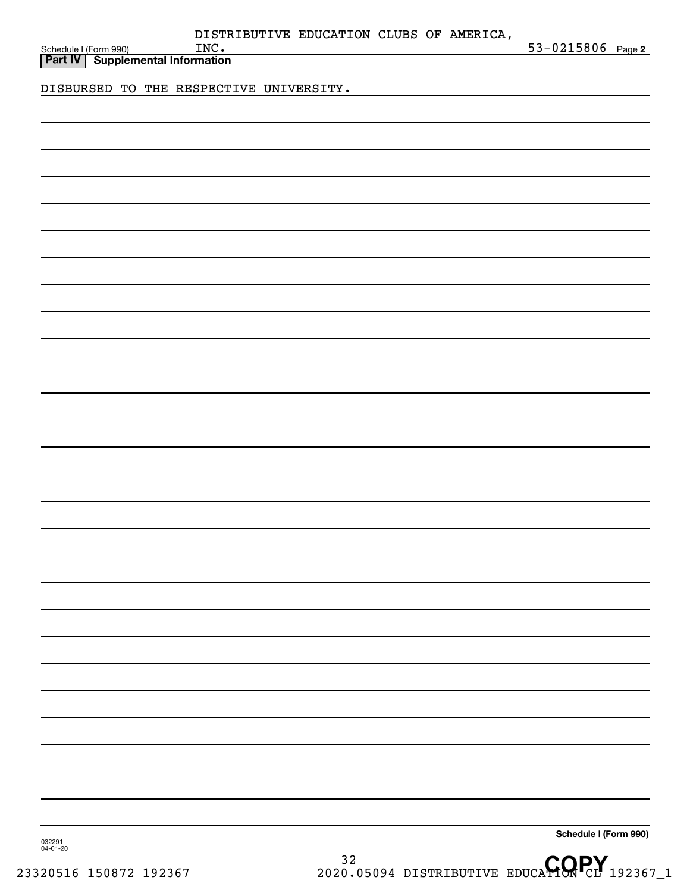| DISTRIBUTIVE EDUCATION CLUBS OF AMERICA. |  |  |
|------------------------------------------|--|--|
|                                          |  |  |

**2** Schedule I (Form 990) **INC.** INC. THE SCHEDULE 1 (Form 990) **Page 2** 

**Part IV Supplemental Information**

DISBURSED TO THE RESPECTIVE UNIVERSITY.

**Schedule I (Form 990)**

032291 04-01-20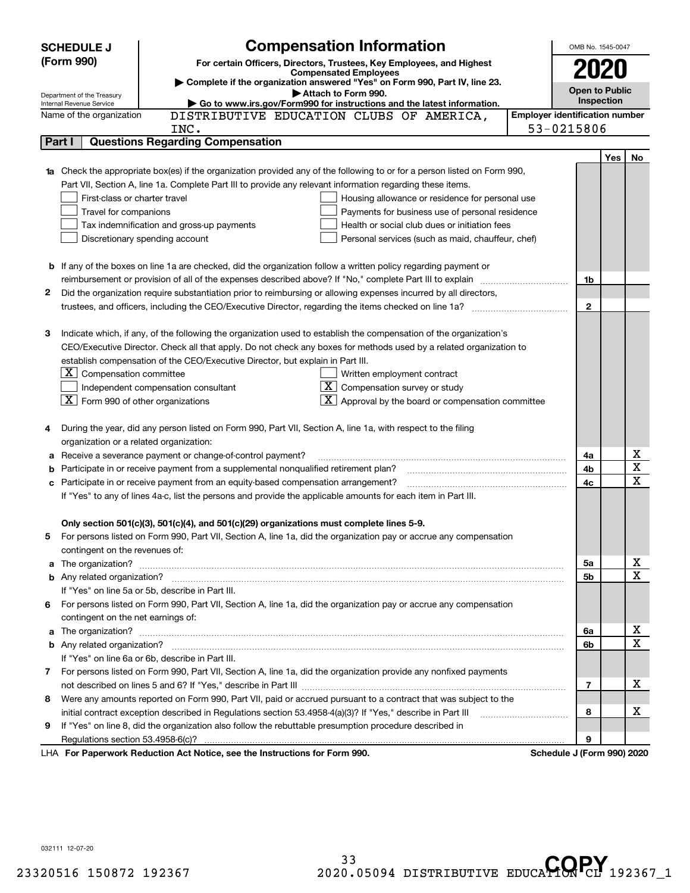|        | <b>SCHEDULE J</b>                                                                                        | <b>Compensation Information</b>                                                                                                                                                                                                      |                                       | OMB No. 1545-0047          |            |                         |
|--------|----------------------------------------------------------------------------------------------------------|--------------------------------------------------------------------------------------------------------------------------------------------------------------------------------------------------------------------------------------|---------------------------------------|----------------------------|------------|-------------------------|
|        | (Form 990)                                                                                               | For certain Officers, Directors, Trustees, Key Employees, and Highest                                                                                                                                                                |                                       |                            |            |                         |
|        |                                                                                                          | <b>Compensated Employees</b>                                                                                                                                                                                                         |                                       |                            |            |                         |
|        |                                                                                                          | > Complete if the organization answered "Yes" on Form 990, Part IV, line 23.<br>Attach to Form 990.                                                                                                                                  |                                       | <b>Open to Public</b>      |            |                         |
|        | Department of the Treasury<br>Internal Revenue Service                                                   | Go to www.irs.gov/Form990 for instructions and the latest information.                                                                                                                                                               |                                       | Inspection                 |            |                         |
|        | Name of the organization                                                                                 | DISTRIBUTIVE EDUCATION CLUBS OF AMERICA,                                                                                                                                                                                             | <b>Employer identification number</b> |                            |            |                         |
|        |                                                                                                          | INC.                                                                                                                                                                                                                                 |                                       | 53-0215806                 |            |                         |
|        | Part I                                                                                                   | <b>Questions Regarding Compensation</b>                                                                                                                                                                                              |                                       |                            |            |                         |
|        |                                                                                                          |                                                                                                                                                                                                                                      |                                       |                            | <b>Yes</b> | No                      |
|        |                                                                                                          | <b>1a</b> Check the appropriate box(es) if the organization provided any of the following to or for a person listed on Form 990,                                                                                                     |                                       |                            |            |                         |
|        |                                                                                                          | Part VII, Section A, line 1a. Complete Part III to provide any relevant information regarding these items.                                                                                                                           |                                       |                            |            |                         |
|        | First-class or charter travel                                                                            | Housing allowance or residence for personal use                                                                                                                                                                                      |                                       |                            |            |                         |
|        | Travel for companions                                                                                    | Payments for business use of personal residence                                                                                                                                                                                      |                                       |                            |            |                         |
|        |                                                                                                          | Health or social club dues or initiation fees<br>Tax indemnification and gross-up payments                                                                                                                                           |                                       |                            |            |                         |
|        | Discretionary spending account<br>Personal services (such as maid, chauffeur, chef)                      |                                                                                                                                                                                                                                      |                                       |                            |            |                         |
|        |                                                                                                          |                                                                                                                                                                                                                                      |                                       |                            |            |                         |
|        |                                                                                                          | <b>b</b> If any of the boxes on line 1a are checked, did the organization follow a written policy regarding payment or                                                                                                               |                                       |                            |            |                         |
|        | reimbursement or provision of all of the expenses described above? If "No," complete Part III to explain |                                                                                                                                                                                                                                      | 1b                                    |                            |            |                         |
| 2      |                                                                                                          | Did the organization require substantiation prior to reimbursing or allowing expenses incurred by all directors,                                                                                                                     |                                       |                            |            |                         |
|        |                                                                                                          | trustees, and officers, including the CEO/Executive Director, regarding the items checked on line 1a?                                                                                                                                |                                       | $\mathbf{2}$               |            |                         |
|        |                                                                                                          |                                                                                                                                                                                                                                      |                                       |                            |            |                         |
| З      |                                                                                                          | Indicate which, if any, of the following the organization used to establish the compensation of the organization's                                                                                                                   |                                       |                            |            |                         |
|        |                                                                                                          | CEO/Executive Director. Check all that apply. Do not check any boxes for methods used by a related organization to                                                                                                                   |                                       |                            |            |                         |
|        |                                                                                                          | establish compensation of the CEO/Executive Director, but explain in Part III.                                                                                                                                                       |                                       |                            |            |                         |
|        | $ \mathbf{X} $ Compensation committee                                                                    | Written employment contract                                                                                                                                                                                                          |                                       |                            |            |                         |
|        |                                                                                                          | $X$ Compensation survey or study<br>Independent compensation consultant                                                                                                                                                              |                                       |                            |            |                         |
|        | $\boxed{\textbf{X}}$ Form 990 of other organizations                                                     | $\mathbf{X}$ Approval by the board or compensation committee                                                                                                                                                                         |                                       |                            |            |                         |
|        |                                                                                                          |                                                                                                                                                                                                                                      |                                       |                            |            |                         |
|        |                                                                                                          | During the year, did any person listed on Form 990, Part VII, Section A, line 1a, with respect to the filing                                                                                                                         |                                       |                            |            |                         |
|        | organization or a related organization:                                                                  | Receive a severance payment or change-of-control payment?                                                                                                                                                                            |                                       | 4a                         |            | х                       |
| а<br>b |                                                                                                          | Participate in or receive payment from a supplemental nonqualified retirement plan?                                                                                                                                                  |                                       | 4b                         |            | $\overline{\textbf{X}}$ |
| с      |                                                                                                          | Participate in or receive payment from an equity-based compensation arrangement?                                                                                                                                                     |                                       | 4c                         |            | $\overline{\mathbf{x}}$ |
|        |                                                                                                          | If "Yes" to any of lines 4a-c, list the persons and provide the applicable amounts for each item in Part III.                                                                                                                        |                                       |                            |            |                         |
|        |                                                                                                          |                                                                                                                                                                                                                                      |                                       |                            |            |                         |
|        |                                                                                                          | Only section 501(c)(3), 501(c)(4), and 501(c)(29) organizations must complete lines 5-9.                                                                                                                                             |                                       |                            |            |                         |
|        |                                                                                                          | For persons listed on Form 990, Part VII, Section A, line 1a, did the organization pay or accrue any compensation                                                                                                                    |                                       |                            |            |                         |
|        | contingent on the revenues of:                                                                           |                                                                                                                                                                                                                                      |                                       |                            |            |                         |
|        |                                                                                                          | a The organization? <b>Constitution</b> and the organization?                                                                                                                                                                        |                                       | 5a                         |            | x                       |
|        |                                                                                                          |                                                                                                                                                                                                                                      |                                       | 5b                         |            | $\overline{\mathbf{x}}$ |
|        |                                                                                                          | If "Yes" on line 5a or 5b, describe in Part III.                                                                                                                                                                                     |                                       |                            |            |                         |
| 6.     |                                                                                                          | For persons listed on Form 990, Part VII, Section A, line 1a, did the organization pay or accrue any compensation                                                                                                                    |                                       |                            |            |                         |
|        | contingent on the net earnings of:                                                                       |                                                                                                                                                                                                                                      |                                       |                            |            |                         |
|        |                                                                                                          | a The organization? <b>Entitled Strategies and Strategies and Strategies and Strategies and Strategies and Strategies and Strategies and Strategies and Strategies and Strategies and Strategies and Strategies and Strategies a</b> |                                       | 6a                         |            | х                       |
|        |                                                                                                          |                                                                                                                                                                                                                                      |                                       | 6b                         |            | $\overline{\mathbf{x}}$ |
|        |                                                                                                          | If "Yes" on line 6a or 6b, describe in Part III.                                                                                                                                                                                     |                                       |                            |            |                         |
|        |                                                                                                          | 7 For persons listed on Form 990, Part VII, Section A, line 1a, did the organization provide any nonfixed payments                                                                                                                   |                                       |                            |            |                         |
|        |                                                                                                          |                                                                                                                                                                                                                                      |                                       | $\overline{7}$             |            | х                       |
| 8      |                                                                                                          | Were any amounts reported on Form 990, Part VII, paid or accrued pursuant to a contract that was subject to the                                                                                                                      |                                       |                            |            |                         |
|        |                                                                                                          | initial contract exception described in Regulations section 53.4958-4(a)(3)? If "Yes," describe in Part III                                                                                                                          |                                       | 8                          |            | х                       |
| 9      |                                                                                                          | If "Yes" on line 8, did the organization also follow the rebuttable presumption procedure described in                                                                                                                               |                                       |                            |            |                         |
|        | Regulations section 53.4958-6(c)?                                                                        |                                                                                                                                                                                                                                      |                                       | 9                          |            |                         |
|        |                                                                                                          | LHA For Paperwork Reduction Act Notice, see the Instructions for Form 990.                                                                                                                                                           |                                       | Schedule J (Form 990) 2020 |            |                         |

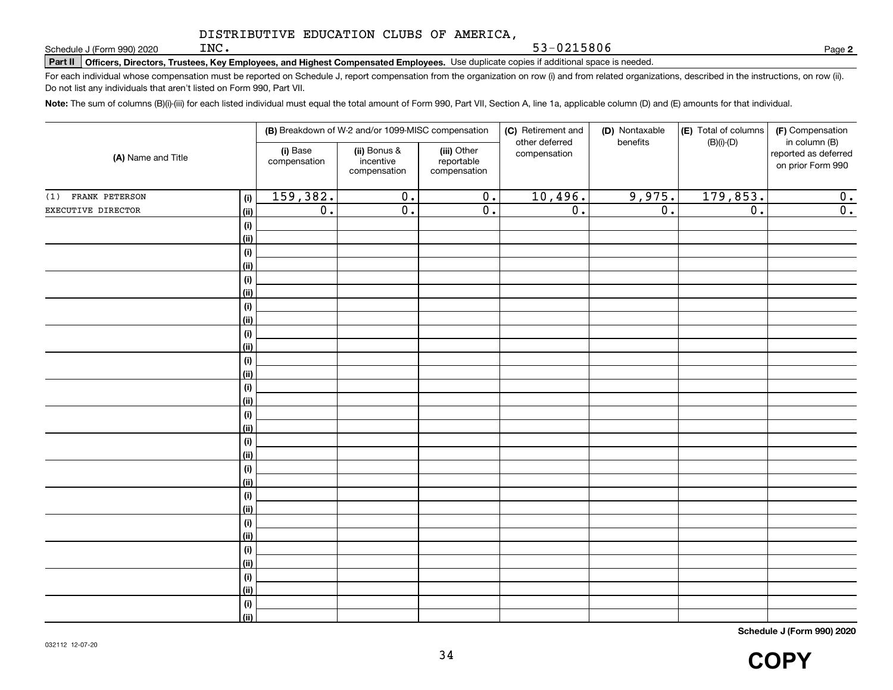**Part II Officers, Directors, Trustees, Key Employees, and Highest Compensated Employees.**  Schedule J (Form 990) 2020 Page Use duplicate copies if additional space is needed.

For each individual whose compensation must be reported on Schedule J, report compensation from the organization on row (i) and from related organizations, described in the instructions, on row (ii). Do not list any individuals that aren't listed on Form 990, Part VII.

53-0215806

**Note:**  The sum of columns (B)(i)-(iii) for each listed individual must equal the total amount of Form 990, Part VII, Section A, line 1a, applicable column (D) and (E) amounts for that individual.

| (A) Name and Title |             |                          | (B) Breakdown of W-2 and/or 1099-MISC compensation |                                           | (C) Retirement and             | (D) Nontaxable   | (E) Total of columns | (F) Compensation                                           |
|--------------------|-------------|--------------------------|----------------------------------------------------|-------------------------------------------|--------------------------------|------------------|----------------------|------------------------------------------------------------|
|                    |             | (i) Base<br>compensation | (ii) Bonus &<br>incentive<br>compensation          | (iii) Other<br>reportable<br>compensation | other deferred<br>compensation | benefits         | $(B)(i)-(D)$         | in column (B)<br>reported as deferred<br>on prior Form 990 |
| (1) FRANK PETERSON | (i)         | 159,382.                 | $\overline{0}$ .                                   | $\overline{0}$ .                          | 10,496.                        | 9,975.           | 179,853.             | 0.                                                         |
| EXECUTIVE DIRECTOR | (ii)        | $\overline{0}$ .         | $\overline{0}$ .                                   | $\overline{0}$ .                          | $\overline{0}$ .               | $\overline{0}$ . | $\overline{0}$ .     | $\overline{0}$ .                                           |
|                    | (i)         |                          |                                                    |                                           |                                |                  |                      |                                                            |
|                    | (ii)        |                          |                                                    |                                           |                                |                  |                      |                                                            |
|                    | (i)         |                          |                                                    |                                           |                                |                  |                      |                                                            |
|                    | (ii)        |                          |                                                    |                                           |                                |                  |                      |                                                            |
|                    | (i)         |                          |                                                    |                                           |                                |                  |                      |                                                            |
|                    | (ii)        |                          |                                                    |                                           |                                |                  |                      |                                                            |
|                    | $(\sf{i})$  |                          |                                                    |                                           |                                |                  |                      |                                                            |
|                    | (ii)        |                          |                                                    |                                           |                                |                  |                      |                                                            |
|                    | (i)<br>(ii) |                          |                                                    |                                           |                                |                  |                      |                                                            |
|                    | (i)         |                          |                                                    |                                           |                                |                  |                      |                                                            |
|                    | (ii)        |                          |                                                    |                                           |                                |                  |                      |                                                            |
|                    | (i)         |                          |                                                    |                                           |                                |                  |                      |                                                            |
|                    | (ii)        |                          |                                                    |                                           |                                |                  |                      |                                                            |
|                    | (i)         |                          |                                                    |                                           |                                |                  |                      |                                                            |
|                    | (ii)        |                          |                                                    |                                           |                                |                  |                      |                                                            |
|                    | (i)         |                          |                                                    |                                           |                                |                  |                      |                                                            |
|                    | (ii)        |                          |                                                    |                                           |                                |                  |                      |                                                            |
|                    | (i)         |                          |                                                    |                                           |                                |                  |                      |                                                            |
|                    | (ii)        |                          |                                                    |                                           |                                |                  |                      |                                                            |
|                    | (i)         |                          |                                                    |                                           |                                |                  |                      |                                                            |
|                    | (ii)        |                          |                                                    |                                           |                                |                  |                      |                                                            |
|                    | (i)         |                          |                                                    |                                           |                                |                  |                      |                                                            |
|                    | (ii)<br>(i) |                          |                                                    |                                           |                                |                  |                      |                                                            |
|                    | (ii)        |                          |                                                    |                                           |                                |                  |                      |                                                            |
|                    | (i)         |                          |                                                    |                                           |                                |                  |                      |                                                            |
|                    | (ii)        |                          |                                                    |                                           |                                |                  |                      |                                                            |
|                    | (i)         |                          |                                                    |                                           |                                |                  |                      |                                                            |
|                    | (ii)        |                          |                                                    |                                           |                                |                  |                      |                                                            |
|                    |             |                          |                                                    |                                           |                                |                  |                      |                                                            |

**Schedule J (Form 990) 2020**

**2**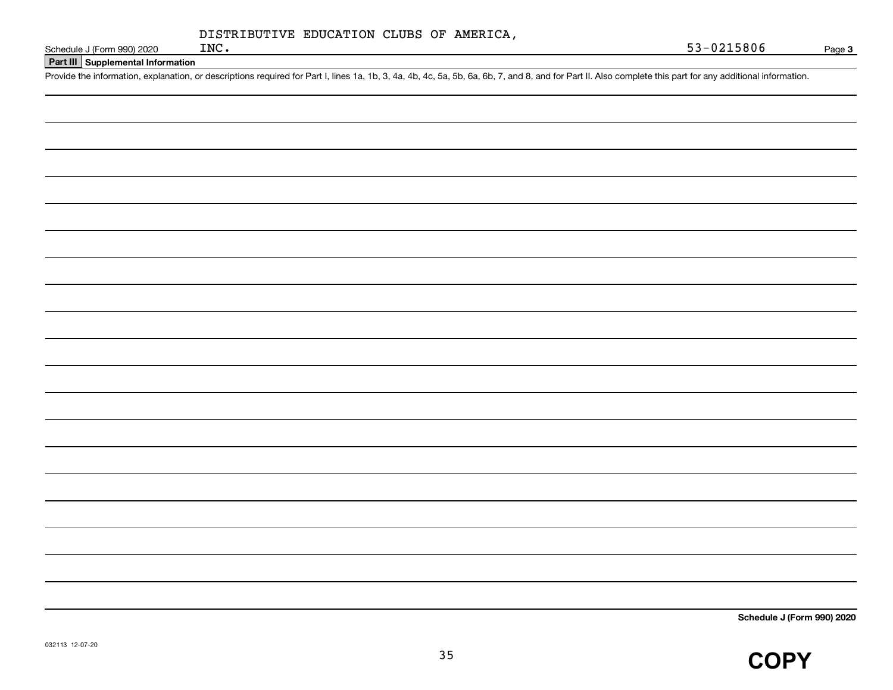| DISTRIBUTIVE EDUCATION CLUBS OF AMERICA, |  |  |
|------------------------------------------|--|--|
|------------------------------------------|--|--|

**Part III Supplemental Information**

Schedule J (Form 990) 2020 INC.<br>Part III Supplemental Information<br>Provide the information, explanation, or descriptions required for Part I, lines 1a, 1b, 3, 4a, 4b, 4c, 5a, 5b, 6a, 6b, 7, and 8, and for Part II. Also comp

**Schedule J (Form 990) 2020**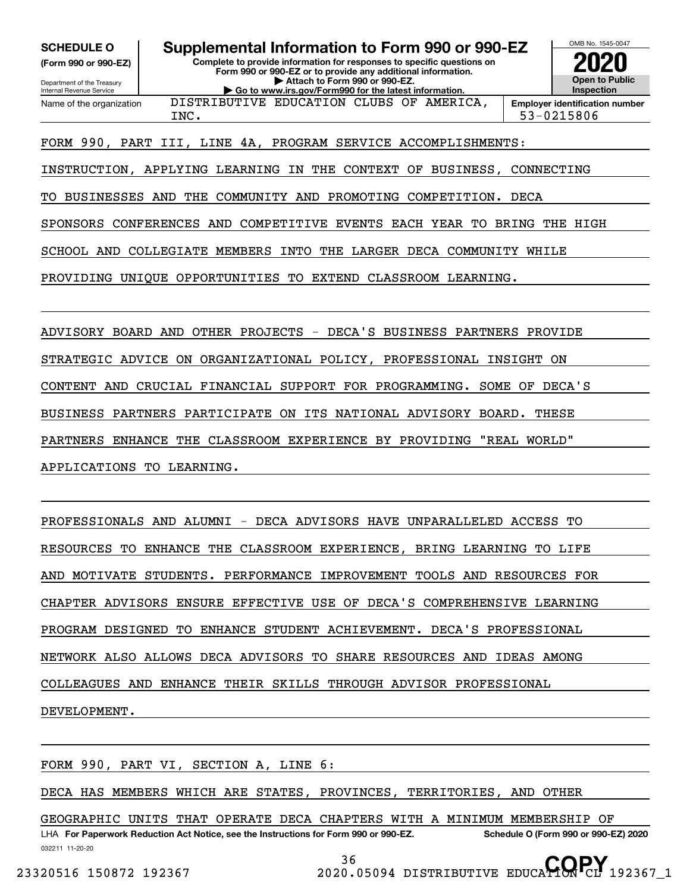**(Form 990 or 990-EZ)**

Department of the Treasury Internal Revenue Service Name of the organization

**SCHEDULE O Supplemental Information to Form 990 or 990-EZ**

**Complete to provide information for responses to specific questions on Form 990 or 990-EZ or to provide any additional information. | Attach to Form 990 or 990-EZ. | Go to www.irs.gov/Form990 for the latest information.**

DISTRIBUTIVE EDUCATION CLUBS OF AMERICA,



INC. 53-0215806

FORM 990, PART III, LINE 4A, PROGRAM SERVICE ACCOMPLISHMENTS:

INSTRUCTION, APPLYING LEARNING IN THE CONTEXT OF BUSINESS, CONNECTING

TO BUSINESSES AND THE COMMUNITY AND PROMOTING COMPETITION. DECA

SPONSORS CONFERENCES AND COMPETITIVE EVENTS EACH YEAR TO BRING THE HIGH

SCHOOL AND COLLEGIATE MEMBERS INTO THE LARGER DECA COMMUNITY WHILE

PROVIDING UNIQUE OPPORTUNITIES TO EXTEND CLASSROOM LEARNING.

ADVISORY BOARD AND OTHER PROJECTS - DECA'S BUSINESS PARTNERS PROVIDE STRATEGIC ADVICE ON ORGANIZATIONAL POLICY, PROFESSIONAL INSIGHT ON CONTENT AND CRUCIAL FINANCIAL SUPPORT FOR PROGRAMMING. SOME OF DECA'S BUSINESS PARTNERS PARTICIPATE ON ITS NATIONAL ADVISORY BOARD. THESE PARTNERS ENHANCE THE CLASSROOM EXPERIENCE BY PROVIDING "REAL WORLD" APPLICATIONS TO LEARNING.

PROFESSIONALS AND ALUMNI - DECA ADVISORS HAVE UNPARALLELED ACCESS TO RESOURCES TO ENHANCE THE CLASSROOM EXPERIENCE, BRING LEARNING TO LIFE AND MOTIVATE STUDENTS. PERFORMANCE IMPROVEMENT TOOLS AND RESOURCES FOR CHAPTER ADVISORS ENSURE EFFECTIVE USE OF DECA'S COMPREHENSIVE LEARNING PROGRAM DESIGNED TO ENHANCE STUDENT ACHIEVEMENT. DECA'S PROFESSIONAL NETWORK ALSO ALLOWS DECA ADVISORS TO SHARE RESOURCES AND IDEAS AMONG COLLEAGUES AND ENHANCE THEIR SKILLS THROUGH ADVISOR PROFESSIONAL DEVELOPMENT.

FORM 990, PART VI, SECTION A, LINE 6:

DECA HAS MEMBERS WHICH ARE STATES, PROVINCES, TERRITORIES, AND OTHER

032211 11-20-20 LHA For Paperwork Reduction Act Notice, see the Instructions for Form 990 or 990-EZ. Schedule O (Form 990 or 990-EZ) 2020 GEOGRAPHIC UNITS THAT OPERATE DECA CHAPTERS WITH A MINIMUM MEMBERSHIP OF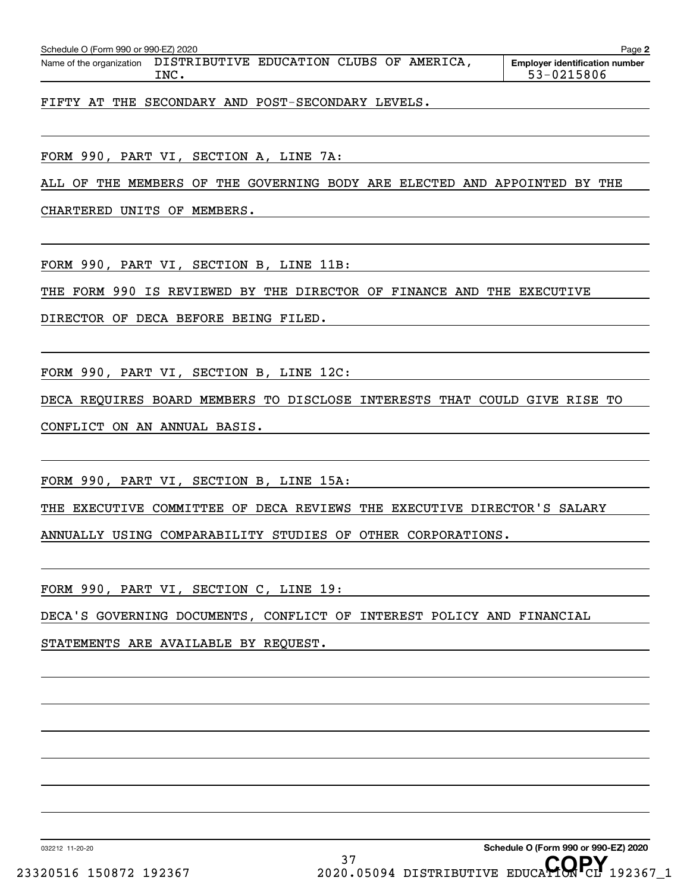| Schedule O (Form 990 or 990-EZ) 2020                              |  |  | Page.                                 |
|-------------------------------------------------------------------|--|--|---------------------------------------|
| Name of the organization DISTRIBUTIVE EDUCATION CLUBS OF AMERICA, |  |  | <b>Emplover identification number</b> |

INC. 53-0215806

FIFTY AT THE SECONDARY AND POST-SECONDARY LEVELS.

FORM 990, PART VI, SECTION A, LINE 7A:

ALL OF THE MEMBERS OF THE GOVERNING BODY ARE ELECTED AND APPOINTED BY THE

CHARTERED UNITS OF MEMBERS.

FORM 990, PART VI, SECTION B, LINE 11B:

THE FORM 990 IS REVIEWED BY THE DIRECTOR OF FINANCE AND THE EXECUTIVE

DIRECTOR OF DECA BEFORE BEING FILED.

FORM 990, PART VI, SECTION B, LINE 12C:

DECA REQUIRES BOARD MEMBERS TO DISCLOSE INTERESTS THAT COULD GIVE RISE TO

CONFLICT ON AN ANNUAL BASIS.

FORM 990, PART VI, SECTION B, LINE 15A:

THE EXECUTIVE COMMITTEE OF DECA REVIEWS THE EXECUTIVE DIRECTOR'S SALARY

ANNUALLY USING COMPARABILITY STUDIES OF OTHER CORPORATIONS.

FORM 990, PART VI, SECTION C, LINE 19:

DECA'S GOVERNING DOCUMENTS, CONFLICT OF INTEREST POLICY AND FINANCIAL

STATEMENTS ARE AVAILABLE BY REQUEST.

032212 11-20-20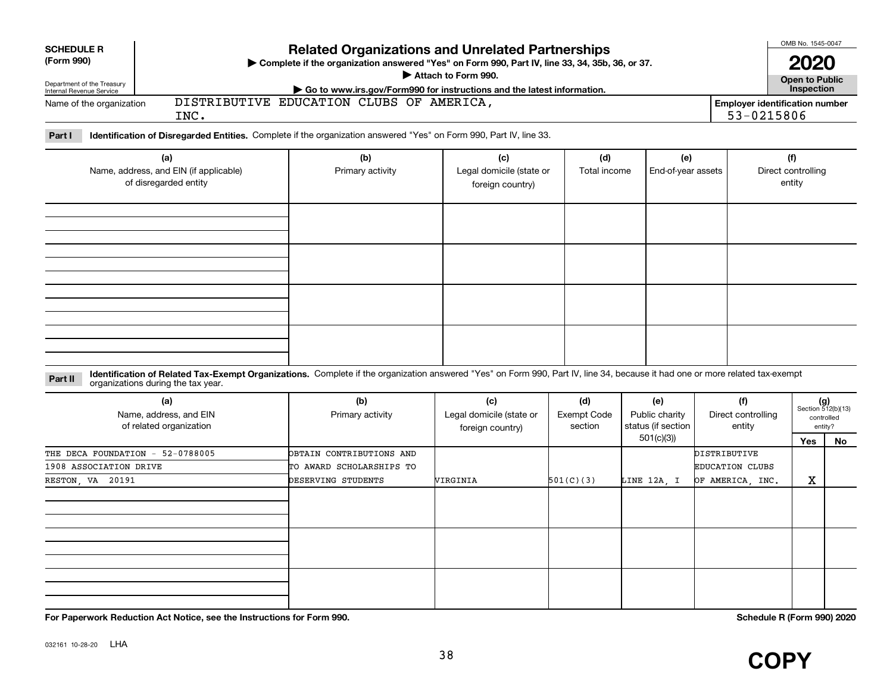| <b>SCHEDULE R</b>          | <b>Related Organizations and Unrelated Partnerships</b>                                          |                                       |  |  |  |  |
|----------------------------|--------------------------------------------------------------------------------------------------|---------------------------------------|--|--|--|--|
| (Form 990)                 | ▶ Complete if the organization answered "Yes" on Form 990, Part IV, line 33, 34, 35b, 36, or 37. |                                       |  |  |  |  |
| Department of the Treasury | Attach to Form 990.                                                                              | Open to Public                        |  |  |  |  |
| Internal Revenue Service   | Go to www.irs.gov/Form990 for instructions and the latest information.                           | <b>Inspection</b>                     |  |  |  |  |
| Name of the organization   | DISTRIBUTIVE EDUCATION CLUBS OF AMERICA,                                                         | <b>Employer identification number</b> |  |  |  |  |
|                            | INC.                                                                                             | 53-0215806                            |  |  |  |  |

**Part I Identification of Disregarded Entities.**  Complete if the organization answered "Yes" on Form 990, Part IV, line 33.

| (a)<br>Name, address, and EIN (if applicable)<br>of disregarded entity | (b)<br>Primary activity | (c)<br>Legal domicile (state or<br>foreign country) | (d)<br>Total income | (e)<br>End-of-year assets | (f)<br>Direct controlling<br>entity |
|------------------------------------------------------------------------|-------------------------|-----------------------------------------------------|---------------------|---------------------------|-------------------------------------|
|                                                                        |                         |                                                     |                     |                           |                                     |
|                                                                        |                         |                                                     |                     |                           |                                     |
|                                                                        |                         |                                                     |                     |                           |                                     |
|                                                                        |                         |                                                     |                     |                           |                                     |

**Identification of Related Tax-Exempt Organizations.** Complete if the organization answered "Yes" on Form 990, Part IV, line 34, because it had one or more related tax-exempt **Part II** organizations during the tax year.

| (a)<br>Name, address, and EIN<br>of related organization | (b)<br>Primary activity  | (c)<br>Legal domicile (state or<br>foreign country) | (d)<br>Exempt Code<br>section | (e)<br>Public charity<br>status (if section | (f)<br>Direct controlling<br>entity |     | $(g)$<br>Section 512(b)(13)<br>controlled<br>entity? |
|----------------------------------------------------------|--------------------------|-----------------------------------------------------|-------------------------------|---------------------------------------------|-------------------------------------|-----|------------------------------------------------------|
|                                                          |                          |                                                     |                               | 501(c)(3))                                  |                                     | Yes | No                                                   |
| THE DECA FOUNDATION - 52-0788005                         | OBTAIN CONTRIBUTIONS AND |                                                     |                               |                                             | DISTRIBUTIVE                        |     |                                                      |
| 1908 ASSOCIATION DRIVE                                   | TO AWARD SCHOLARSHIPS TO |                                                     |                               |                                             | <b>EDUCATION CLUBS</b>              |     |                                                      |
| RESTON, VA 20191                                         | DESERVING STUDENTS       | VIRGINIA                                            | 501(C)(3)                     | LINE 12A, I                                 | OF AMERICA, INC.                    | X   |                                                      |
|                                                          |                          |                                                     |                               |                                             |                                     |     |                                                      |
|                                                          |                          |                                                     |                               |                                             |                                     |     |                                                      |
|                                                          |                          |                                                     |                               |                                             |                                     |     |                                                      |

**For Paperwork Reduction Act Notice, see the Instructions for Form 990. Schedule R (Form 990) 2020**

38

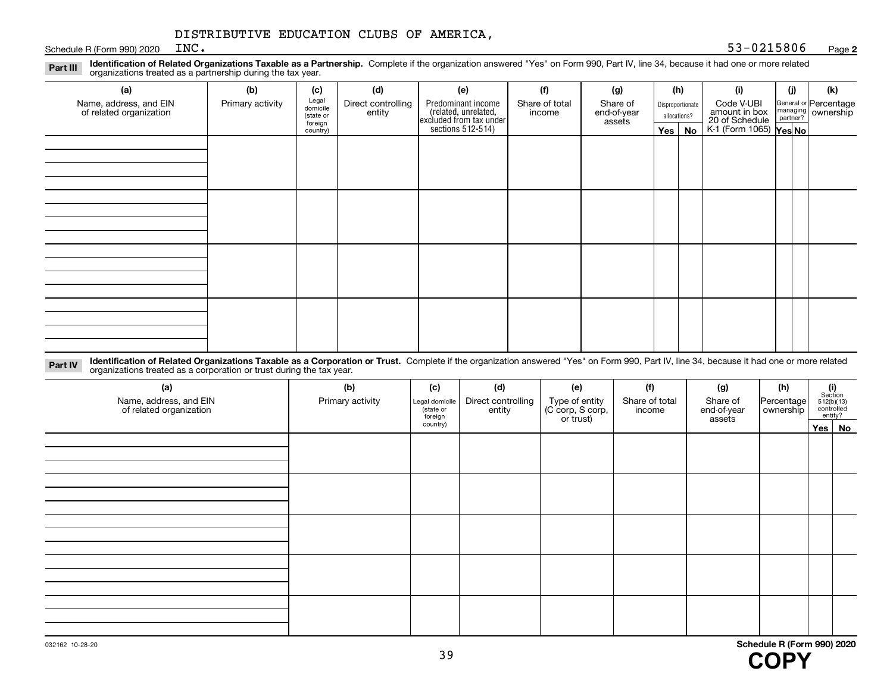Schedule R (Form 990) 2020  $N$ 

**Identification of Related Organizations Taxable as a Partnership.** Complete if the organization answered "Yes" on Form 990, Part IV, line 34, because it had one or more related **Part III** organizations treated as a partnership during the tax year.

| (a)                                               | (b)              | (c)                  | (d)                          | (e)                                                                 | (f)                      | (g)                     |              | (h)              | (i)                                                              | (j) |  | (k)                                                     |
|---------------------------------------------------|------------------|----------------------|------------------------------|---------------------------------------------------------------------|--------------------------|-------------------------|--------------|------------------|------------------------------------------------------------------|-----|--|---------------------------------------------------------|
| Name, address, and EIN<br>of related organization | Primary activity | Legal<br>domicile    | Direct controlling<br>entity | Predominant income                                                  | Share of total<br>income | Share of<br>end-of-year |              | Disproportionate | Code V-UBI                                                       |     |  | General or Percentage<br>managing ownership<br>partner? |
|                                                   |                  | (state or<br>foreign |                              | related, unrelated,<br>excluded from tax under<br>sections 512-514) |                          | assets                  | allocations? |                  | amount in box<br>20 of Schedule<br>K-1 (Form 1065) <b>Yes No</b> |     |  |                                                         |
|                                                   |                  | country)             |                              |                                                                     |                          |                         | Yes $ $      | No               |                                                                  |     |  |                                                         |
|                                                   |                  |                      |                              |                                                                     |                          |                         |              |                  |                                                                  |     |  |                                                         |
|                                                   |                  |                      |                              |                                                                     |                          |                         |              |                  |                                                                  |     |  |                                                         |
|                                                   |                  |                      |                              |                                                                     |                          |                         |              |                  |                                                                  |     |  |                                                         |
|                                                   |                  |                      |                              |                                                                     |                          |                         |              |                  |                                                                  |     |  |                                                         |
|                                                   |                  |                      |                              |                                                                     |                          |                         |              |                  |                                                                  |     |  |                                                         |
|                                                   |                  |                      |                              |                                                                     |                          |                         |              |                  |                                                                  |     |  |                                                         |
|                                                   |                  |                      |                              |                                                                     |                          |                         |              |                  |                                                                  |     |  |                                                         |
|                                                   |                  |                      |                              |                                                                     |                          |                         |              |                  |                                                                  |     |  |                                                         |
|                                                   |                  |                      |                              |                                                                     |                          |                         |              |                  |                                                                  |     |  |                                                         |
|                                                   |                  |                      |                              |                                                                     |                          |                         |              |                  |                                                                  |     |  |                                                         |
|                                                   |                  |                      |                              |                                                                     |                          |                         |              |                  |                                                                  |     |  |                                                         |
|                                                   |                  |                      |                              |                                                                     |                          |                         |              |                  |                                                                  |     |  |                                                         |
|                                                   |                  |                      |                              |                                                                     |                          |                         |              |                  |                                                                  |     |  |                                                         |
|                                                   |                  |                      |                              |                                                                     |                          |                         |              |                  |                                                                  |     |  |                                                         |
|                                                   |                  |                      |                              |                                                                     |                          |                         |              |                  |                                                                  |     |  |                                                         |
|                                                   |                  |                      |                              |                                                                     |                          |                         |              |                  |                                                                  |     |  |                                                         |
|                                                   |                  |                      |                              |                                                                     |                          |                         |              |                  |                                                                  |     |  |                                                         |

**Identification of Related Organizations Taxable as a Corporation or Trust.** Complete if the organization answered "Yes" on Form 990, Part IV, line 34, because it had one or more related **Part IV** organizations treated as a corporation or trust during the tax year.

| (a)<br>Name, address, and EIN<br>of related organization | (b)<br>Primary activity | (c)<br>Legal domicile<br>(state or<br>foreign | (d)<br>Direct controlling<br>entity | (e)<br>Type of entity<br>(C corp, S corp,<br>or trust) | (f)<br>Share of total<br>income | (g)<br>Share of<br>end-of-year<br>assets | (h)<br>Percentage<br>ownership | $\begin{array}{c} \textbf{(i)}\\ \text{Section}\\ 512 \text{(b)} \text{(13)}\\ \text{controlled}\\ \text{entity?} \end{array}$ |
|----------------------------------------------------------|-------------------------|-----------------------------------------------|-------------------------------------|--------------------------------------------------------|---------------------------------|------------------------------------------|--------------------------------|--------------------------------------------------------------------------------------------------------------------------------|
|                                                          |                         | country)                                      |                                     |                                                        |                                 |                                          |                                | Yes No                                                                                                                         |
|                                                          |                         |                                               |                                     |                                                        |                                 |                                          |                                |                                                                                                                                |
|                                                          |                         |                                               |                                     |                                                        |                                 |                                          |                                |                                                                                                                                |
|                                                          |                         |                                               |                                     |                                                        |                                 |                                          |                                |                                                                                                                                |
|                                                          |                         |                                               |                                     |                                                        |                                 |                                          |                                |                                                                                                                                |
|                                                          |                         |                                               |                                     |                                                        |                                 |                                          |                                |                                                                                                                                |
|                                                          |                         |                                               |                                     |                                                        |                                 |                                          |                                |                                                                                                                                |
|                                                          |                         |                                               |                                     |                                                        |                                 |                                          |                                |                                                                                                                                |
|                                                          |                         |                                               |                                     |                                                        |                                 |                                          |                                |                                                                                                                                |
|                                                          |                         |                                               |                                     |                                                        |                                 |                                          |                                |                                                                                                                                |
|                                                          |                         |                                               |                                     |                                                        |                                 |                                          |                                |                                                                                                                                |
|                                                          |                         |                                               |                                     |                                                        |                                 |                                          |                                |                                                                                                                                |
|                                                          |                         |                                               |                                     |                                                        |                                 |                                          |                                |                                                                                                                                |
|                                                          |                         |                                               |                                     |                                                        |                                 |                                          |                                |                                                                                                                                |
|                                                          |                         |                                               |                                     |                                                        |                                 |                                          |                                |                                                                                                                                |
|                                                          |                         |                                               |                                     |                                                        |                                 |                                          |                                |                                                                                                                                |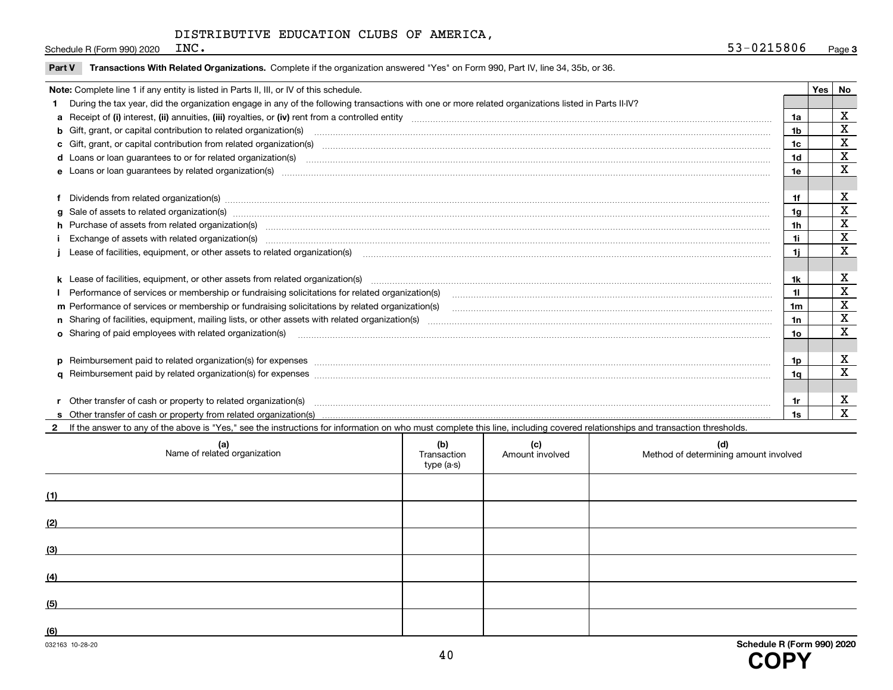Schedule R (Form 990) 2020  $R$ 

| Part V Transactions With Related Organizations. Complete if the organization answered "Yes" on Form 990, Part IV, line 34, 35b, or 36 |  |  |  |
|---------------------------------------------------------------------------------------------------------------------------------------|--|--|--|
|                                                                                                                                       |  |  |  |

| Note: Complete line 1 if any entity is listed in Parts II, III, or IV of this schedule. |                                                                                                                                                                                                                                |                |          |             |  |  |
|-----------------------------------------------------------------------------------------|--------------------------------------------------------------------------------------------------------------------------------------------------------------------------------------------------------------------------------|----------------|----------|-------------|--|--|
|                                                                                         | During the tax year, did the organization engage in any of the following transactions with one or more related organizations listed in Parts II-IV?                                                                            |                | Yes   No |             |  |  |
|                                                                                         |                                                                                                                                                                                                                                | 1a             |          | X           |  |  |
|                                                                                         | b Gift, grant, or capital contribution to related organization(s) mature and contained and contribution to related organization(s) matures are contained and contribution to related organization(s)                           | 1b             |          | X           |  |  |
|                                                                                         |                                                                                                                                                                                                                                | 1c             |          | $\mathbf X$ |  |  |
|                                                                                         |                                                                                                                                                                                                                                | 1d             |          | $\mathbf X$ |  |  |
|                                                                                         | e Loans or loan guarantees by related organization(s) manufaction contraction contraction contraction contraction contraction contraction contraction contraction contraction contraction contraction contraction contraction  | 1e             |          | X           |  |  |
|                                                                                         |                                                                                                                                                                                                                                |                |          |             |  |  |
|                                                                                         |                                                                                                                                                                                                                                | 1f             |          | X           |  |  |
|                                                                                         | f Dividends from related organization(s) manufactured contains and contained and contained contained and contained and contained and contained and contained and contained and contained and contained and contained and conta | 1a             |          | X           |  |  |
|                                                                                         | h Purchase of assets from related organization(s) manufactured and content to the content of the content of the content of the content of the content of the content of the content of the content of the content of the conte | 1h             |          | X           |  |  |
|                                                                                         | Exchange of assets with related organization(s) www.andron.com/www.andron.com/www.andron.com/www.andron.com/www.andron.com/www.andron.com/www.andron.com/www.andron.com/www.andron.com/www.andron.com/www.andron.com/www.andro | 1i             |          | X           |  |  |
|                                                                                         | Lease of facilities, equipment, or other assets to related organization(s) [11] manufaction(s) [11] manufaction(s) and all manufaction manufactures are not incomparable to the assets to related organization(s) [11] manufac | 1i.            |          | X           |  |  |
|                                                                                         |                                                                                                                                                                                                                                |                |          |             |  |  |
|                                                                                         | k Lease of facilities, equipment, or other assets from related organization(s) manufaction content and content to the assets from related organization(s) manufaction content and content and content and content and content  | 1k             |          | X           |  |  |
|                                                                                         | Performance of services or membership or fundraising solicitations for related organization(s)                                                                                                                                 | 11             |          | $\mathbf X$ |  |  |
|                                                                                         | m Performance of services or membership or fundraising solicitations by related organization(s)                                                                                                                                | 1 <sub>m</sub> |          | $\mathbf X$ |  |  |
|                                                                                         |                                                                                                                                                                                                                                | 1n             |          | X           |  |  |
|                                                                                         |                                                                                                                                                                                                                                | 10             |          | X           |  |  |
|                                                                                         | o Sharing of paid employees with related organization(s) manufactured and content to the content of the content of the content of the content of the content of the content of the content of the content of the content of th |                |          |             |  |  |
|                                                                                         |                                                                                                                                                                                                                                | 1p             |          | х           |  |  |
|                                                                                         | p Reimbursement paid to related organization(s) for expenses [1111] and manufactured manufactured manufactured manufactured manufactured manufactured manufactured manufactured manufactured manufactured manufactured manufac |                |          | X           |  |  |
|                                                                                         |                                                                                                                                                                                                                                | 1a             |          |             |  |  |
|                                                                                         |                                                                                                                                                                                                                                |                |          | X           |  |  |
|                                                                                         | Other transfer of cash or property to related organization(s)                                                                                                                                                                  | 1r             |          | X           |  |  |
|                                                                                         |                                                                                                                                                                                                                                | 1s             |          |             |  |  |

**2**If the answer to any of the above is "Yes," see the instructions for information on who must complete this line, including covered relationships and transaction thresholds.

| (a)<br>Name of related organization | (b)<br>Transaction<br>type (a-s) | (c)<br>Amount involved | (d)<br>Method of determining amount involved |
|-------------------------------------|----------------------------------|------------------------|----------------------------------------------|
| (1)                                 |                                  |                        |                                              |
| (2)                                 |                                  |                        |                                              |
| (3)                                 |                                  |                        |                                              |
| (4)                                 |                                  |                        |                                              |
| (5)                                 |                                  |                        |                                              |
| (6)                                 |                                  |                        |                                              |
| 032163 10-28-20                     |                                  |                        | Schedule R (Form 990) 2020                   |

40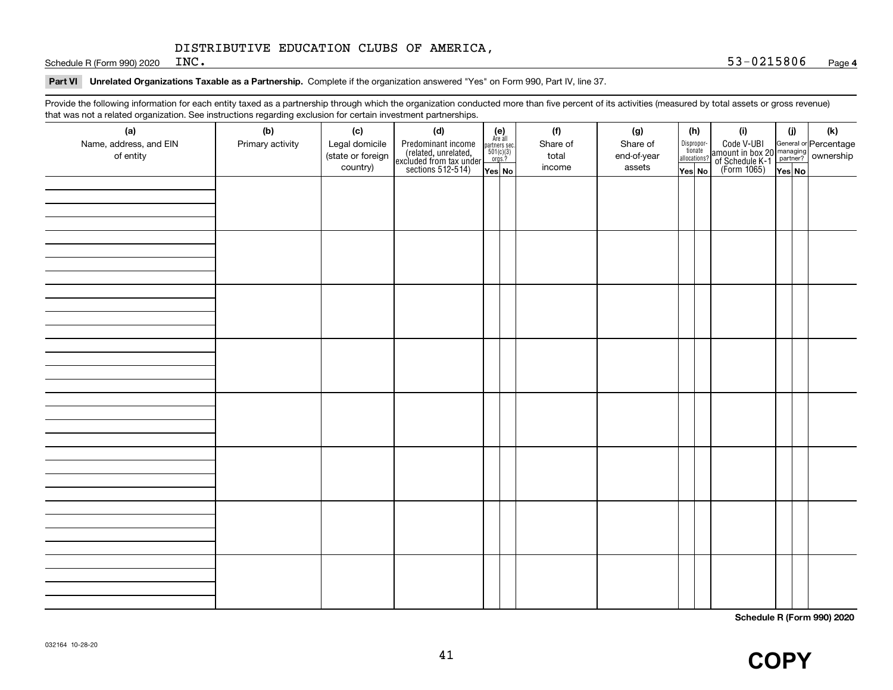Schedule R (Form 990) 2020  $INC$ .

# **Part VI Unrelated Organizations Taxable as a Partnership.**  Complete if the organization answered "Yes" on Form 990, Part IV, line 37.

Provide the following information for each entity taxed as a partnership through which the organization conducted more than five percent of its activities (measured by total assets or gross revenue) that was not a related organization. See instructions regarding exclusion for certain investment partnerships.

| that was not a related erganization. Occ included bile regarding exclusion for coltain investment partnerships.<br>(a)<br>Name, address, and EIN | (b)<br>Primary activity | (c)<br>Legal domicile         | (d)                                                                                        | $\begin{array}{c} \textbf{(e)}\\ \text{Are all} \\ \text{partners sec.}\\ 501(c)(3)\\ \text{orgs.?} \end{array}$ | (f)<br>Share of | (g)<br>Share of       | (h)                                        | (i)                                                                                          | (i)    | (k) |  |
|--------------------------------------------------------------------------------------------------------------------------------------------------|-------------------------|-------------------------------|--------------------------------------------------------------------------------------------|------------------------------------------------------------------------------------------------------------------|-----------------|-----------------------|--------------------------------------------|----------------------------------------------------------------------------------------------|--------|-----|--|
| of entity                                                                                                                                        |                         | (state or foreign<br>country) | Predominant income<br>(related, unrelated,<br>excluded from tax under<br>sections 512-514) | Yes No                                                                                                           | total<br>income | end-of-year<br>assets | Disproportionate<br>allocations?<br>Yes No | Code V-UBI<br>amount in box 20 managing<br>of Schedule K-1 partner?<br>(Form 1065)<br>ves No | Yes No |     |  |
|                                                                                                                                                  |                         |                               |                                                                                            |                                                                                                                  |                 |                       |                                            |                                                                                              |        |     |  |
|                                                                                                                                                  |                         |                               |                                                                                            |                                                                                                                  |                 |                       |                                            |                                                                                              |        |     |  |
|                                                                                                                                                  |                         |                               |                                                                                            |                                                                                                                  |                 |                       |                                            |                                                                                              |        |     |  |
|                                                                                                                                                  |                         |                               |                                                                                            |                                                                                                                  |                 |                       |                                            |                                                                                              |        |     |  |
|                                                                                                                                                  |                         |                               |                                                                                            |                                                                                                                  |                 |                       |                                            |                                                                                              |        |     |  |
|                                                                                                                                                  |                         |                               |                                                                                            |                                                                                                                  |                 |                       |                                            |                                                                                              |        |     |  |
|                                                                                                                                                  |                         |                               |                                                                                            |                                                                                                                  |                 |                       |                                            |                                                                                              |        |     |  |
|                                                                                                                                                  |                         |                               |                                                                                            |                                                                                                                  |                 |                       |                                            |                                                                                              |        |     |  |
|                                                                                                                                                  |                         |                               |                                                                                            |                                                                                                                  |                 |                       |                                            |                                                                                              |        |     |  |
|                                                                                                                                                  |                         |                               |                                                                                            |                                                                                                                  |                 |                       |                                            |                                                                                              |        |     |  |
|                                                                                                                                                  |                         |                               |                                                                                            |                                                                                                                  |                 |                       |                                            |                                                                                              |        |     |  |
|                                                                                                                                                  |                         |                               |                                                                                            |                                                                                                                  |                 |                       |                                            |                                                                                              |        |     |  |
|                                                                                                                                                  |                         |                               |                                                                                            |                                                                                                                  |                 |                       |                                            |                                                                                              |        |     |  |
|                                                                                                                                                  |                         |                               |                                                                                            |                                                                                                                  |                 |                       |                                            |                                                                                              |        |     |  |
|                                                                                                                                                  |                         |                               |                                                                                            |                                                                                                                  |                 |                       |                                            |                                                                                              |        |     |  |
|                                                                                                                                                  |                         |                               |                                                                                            |                                                                                                                  |                 |                       |                                            |                                                                                              |        |     |  |
|                                                                                                                                                  |                         |                               |                                                                                            |                                                                                                                  |                 |                       |                                            |                                                                                              |        |     |  |

**Schedule R (Form 990) 2020**